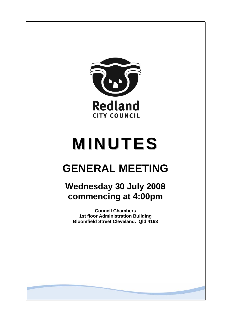

# **MINUTES**

## **GENERAL MEETING**

## **Wednesday 30 July 2008 commencing at 4:00pm**

**Council Chambers 1st floor Administration Building Bloomfield Street Cleveland. Qld 4163**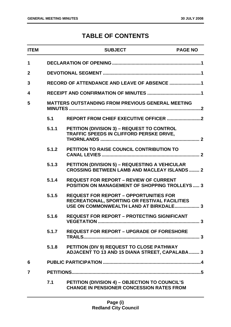### **TABLE OF CONTENTS**

| <b>ITEM</b>    |       | <b>SUBJECT</b>                                                                                                                           | <b>PAGE NO</b> |
|----------------|-------|------------------------------------------------------------------------------------------------------------------------------------------|----------------|
| 1              |       |                                                                                                                                          |                |
| $\overline{2}$ |       |                                                                                                                                          |                |
| 3              |       |                                                                                                                                          |                |
| 4              |       |                                                                                                                                          |                |
| 5              |       | <b>MATTERS OUTSTANDING FROM PREVIOUS GENERAL MEETING</b>                                                                                 |                |
|                | 5.1   |                                                                                                                                          |                |
|                | 5.1.1 | PETITION (DIVISION 3) - REQUEST TO CONTROL<br>TRAFFIC SPEEDS IN CLIFFORD PERSKE DRIVE,                                                   |                |
|                | 5.1.2 | PETITION TO RAISE COUNCIL CONTRIBUTION TO                                                                                                |                |
|                | 5.1.3 | <b>PETITION (DIVISION 5) - REQUESTING A VEHICULAR</b><br><b>CROSSING BETWEEN LAMB AND MACLEAY ISLANDS  2</b>                             |                |
|                | 5.1.4 | <b>REQUEST FOR REPORT - REVIEW OF CURRENT</b><br><b>POSITION ON MANAGEMENT OF SHOPPING TROLLEYS  3</b>                                   |                |
|                | 5.1.5 | <b>REQUEST FOR REPORT - OPPORTUNITIES FOR</b><br>RECREATIONAL, SPORTING OR FESTIVAL FACILITIES<br>USE ON COMMONWEALTH LAND AT BIRKDALE 3 |                |
|                | 5.1.6 | <b>REQUEST FOR REPORT - PROTECTING SIGNIFICANT</b>                                                                                       |                |
|                | 5.1.7 | <b>REQUEST FOR REPORT - UPGRADE OF FORESHORE</b>                                                                                         |                |
|                | 5.1.8 | PETITION (DIV 9) REQUEST TO CLOSE PATHWAY<br>ADJACENT TO 13 AND 15 DIANA STREET, CAPALABA  3                                             |                |
| 6              |       |                                                                                                                                          |                |
| 7              |       |                                                                                                                                          |                |
|                | 7.1   | PETITION (DIVISION 4) - OBJECTION TO COUNCIL'S<br><b>CHANGE IN PENSIONER CONCESSION RATES FROM</b>                                       |                |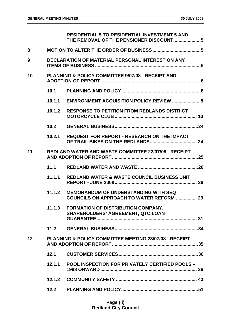|    |        | <b>RESIDENTIAL 5 TO RESIDENTIAL INVESTMENT 5 AND</b>                                    |
|----|--------|-----------------------------------------------------------------------------------------|
| 8  |        |                                                                                         |
| 9  |        | <b>DECLARATION OF MATERIAL PERSONAL INTEREST ON ANY</b>                                 |
| 10 |        | <b>PLANNING &amp; POLICY COMMITTEE 9/07/08 - RECEIPT AND</b>                            |
|    | 10.1   |                                                                                         |
|    | 10.1.1 | <b>ENVIRONMENT ACQUISITION POLICY REVIEW  8</b>                                         |
|    | 10.1.2 | <b>RESPONSE TO PETITION FROM REDLANDS DISTRICT</b>                                      |
|    | 10.2   |                                                                                         |
|    | 10.2.1 | <b>REQUEST FOR REPORT - RESEARCH ON THE IMPACT</b>                                      |
| 11 |        | <b>REDLAND WATER AND WASTE COMMITTEE 22/07/08 - RECEIPT</b>                             |
|    | 11.1   |                                                                                         |
|    | 11.1.1 | <b>REDLAND WATER &amp; WASTE COUNCIL BUSINESS UNIT</b>                                  |
|    | 11.1.2 | <b>MEMORANDUM OF UNDERSTANDING WITH SEQ</b><br>COUNCILS ON APPROACH TO WATER REFORM  29 |
|    | 11.1.3 | <b>FORMATION OF DISTRIBUTION COMPANY,</b><br><b>SHAREHOLDERS' AGREEMENT, QTC LOAN</b>   |
|    | 11.2   |                                                                                         |
| 12 |        | PLANNING & POLICY COMMITTEE MEETING 23/07/08 - RECEIPT                                  |
|    | 12.1   |                                                                                         |
|    | 12.1.1 | <b>POOL INSPECTION FOR PRIVATELY CERTIFIED POOLS -</b>                                  |
|    | 12.1.2 |                                                                                         |
|    | 12.2   |                                                                                         |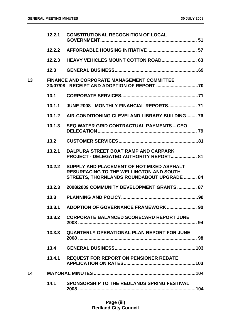|    | 12.2.1 | <b>CONSTITUTIONAL RECOGNITION OF LOCAL</b>                                                                                                       |
|----|--------|--------------------------------------------------------------------------------------------------------------------------------------------------|
|    | 12.2.2 |                                                                                                                                                  |
|    | 12.2.3 |                                                                                                                                                  |
|    | 12.3   |                                                                                                                                                  |
| 13 |        | <b>FINANCE AND CORPORATE MANAGEMENT COMMITTEE</b>                                                                                                |
|    | 13.1   |                                                                                                                                                  |
|    | 13.1.1 | JUNE 2008 - MONTHLY FINANCIAL REPORTS 71                                                                                                         |
|    | 13.1.2 | AIR-CONDITIONING CLEVELAND LIBRARY BUILDING 76                                                                                                   |
|    | 13.1.3 | <b>SEQ WATER GRID CONTRACTUAL PAYMENTS - CEO</b>                                                                                                 |
|    | 13.2   |                                                                                                                                                  |
|    | 13.2.1 | DALPURA STREET BOAT RAMP AND CARPARK<br>PROJECT - DELEGATED AUTHORITY REPORT 81                                                                  |
|    | 13.2.2 | SUPPLY AND PLACEMENT OF HOT MIXED ASPHALT<br><b>RESURFACING TO THE WELLINGTON AND SOUTH</b><br><b>STREETS, THORNLANDS ROUNDABOUT UPGRADE  84</b> |
|    | 13.2.3 | 2008/2009 COMMUNITY DEVELOPMENT GRANTS  87                                                                                                       |
|    | 13.3   |                                                                                                                                                  |
|    | 13.3.1 |                                                                                                                                                  |
|    | 13.3.2 | <b>CORPORATE BALANCED SCORECARD REPORT JUNE</b>                                                                                                  |
|    | 13.3.3 | <b>QUARTERLY OPERATIONAL PLAN REPORT FOR JUNE</b>                                                                                                |
|    | 13.4   |                                                                                                                                                  |
|    | 13.4.1 | <b>REQUEST FOR REPORT ON PENSIONER REBATE</b>                                                                                                    |
| 14 |        |                                                                                                                                                  |
|    | 14.1   | SPONSORSHIP TO THE REDLANDS SPRING FESTIVAL                                                                                                      |
|    |        |                                                                                                                                                  |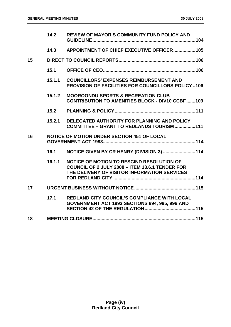|                 | 14.2   | <b>REVIEW OF MAYOR'S COMMUNITY FUND POLICY AND</b>                                                                                           |
|-----------------|--------|----------------------------------------------------------------------------------------------------------------------------------------------|
|                 | 14.3   | APPOINTMENT OF CHIEF EXECUTIVE OFFICER105                                                                                                    |
| 15              |        |                                                                                                                                              |
|                 | 15.1   |                                                                                                                                              |
|                 | 15.1.1 | <b>COUNCILLORS' EXPENSES REIMBURSEMENT AND</b><br><b>PROVISION OF FACILITIES FOR COUNCILLORS POLICY106</b>                                   |
|                 | 15.1.2 | <b>MOOROONDU SPORTS &amp; RECREATION CLUB -</b><br><b>CONTRIBUTION TO AMENITIES BLOCK - DIV10 CCBF109</b>                                    |
|                 | 15.2   |                                                                                                                                              |
|                 | 15.2.1 | DELEGATED AUTHORITY FOR PLANNING AND POLICY<br>COMMITTEE - GRANT TO REDLANDS TOURISM 111                                                     |
| 16              |        | <b>NOTICE OF MOTION UNDER SECTION 451 OF LOCAL</b>                                                                                           |
|                 | 16.1   | NOTICE GIVEN BY CR HENRY (DIVISION 3) 114                                                                                                    |
|                 | 16.1.1 | NOTICE OF MOTION TO RESCIND RESOLUTION OF<br>COUNCIL OF 2 JULY 2008 - ITEM 13.6.1 TENDER FOR<br>THE DELIVERY OF VISITOR INFORMATION SERVICES |
| 17 <sup>1</sup> |        |                                                                                                                                              |
|                 | 17.1   | <b>REDLAND CITY COUNCIL'S COMPLIANCE WITH LOCAL</b><br>GOVERNMENT ACT 1993 SECTIONS 994, 995, 996 AND                                        |
| 18              |        |                                                                                                                                              |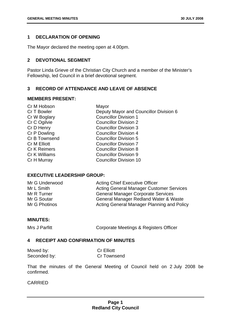#### <span id="page-5-0"></span>**1 DECLARATION OF OPENING**

The Mayor declared the meeting open at 4.00pm.

#### **2 DEVOTIONAL SEGMENT**

Pastor Linda Grieve of the Christian City Church and a member of the Minister's Fellowship, led Council in a brief devotional segment.

#### **3 RECORD OF ATTENDANCE AND LEAVE OF ABSENCE**

#### **MEMBERS PRESENT:**

| Cr M Hobson         | Mayor                                  |
|---------------------|----------------------------------------|
| Cr T Bowler         | Deputy Mayor and Councillor Division 6 |
| Cr W Boglary        | <b>Councillor Division 1</b>           |
| Cr C Ogilvie        | <b>Councillor Division 2</b>           |
| Cr D Henry          | <b>Councillor Division 3</b>           |
| Cr P Dowling        | <b>Councillor Division 4</b>           |
| Cr B Townsend       | <b>Councillor Division 5</b>           |
| <b>Cr M Elliott</b> | <b>Councillor Division 7</b>           |
| <b>Cr K Reimers</b> | <b>Councillor Division 8</b>           |
| Cr K Williams       | <b>Councillor Division 9</b>           |
| Cr H Murray         | <b>Councillor Division 10</b>          |
|                     |                                        |

#### **EXECUTIVE LEADERSHIP GROUP:**

| Mr G Underwood | <b>Acting Chief Executive Officer</b>           |
|----------------|-------------------------------------------------|
| Mr L Smith     | <b>Acting General Manager Customer Services</b> |
| Mr R Turner    | <b>General Manager Corporate Services</b>       |
| Mr G Soutar    | General Manager Redland Water & Waste           |
| Mr G Photinos  | Acting General Manager Planning and Policy      |

#### **MINUTES:**

Mrs J Parfitt **Corporate Meetings & Registers Officer** 

#### **4 RECEIPT AND CONFIRMATION OF MINUTES**

| Moved by:    | <b>Cr Elliott</b>  |
|--------------|--------------------|
| Seconded by: | <b>Cr Townsend</b> |

That the minutes of the General Meeting of Council held on 2 July 2008 be confirmed.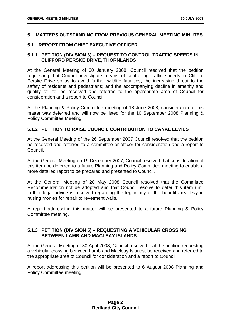#### <span id="page-6-0"></span>**5 MATTERS OUTSTANDING FROM PREVIOUS GENERAL MEETING MINUTES**

#### **5.1 REPORT FROM CHIEF EXECUTIVE OFFICER**

#### **5.1.1 PETITION (DIVISION 3) – REQUEST TO CONTROL TRAFFIC SPEEDS IN CLIFFORD PERSKE DRIVE, THORNLANDS**

At the General Meeting of 30 January 2008, Council resolved that the petition requesting that Council investigate means of controlling traffic speeds in Clifford Perske Drive so as to avoid further wildlife fatalities; the increasing threat to the safety of residents and pedestrians; and the accompanying decline in amenity and quality of life, be received and referred to the appropriate area of Council for consideration and a report to Council.

At the Planning & Policy Committee meeting of 18 June 2008, consideration of this matter was deferred and will now be listed for the 10 September 2008 Planning & Policy Committee Meeting.

#### **5.1.2 PETITION TO RAISE COUNCIL CONTRIBUTION TO CANAL LEVIES**

At the General Meeting of the 26 September 2007 Council resolved that the petition be received and referred to a committee or officer for consideration and a report to Council.

At the General Meeting on 19 December 2007, Council resolved that consideration of this item be deferred to a future Planning and Policy Committee meeting to enable a more detailed report to be prepared and presented to Council.

At the General Meeting of 28 May 2008 Council resolved that the Committee Recommendation not be adopted and that Council resolve to defer this item until further legal advice is received regarding the legitimacy of the benefit area levy in raising monies for repair to revetment walls.

A report addressing this matter will be presented to a future Planning & Policy Committee meeting.

#### **5.1.3 PETITION (DIVISION 5) – REQUESTING A VEHICULAR CROSSING BETWEEN LAMB AND MACLEAY ISLANDS**

At the General Meeting of 30 April 2008, Council resolved that the petition requesting a vehicular crossing between Lamb and Macleay Islands, be received and referred to the appropriate area of Council for consideration and a report to Council.

A report addressing this petition will be presented to 6 August 2008 Planning and Policy Committee meeting.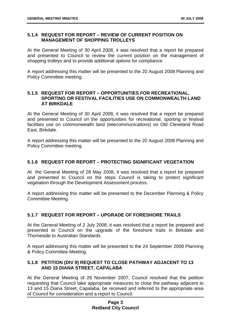#### <span id="page-7-0"></span>**5.1.4 REQUEST FOR REPORT – REVIEW OF CURRENT POSITION ON MANAGEMENT OF SHOPPING TROLLEYS**

At the General Meeting of 30 April 2008, it was resolved that a report be prepared and presented to Council to review the current position on the management of shopping trolleys and to provide additional options for compliance.

A report addressing this matter will be presented to the 20 August 2008 Planning and Policy Committee meeting.

#### **5.1.5 REQUEST FOR REPORT – OPPORTUNITIES FOR RECREATIONAL, SPORTING OR FESTIVAL FACILITIES USE ON COMMONWEALTH LAND AT BIRKDALE**

At the General Meeting of 30 April 2008, it was resolved that a report be prepared and presented to Council on the opportunities for recreational, sporting or festival facilities use on commonwealth land (telecommunications) on Old Cleveland Road East, Birkdale.

A report addressing this matter will be presented to the 20 August 2008 Planning and Policy Committee meeting.

#### **5.1.6 REQUEST FOR REPORT – PROTECTING SIGNIFICANT VEGETATION**

At the General Meeting of 28 May 2008, it was resolved that a report be prepared and presented to Council on the steps Council is taking to protect significant vegetation through the Development Assessment process.

A report addressing this matter will be presented to the December Planning & Policy Committee Meeting.

#### **5.1.7 REQUEST FOR REPORT – UPGRADE OF FORESHORE TRAILS**

At the General Meeting of 2 July 2008, it was resolved that a report be prepared and presented to Council on the upgrade of the foreshore trails in Birkdale and Thorneside to Australian Standards.

A report addressing this matter will be presented to the 24 September 2008 Planning & Policy Committee Meeting.

#### **5.1.8 PETITION (DIV 9) REQUEST TO CLOSE PATHWAY ADJACENT TO 13 AND 15 DIANA STREET, CAPALABA**

At the General Meeting of 28 November 2007, Council resolved that the petition requesting that Council take appropriate measures to close the pathway adjacent to 13 and 15 Diana Street, Capalaba, be received and referred to the appropriate area of Council for consideration and a report to Council.

#### **Page 3 Redland City Council**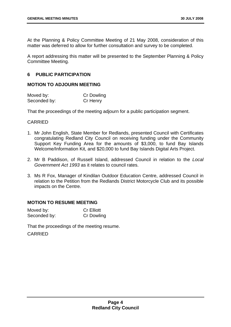<span id="page-8-0"></span>At the Planning & Policy Committee Meeting of 21 May 2008, consideration of this matter was deferred to allow for further consultation and survey to be completed.

A report addressing this matter will be presented to the September Planning & Policy Committee Meeting.

#### **6 PUBLIC PARTICIPATION**

#### **MOTION TO ADJOURN MEETING**

| Moved by:    | <b>Cr Dowling</b> |
|--------------|-------------------|
| Seconded by: | Cr Henry          |

That the proceedings of the meeting adjourn for a public participation segment.

#### CARRIED

- 1. Mr John English, State Member for Redlands, presented Council with Certificates congratulating Redland City Council on receiving funding under the Community Support Key Funding Area for the amounts of \$3,000, to fund Bay Islands Welcome/Information Kit, and \$20,000 to fund Bay Islands Digital Arts Project.
- 2. Mr B Paddison, of Russell Island, addressed Council in relation to the *Local Government Act 1993* as it relates to council rates.
- 3. Ms R Fox, Manager of Kindilan Outdoor Education Centre, addressed Council in relation to the Petition from the Redlands District Motorcycle Club and its possible impacts on the Centre.

#### **MOTION TO RESUME MEETING**

| Moved by:    | <b>Cr Elliott</b> |
|--------------|-------------------|
| Seconded by: | Cr Dowling        |

That the proceedings of the meeting resume.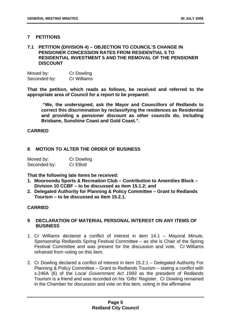#### <span id="page-9-0"></span>**7 PETITIONS**

#### **7.1 PETITION (DIVISION 4) – OBJECTION TO COUNCIL'S CHANGE IN PENSIONER CONCESSION RATES FROM RESIDENTIAL 5 TO RESIDENTIAL INVESTMENT 5 AND THE REMOVAL OF THE PENSIONER DISCOUNT**

| Moved by:    | <b>Cr Dowling</b>  |
|--------------|--------------------|
| Seconded by: | <b>Cr Williams</b> |

**That the petition, which reads as follows, be received and referred to the appropriate area of Council for a report to be prepared:** 

 **"We, the undersigned, ask the Mayor and Councillors of Redlands to correct this discrimination by reclassifying the residences as Residential and providing a pensioner discount as other councils do, including Brisbane, Sunshine Coast and Gold Coast.".** 

#### **CARRIED**

#### **8 MOTION TO ALTER THE ORDER OF BUSINESS**

| Moved by:    | <b>Cr Dowling</b> |
|--------------|-------------------|
| Seconded by: | <b>Cr Elliott</b> |

**That the following late items be received:** 

- **1. Mooroondu Sports & Recreation Club Contribution to Amenities Block Division 10 CCBF – to be discussed as item 15.1.2; and**
- **2. Delegated Authority for Planning & Policy Committee Grant to Redlands Tourism – to be discussed as Item 15.2.1.**

#### **CARRIED**

#### **9 DECLARATION OF MATERIAL PERSONAL INTEREST ON ANY ITEMS OF BUSINESS**

- 1. Cr Williams declared a conflict of interest in item 14.1 Mayoral Minute, Sponsorship Redlands Spring Festival Committee – as she is Chair of the Spring Festival Committee and was present for the discussion and vote. Cr Williams refrained from voting on this item.
- 2. Cr Dowling declared a conflict of interest in item 15.2.1 Delegated Authority For Planning & Policy Committee – Grant to Redlands Tourism – stating a conflict with s.246A (6) of the *Local Government Act 1993* as the president of Redlands Tourism is a friend and was recorded on his 'Gifts' Register. Cr Dowling remained in the Chamber for discussion and vote on this item, voting in the affirmative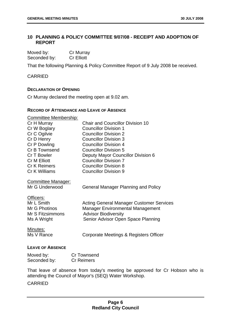#### <span id="page-10-0"></span>**10 PLANNING & POLICY COMMITTEE 9/07/08 - RECEIPT AND ADOPTION OF REPORT**

| Moved by:    | <b>Cr Murray</b>  |
|--------------|-------------------|
| Seconded by: | <b>Cr Elliott</b> |

That the following Planning & Policy Committee Report of 9 July 2008 be received.

CARRIED

#### **DECLARATION OF OPENING**

Cr Murray declared the meeting open at 9.02 am.

#### **RECORD OF ATTENDANCE AND LEAVE OF ABSENCE**

| <b>Committee Membership:</b>                                                |                                                                                                                                                                 |
|-----------------------------------------------------------------------------|-----------------------------------------------------------------------------------------------------------------------------------------------------------------|
| Cr H Murray                                                                 | <b>Chair and Councillor Division 10</b>                                                                                                                         |
| Cr W Boglary                                                                | <b>Councillor Division 1</b>                                                                                                                                    |
| Cr C Ogilvie                                                                | <b>Councillor Division 2</b>                                                                                                                                    |
| Cr D Henry                                                                  | <b>Councillor Division 3</b>                                                                                                                                    |
| Cr P Dowling                                                                | <b>Councillor Division 4</b>                                                                                                                                    |
| Cr B Townsend                                                               | <b>Councillor Division 5</b>                                                                                                                                    |
| Cr T Bowler                                                                 | Deputy Mayor Councillor Division 6                                                                                                                              |
| <b>Cr M Elliott</b>                                                         | <b>Councillor Division 7</b>                                                                                                                                    |
| <b>Cr K Reimers</b>                                                         | <b>Councillor Division 8</b>                                                                                                                                    |
| Cr K Williams                                                               | <b>Councillor Division 9</b>                                                                                                                                    |
| <b>Committee Manager:</b><br>Mr G Underwood                                 | <b>General Manager Planning and Policy</b>                                                                                                                      |
| Officers:<br>Mr L Smith<br>Mr G Photinos<br>Mr S Fitzsimmons<br>Ms A Wright | <b>Acting General Manager Customer Services</b><br><b>Manager Environmental Management</b><br><b>Advisor Biodiversity</b><br>Senior Advisor Open Space Planning |
| <u>Minutes:</u><br>Ms V Rance                                               | Corporate Meetings & Registers Officer                                                                                                                          |

#### **LEAVE OF ABSENCE**

| Moved by:    | <b>Cr Townsend</b> |
|--------------|--------------------|
| Seconded by: | <b>Cr Reimers</b>  |

That leave of absence from today's meeting be approved for Cr Hobson who is attending the Council of Mayor's (SEQ) Water Workshop.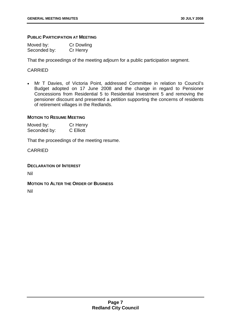#### **PUBLIC PARTICIPATION AT MEETING**

| Moved by:    | <b>Cr Dowling</b> |
|--------------|-------------------|
| Seconded by: | Cr Henry          |

That the proceedings of the meeting adjourn for a public participation segment.

#### CARRIED

• Mr T Davies, of Victoria Point, addressed Committee in relation to Council's Budget adopted on 17 June 2008 and the change in regard to Pensioner Concessions from Residential 5 to Residential Investment 5 and removing the pensioner discount and presented a petition supporting the concerns of residents of retirement villages in the Redlands.

#### **MOTION TO RESUME MEETING**

Moved by: Cr Henry Seconded by: C Elliott

That the proceedings of the meeting resume.

CARRIED

#### **DECLARATION OF INTEREST**

Nil

#### **MOTION TO ALTER THE ORDER OF BUSINESS**

Nil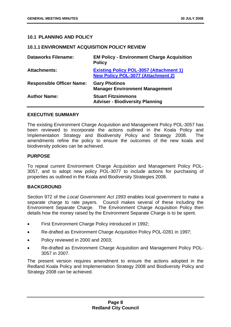#### <span id="page-12-0"></span>**10.1 PLANNING AND POLICY**

#### **10.1.1 ENVIRONMENT ACQUISITION POLICY REVIEW**

| <b>Dataworks Filename:</b>       | <b>EM Policy - Environment Charge Acquisition</b><br><b>Policy</b>                          |
|----------------------------------|---------------------------------------------------------------------------------------------|
| <b>Attachments:</b>              | <b>Existing Policy POL-3057 (Attachment 1)</b><br><b>New Policy POL-3077 (Attachment 2)</b> |
| <b>Responsible Officer Name:</b> | <b>Gary Photinos</b><br><b>Manager Environment Management</b>                               |
| <b>Author Name:</b>              | <b>Stuart Fitzsimmons</b><br><b>Adviser - Biodiversity Planning</b>                         |

#### **EXECUTIVE SUMMARY**

The existing Environment Charge Acquisition and Management Policy POL-3057 has been reviewed to incorporate the actions outlined in the Koala Policy and Implementation Strategy and Biodiversity Policy and Strategy 2008. The amendments refine the policy to ensure the outcomes of the new koala and biodiversity policies can be achieved.

#### **PURPOSE**

To repeal current Environment Charge Acquisition and Management Policy POL-3057, and to adopt new policy POL-3077 to include actions for purchasing of properties as outlined in the Koala and Biodiversity Strategies 2008.

#### **BACKGROUND**

Section 972 of the *Local Government Act 1993* enables local government to make a separate charge to rate payers. Council makes several of these including the Environment Separate Charge. The Environment Charge Acquisition Policy then details how the money raised by the Environment Separate Charge is to be spent.

- First Environment Charge Policy introduced in 1992;
- Re-drafted as Environment Charge Acquisition Policy POL-0281 in 1997;
- Policy reviewed in 2000 and 2003;
- Re-drafted as Environment Charge Acquisition and Management Policy POL-3057 in 2007.

The present version requires amendment to ensure the actions adopted in the Redland Koala Policy and Implementation Strategy 2008 and Biodiversity Policy and Strategy 2008 can be achieved.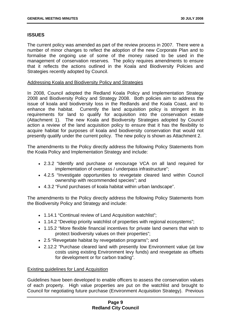#### **ISSUES**

The current policy was amended as part of the review process in 2007. There were a number of minor changes to reflect the adoption of the new Corporate Plan and to formalise the ongoing use of some of the money raised to be used in the management of conservation reserves. The policy requires amendments to ensure that it reflects the actions outlined in the Koala and Biodiversity Policies and Strategies recently adopted by Council.

#### Addressing Koala and Biodiversity Policy and Strategies

In 2008, Council adopted the Redland Koala Policy and Implementation Strategy 2008 and Biodiversity Policy and Strategy 2008. Both policies aim to address the issue of koala and biodiversity loss in the Redlands and the Koala Coast, and to enhance the habitat. Currently the land acquisition policy is stringent in its requirements for land to qualify for acquisition into the conservation estate (Attachment 1). The new Koala and Biodiversity Strategies adopted by Council action a review of the land acquisition policy to ensure that it has the flexibility to acquire habitat for purposes of koala and biodiversity conservation that would not presently qualify under the current policy. The new policy is shown as Attachment 2.

The amendments to the Policy directly address the following Policy Statements from the Koala Policy and Implementation Strategy and include:

- 2.3.2 "Identify and purchase or encourage VCA on all land required for implementation of overpass / underpass infrastructure";
- 4.2.5 "Investigate opportunities to revegetate cleared land within Council ownership with recommended species"; and
- 4.3.2 "Fund purchases of koala habitat within urban landscape".

The amendments to the Policy directly address the following Policy Statements from the Biodiversity Policy and Strategy and include:

- 1.14.1 "Continual review of Land Acquisition watchlist";
- 1.14.2 "Develop priority watchlist of properties with regional ecosystems";
- 1.15.2 "More flexible financial incentives for private land owners that wish to protect biodiversity values on their properties";
- 2.5 "Revegetate habitat by revegetation programs"; and
- 2.12.2 "Purchase cleared land with presently low Environment value (at low costs using existing Environment levy funds) and revegetate as offsets for development or for carbon trading".

#### Existing guidelines for Land Acquisition

Guidelines have been developed to enable officers to assess the conservation values of each property. High value properties are put on the watchlist and brought to Council for negotiating future purchase (Environment Acquisition Strategy). Previous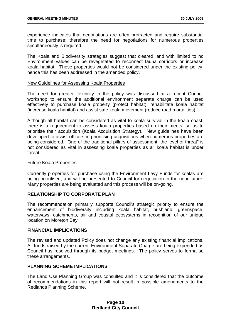experience indicates that negotiations are often protracted and require substantial time to purchase; therefore the need for negotiations for numerous properties simultaneously is required.

The Koala and Biodiversity strategies suggest that cleared land with limited to no Environment values can be revegetated to reconnect fauna corridors or increase koala habitat. These properties would not be considered under the existing policy, hence this has been addressed in the amended policy.

#### New Guidelines for Assessing Koala Properties

The need for greater flexibility in the policy was discussed at a recent Council workshop to ensure the additional environment separate charge can be used effectively to purchase koala property (protect habitat), rehabilitate koala habitat (increase koala habitat) and assist safe koala movement (reduce road mortalities).

Although all habitat can be considered as vital to koala survival in the koala coast, there is a requirement to assess koala properties based on their merits, so as to prioritise their acquisition (Koala Acquisition Strategy). New guidelines have been developed to assist officers in prioritising acquisitions when numerous properties are being considered. One of the traditional pillars of assessment "the level of threat" is not considered as vital in assessing koala properties as all koala habitat is under threat.

#### Future Koala Properties

Currently properties for purchase using the Environment Levy Funds for koalas are being prioritised, and will be presented to Council for negotiation in the near future. Many properties are being evaluated and this process will be on-going.

#### **RELATIONSHIP TO CORPORATE PLAN**

The recommendation primarily supports Council's strategic priority to ensure the enhancement of biodiversity including koala habitat, bushland, greenspace, waterways, catchments, air and coastal ecosystems in recognition of our unique location on Moreton Bay.

#### **FINANCIAL IMPLICATIONS**

The revised and updated Policy does not change any existing financial implications. All funds raised by the current Environment Separate Charge are being expended as Council has resolved through its budget meetings. The policy serves to formalise these arrangements.

#### **PLANNING SCHEME IMPLICATIONS**

The Land Use Planning Group was consulted and it is considered that the outcome of recommendations in this report will not result in possible amendments to the Redlands Planning Scheme.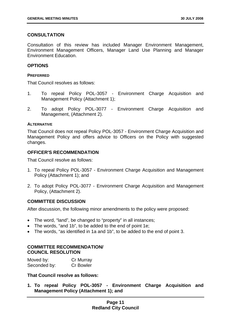#### **CONSULTATION**

Consultation of this review has included Manager Environment Management, Environment Management Officers, Manager Land Use Planning and Manager Environment Education.

#### **OPTIONS**

#### **PREFERRED**

That Council resolves as follows:

- 1. To repeal Policy POL-3057 Environment Charge Acquisition and Management Policy (Attachment 1);
- 2. To adopt Policy POL-3077 Environment Charge Acquisition and Management, (Attachment 2).

#### **ALTERNATIVE**

That Council does not repeal Policy POL-3057 - Environment Charge Acquisition and Management Policy and offers advice to Officers on the Policy with suggested changes.

#### **OFFICER'S RECOMMENDATION**

That Council resolve as follows:

- 1. To repeal Policy POL-3057 Environment Charge Acquisition and Management Policy (Attachment 1); and
- 2. To adopt Policy POL-3077 Environment Charge Acquisition and Management Policy, (Attachment 2).

#### **COMMITTEE DISCUSSION**

After discussion, the following minor amendments to the policy were proposed:

- The word, "land", be changed to "property" in all instances;
- The words, "and 1b", to be added to the end of point 1e;
- The words, "as identified in 1a and 1b", to be added to the end of point 3.

#### **COMMITTEE RECOMMENDATION/ COUNCIL RESOLUTION**

| Moved by:    | Cr Murray        |
|--------------|------------------|
| Seconded by: | <b>Cr Bowler</b> |

#### **That Council resolve as follows:**

**1. To repeal Policy POL-3057 - Environment Charge Acquisition and Management Policy (Attachment 1); and**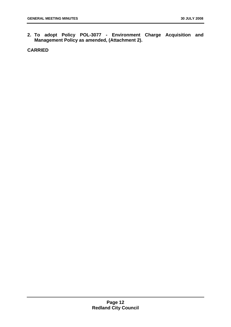**2. To adopt Policy POL-3077 - Environment Charge Acquisition and Management Policy as amended, (Attachment 2).**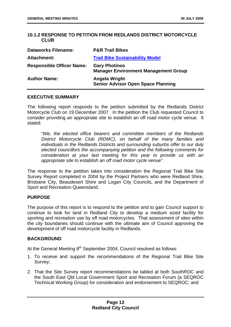#### <span id="page-17-0"></span>**10.1.2 RESPONSE TO PETITION FROM REDLANDS DISTRICT MOTORCYCLE CLUB**

| <b>Dataworks Filename:</b>       | <b>P&amp;R Trail Bikes</b>                                          |
|----------------------------------|---------------------------------------------------------------------|
| Attachment:                      | <b>Trail Bike Sustainability Model</b>                              |
| <b>Responsible Officer Name:</b> | <b>Gary Photinos</b><br><b>Manager Environment Management Group</b> |
| <b>Author Name:</b>              | <b>Angela Wright</b><br><b>Senior Advisor Open Space Planning</b>   |

#### **EXECUTIVE SUMMARY**

The following report responds to the petition submitted by the Redlands District Motorcycle Club on 19 December 2007. In the petition the Club requested Council to consider providing an appropriate site to establish an off road motor cycle venue. It stated:

*"We, the elected office bearers and committee members of the Redlands District Motorcycle Club (RDMC), on behalf of the many families and individuals in the Redlands Districts and surrounding suburbs offer to our duly elected councillors the accompanying petition and the following comments for consideration at your last meeting for this year to provide us with an appropriate site to establish an off road motor cycle venue".* 

The response to the petition takes into consideration the Regional Trail Bike Site Survey Report completed in 2004 by the Project Partners who were Redland Shire, Brisbane City, Beaudesert Shire and Logan City Councils, and the Department of Sport and Recreation Queensland.

#### **PURPOSE**

The purpose of this report is to respond to the petition and to gain Council support to continue to look for land in Redland City to develop a medium sized facility for sporting and recreation use by off road motorcycles. That assessment of sites within the city boundaries should continue with the ultimate aim of Council approving the development of off road motorcycle facility in Redlands.

#### **BACKGROUND**

At the General Meeting 8<sup>th</sup> September 2004, Council resolved as follows:

- 1. To receive and support the recommendations of the Regional Trail Bike Site Survey;
- 2. That the Site Survey report recommendations be tabled at both SouthROC and the South East Qld Local Government Sport and Recreation Forum (a SEQROC Technical Working Group) for consideration and endorsement to SEQROC; and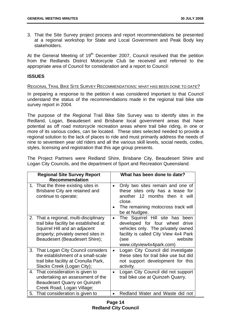3. That the Site Survey project process and report recommendations be presented at a regional workshop for State and Local Government and Peak Body key stakeholders.

At the General Meeting of 19<sup>th</sup> December 2007, Council resolved that the petition from the Redlands District Motorcycle Club be received and referred to the appropriate area of Council for consideration and a report to Council:

#### **ISSUES**

#### REGIONAL TRAIL BIKE SITE SURVEY RECOMMENDATIONS: WHAT HAS BEEN DONE TO DATE?

In preparing a response to the petition it was considered important to that Council understand the status of the recommendations made in the regional trail bike site survey report in 2004.

The purpose of the Regional Trail Bike Site Survey was to identify sites in the Redland, Logan, Beaudesert and Brisbane local government areas that have potential as off road motorcycle recreation areas where trail bike riding, in one or more of its various codes, can be located. These sites selected needed to provide a regional solution to the lack of places to ride and must primarily address the needs of nine to seventeen year old riders and all the various skill levels, social needs, codes, styles, licensing and registration that this age group presents.

The Project Partners were Redland Shire, Brisbane City, Beaudesert Shire and Logan City Councils, and the department of Sport and Recreation Queensland.

| <b>Regional Site Survey Report</b><br><b>Recommendation</b>                                                                                                                              |           | What has been done to date?                                                                                                                                                                           |
|------------------------------------------------------------------------------------------------------------------------------------------------------------------------------------------|-----------|-------------------------------------------------------------------------------------------------------------------------------------------------------------------------------------------------------|
| 1. That the three existing sites in<br>Brisbane City are retained and<br>continue to operate;                                                                                            | $\bullet$ | Only two sites remain and one of<br>these sites only has a lease for<br>another 12 months then it<br>will<br>close.<br>The remaining motocross track will<br>be at Nudgee.                            |
| 2. That a regional, multi-disciplinary<br>trail bike facility be established at<br>Squirrel Hill and an adjacent<br>property; privately owned sites in<br>Beaudesert (Beaudesert Shire); | $\bullet$ | The Squirrel Hill site has<br>been<br>developed for four wheel<br>drive<br>vehicles only. The privately owned<br>facility is called City View 4x4 Park<br>website<br>(see<br>www.cityview4x4park.com) |
| 3. That Logan City Council considers<br>the establishment of a small-scale<br>trail bike facility at Cronulla Park,<br>Slacks Creek (Logan City);                                        | $\bullet$ | Logan City Council did investigate<br>these sites for trail bike use but did<br>not support development for this<br>activity.                                                                         |
| 4. That consideration is given to<br>undertaking an assessment of the<br><b>Beaudesert Quarry on Quinzeh</b><br>Creek Road, Logan Village;                                               | $\bullet$ | Logan City Council did not support<br>trail bike use at Quinzeh Quarry.                                                                                                                               |
| 5. That consideration is given to                                                                                                                                                        | $\bullet$ | Redland Water and Waste did not                                                                                                                                                                       |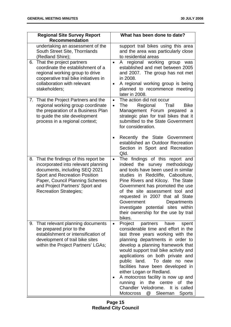| <b>Regional Site Survey Report</b><br><b>Recommendation</b>                                                                                                                                                                                                   | What has been done to date?                                                                                                                                                                                                                                                                                                                                                                                                                                                                                                                                 |
|---------------------------------------------------------------------------------------------------------------------------------------------------------------------------------------------------------------------------------------------------------------|-------------------------------------------------------------------------------------------------------------------------------------------------------------------------------------------------------------------------------------------------------------------------------------------------------------------------------------------------------------------------------------------------------------------------------------------------------------------------------------------------------------------------------------------------------------|
| undertaking an assessment of the<br>South Street Site, Thornlands<br>(Redland Shire);                                                                                                                                                                         | support trail bikes using this area<br>and the area was particularly close<br>to residential areas                                                                                                                                                                                                                                                                                                                                                                                                                                                          |
| That the project partners<br>6.<br>coordinate the establishment of a<br>regional working group to drive<br>cooperative trail bike initiatives in<br>collaboration with relevant<br>stakeholders;                                                              | A regional working<br>group<br>was<br>$\bullet$<br>established and met between 2005<br>and 2007. The group has not met<br>in 2008.<br>A regional working group is being<br>$\bullet$<br>planned to recommence meeting<br>later in 2008.                                                                                                                                                                                                                                                                                                                     |
| 7. That the Project Partners and the<br>regional working group coordinate<br>the preparation of a Business Plan<br>to guide the site development<br>process in a regional context;                                                                            | The action did not occur<br>$\bullet$<br>Regional<br><b>The</b><br>Trail<br><b>Bike</b><br>$\bullet$<br>Management Forum prepared a<br>strategic plan for trail bikes that it<br>submitted to the State Government<br>for consideration.                                                                                                                                                                                                                                                                                                                    |
|                                                                                                                                                                                                                                                               | Recently the State Government<br>$\bullet$<br>established an Outdoor Recreation<br>Section in Sport and Recreation<br>Qld.                                                                                                                                                                                                                                                                                                                                                                                                                                  |
| 8. That the findings of this report be<br>incorporated into relevant planning<br>documents, including SEQ 2021<br><b>Sport and Recreation Position</b><br>Paper, Council Planning Schemes<br>and Project Partners' Sport and<br><b>Recreation Strategies;</b> | The findings of this report and<br>$\bullet$<br>indeed the survey methodology<br>and tools have been used in similar<br>studies in Redcliffe, Caboolture,<br>Pine Rivers and Kilcoy. The State<br>Government has promoted the use<br>of the site assessment tool and<br>requested in 2007 that all State<br>Government<br>Departments<br>investigate potential sites within<br>their ownership for the use by trail<br>bikes.                                                                                                                               |
| 9. That relevant planning documents<br>be prepared prior to the<br>establishment or intensification of<br>development of trail bike sites<br>within the Project Partners' LGAs;                                                                               | Project<br>partners<br>have<br>spent<br>$\bullet$<br>considerable time and effort in the<br>last three years working with the<br>planning departments in order to<br>develop a planning framework that<br>would support trail bike activity and<br>applications on both private and<br>public land. To date no new<br>facilities have been developed in<br>either Logan or Redland.<br>A motocross facility is now up and<br>$\bullet$<br>running in the centre of the<br>Chandler Velodrome.<br>It is called<br>Sleeman<br>@<br>Motocross<br><b>Sports</b> |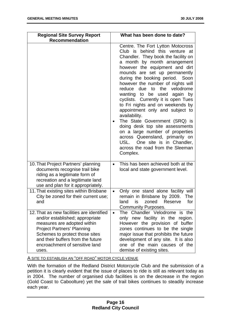| <b>Regional Site Survey Report</b><br><b>Recommendation</b>                                                                                                                                                                                                        | What has been done to date?                                                                                                                                                                                                                                                                                                                                                                                                                                                                                                                                                                                                                                                                                   |
|--------------------------------------------------------------------------------------------------------------------------------------------------------------------------------------------------------------------------------------------------------------------|---------------------------------------------------------------------------------------------------------------------------------------------------------------------------------------------------------------------------------------------------------------------------------------------------------------------------------------------------------------------------------------------------------------------------------------------------------------------------------------------------------------------------------------------------------------------------------------------------------------------------------------------------------------------------------------------------------------|
|                                                                                                                                                                                                                                                                    | Centre. The Fort Lytton Motocross<br>Club is behind this venture at<br>Chandler. They book the facility on<br>a month by month arrangement<br>however the equipment and dirt<br>mounds are set up permanently<br>during the booking period. Soon<br>however the number of nights will<br>reduce due to the velodrome<br>wanting to be used again by<br>cyclists. Currently it is open Tues<br>to Fri nights and on weekends by<br>appointment only and subject to<br>availability.<br>The State Government (SRQ) is<br>doing desk top site assessments<br>on a large number of properties<br>across Queensland, primarily on<br>USL. One site is in Chandler,<br>across the road from the Sleeman<br>Complex. |
| 10. That Project Partners' planning<br>documents recognise trail bike<br>riding as a legitimate form of<br>recreation and a legitimate land<br>use and plan for it appropriately.                                                                                  | This has been achieved both at the<br>$\bullet$<br>local and state government level.                                                                                                                                                                                                                                                                                                                                                                                                                                                                                                                                                                                                                          |
| 11. That existing sites within Brisbane<br>City be zoned for their current use;<br>and                                                                                                                                                                             | Only one stand alone facility will<br>$\bullet$<br>remain in Brisbane by 2009.<br><b>The</b><br>land<br>is<br>zoned<br>Reserve<br>for<br><b>Community Purposes.</b>                                                                                                                                                                                                                                                                                                                                                                                                                                                                                                                                           |
| 12. That as new facilities are identified<br>and/or established; appropriate<br>measures are adopted within<br><b>Project Partners' Planning</b><br>Schemes to protect those sites<br>and their buffers from the future<br>encroachment of sensitive land<br>uses. | The Chandler Velodrome is the<br>$\bullet$<br>only new facility in the region.<br>However the provision of buffer<br>zones continues to be the single<br>major issue that prohibits the future<br>development of any site. It is also<br>one of the main causes of the<br>demise of existing sites.                                                                                                                                                                                                                                                                                                                                                                                                           |

A SITE TO ESTABLISH AN "OFF ROAD" MOTOR CYCLE VENUE

With the formation of the Redland District Motorcycle Club and the submission of a petition it is clearly evident that the issue of places to ride is still as relevant today as in 2004. The number of organised club facilities is on the decrease in the region (Gold Coast to Caboolture) yet the sale of trail bikes continues to steadily increase each year.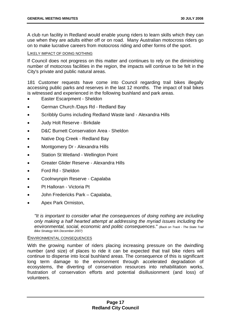A club run facility in Redland would enable young riders to learn skills which they can use when they are adults either off or on road. Many Australian motocross riders go on to make lucrative careers from motocross riding and other forms of the sport.

#### LIKELY IMPACT OF DOING NOTHING

If Council does not progress on this matter and continues to rely on the diminishing number of motocross facilities in the region, the impacts will continue to be felt in the City's private and public natural areas.

181 Customer requests have come into Council regarding trail bikes illegally accessing public parks and reserves in the last 12 months. The impact of trail bikes is witnessed and experienced in the following bushland and park areas.

- Easter Escarpment Sheldon
- German Church /Days Rd Redland Bay
- Scribbly Gums including Redland Waste land Alexandra Hills
- Judy Holt Reserve Birkdale
- D&C Burnett Conservation Area Sheldon
- Native Dog Creek Redland Bay
- Montgomery Dr Alexandra Hills
- Station St Wetland Wellington Point
- Greater Glider Reserve Alexandra Hills
- Ford Rd Sheldon
- Coolnwynpin Reserve Capalaba
- Pt Halloran Victoria Pt
- John Fredericks Park Capalaba,
- Apex Park Ormiston,

*"It is important to consider what the consequences of doing nothing are including only making a half hearted attempt at addressing the myriad issues including the environmental, social, economic and politic consequences*." *(Back on Track - The State Trail Bike Strategy WA December 2007)* 

#### ENVIRONMENTAL CONSEQUENCES

With the growing number of riders placing increasing pressure on the dwindling number (and size) of places to ride it can be expected that trail bike riders will continue to disperse into local bushland areas. The consequence of this is significant long term damage to the environment through accelerated degradation of ecosystems, the diverting of conservation resources into rehabilitation works, frustration of conservation efforts and potential disillusionment (and loss) of volunteers.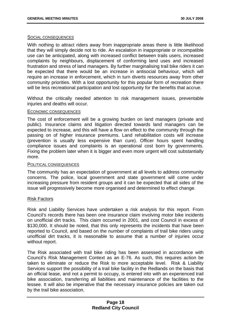#### SOCIAL CONSEQUENCES

With nothing to attract riders away from inappropriate areas there is little likelihood that they will simply decide not to ride. An escalation in inappropriate or incompatible use can be anticipated, along with increased conflict between trails users, increased complaints by neighbours, displacement of conforming land uses and increased frustration and stress of land managers. By further marginalising trail bike riders it can be expected that there would be an increase in antisocial behaviour, which will require an increase in enforcement, which in turn diverts resources away from other community priorities. With a lost opportunity for this popular form of recreation there will be less recreational participation and lost opportunity for the benefits that accrue.

Without the critically needed attention to risk management issues, preventable injuries and deaths will occur.

#### ECONOMIC CONSEQUENCES

The cost of enforcement will be a growing burden on land managers (private and public). Insurance claims and litigation directed towards land managers can be expected to increase, and this will have a flow on effect to the community through the passing on of higher insurance premiums. Land rehabilitation costs will increase (prevention is usually less expensive than cure). Officer hours spent handling compliance issues and complaints is an operational cost born by governments. Fixing the problem later when it is bigger and even more urgent will cost substantially more.

#### POLITICAL CONSEQUENCES

The community has an expectation of government at all levels to address community concerns. The police, local government and state government will come under increasing pressure from resident groups and it can be expected that all sides of the issue will progressively become more organised and determined to effect change.

#### Risk Factors

Risk and Liability Services have undertaken a risk analysis for this report. From Council's records there has been one insurance claim involving motor bike incidents on unofficial dirt tracks. This claim occurred in 2001, and cost Council in excess of \$130,000. It should be noted, that this only represents the incidents that have been reported to Council, and based on the number of complaints of trail bike riders using unofficial dirt tracks, it is reasonable to assume that a number of injuries occur without report.

The Risk associated with trail bike riding has been assessed in accordance with Council's Risk Management Context as an E-76. As such, this requires action be taken to eliminate or reduce the Risk to more acceptable level. Risk & Liability Services support the possibility of a trail bike facility in the Redlands on the basis that an official lease, and not a permit to occupy, is entered into with an experienced trail bike association, transferring all liabilities and maintenance of the facilities to the lessee. It will also be imperative that the necessary insurance policies are taken out by the trail bike association.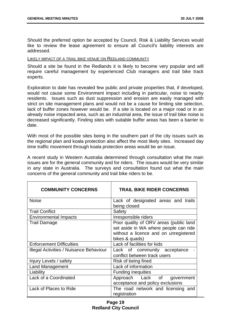Should the preferred option be accepted by Council, Risk & Liability Services would like to review the lease agreement to ensure all Council's liability interests are addressed.

#### LIKELY IMPACT OF A TRAIL BIKE VENUE ON REDLAND COMMUNITY

Should a site be found in the Redlands it is likely to become very popular and will require careful management by experienced Club managers and trail bike track experts.

Exploration to date has revealed few public and private properties that, if developed, would not cause some Environment impact including in particular, noise to nearby residents. Issues such as dust suppression and erosion are easily managed with strict on site management plans and would not be a cause for limiting site selection, lack of buffer zones however would be. If a site is located on a major road or in an already noise impacted area, such as an industrial area, the issue of trail bike noise is decreased significantly. Finding sites with suitable buffer areas has been a barrier to date.

With most of the possible sites being in the southern part of the city issues such as the regional plan and koala protection also affect the most likely sites. Increased day time traffic movement through koala protection areas would be an issue.

A recent study in Western Australia determined through consultation what the main issues are for the general community and for riders. The issues would be very similar in any state in Australia. The surveys and consultation found out what the main concerns of the general community and trail bike riders to be.

| <b>COMMUNITY CONCERNS</b>               | <b>TRAIL BIKE RIDER CONCERNS</b>                                                                                                           |
|-----------------------------------------|--------------------------------------------------------------------------------------------------------------------------------------------|
| <b>Noise</b>                            | Lack of designated areas and trails<br>being closed                                                                                        |
| <b>Trail Conflict</b>                   | Safety                                                                                                                                     |
| <b>Environmental Impacts</b>            | Irresponsible riders                                                                                                                       |
| <b>Trail Damage</b>                     | Poor quality of ORV areas (public land<br>set aside in WA where people can ride<br>without a licence and on unregistered<br>bikes & quads) |
| <b>Enforcement Difficulties</b>         | Lack of facilities for kids                                                                                                                |
| Illegal Activities / Nuisance Behaviour | Lack of community acceptance<br>conflict between track users                                                                               |
| Injury Levels / safety                  | Risk of being fined                                                                                                                        |
| <b>Land Management</b>                  | Lack of information                                                                                                                        |
| Liability                               | <b>Funding inequities</b>                                                                                                                  |
| Lack of a Coordinated                   | Approach Lack of government<br>acceptance and policy exclusions                                                                            |
| Lack of Places to Ride                  | The road network and licensing and<br>registration                                                                                         |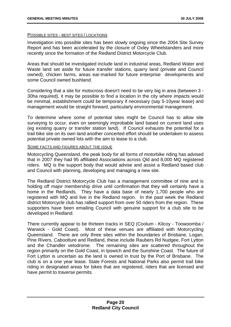#### POSSIBLE SITES - BEST SITES / LOCATIONS

Investigation into possible sites has been slowly ongoing since the 2004 Site Survey Report and has been accelerated by the closure of Oxley Wheelstanders and more recently since the formation of the Redland District Motorcycle Club.

Areas that should be investigated include land in industrial areas, Redland Water and Waste land set aside for future transfer stations, quarry land (private and Council owned), chicken farms, areas ear-marked for future enterprise developments and some Council owned bushland.

Considering that a site for motocross doesn't need to be very big in area (between 3 - 30ha required), it may be possible to find a location in the city where impacts would be minimal, establishment could be temporary if necessary (say 5-10year lease) and management would be straight forward, particularly environmental management.

To determine where some of potential sites might be Council has to allow site surveying to occur, even on seemingly improbable land based on current land uses (eg existing quarry or transfer station land). If Council exhausts the potential for a trail bike site on its own land another concerted effort should be undertaken to assess potential private owned lots with the aim to lease to a club.

#### SOME FACTS AND FIGURES ABOUT THE ISSUE

Motorcycling Queensland, the peak body for all forms of motorbike riding has advised that in 2007 they had 95 affiliated Associations across Qld and 8,000 MQ registered riders. MQ is the support body that would advise and assist a Redland based club and Council with planning, developing and managing a new site.

The Redland District Motorcycle Club has a management committee of nine and is holding off major membership drive until confirmation that they will certainly have a home in the Redlands. They have a data base of nearly 1,700 people who are registered with MQ and live in the Redland region. In the past week the Redland district Motorcycle club has rallied support from over 50 riders from the region. These supporters have been emailing Council with genuine support for a club site to be developed in Redland.

There currently appear to be thirteen tracks in SEQ (Coolum - Kilcoy - Toowoomba / Warwick - Gold Coast). Most of these venues are affiliated with Motorcycling Queensland. There are only three sites within the boundaries of Brisbane, Logan, Pine Rivers, Caboolture and Redland, these include Raubers Rd Nudgee, Fort Lytton and the Chandler velodrome. The remaining sites are scattered throughout the region primarily on the Gold Coast, in Ipswich and the Sunshine Coast. The future of Fort Lytton is uncertain as the land is owned in trust by the Port of Brisbane. The club is on a one year lease. State Forests and National Parks also permit trail bike riding in designated areas for bikes that are registered, riders that are licensed and have permit to traverse permits.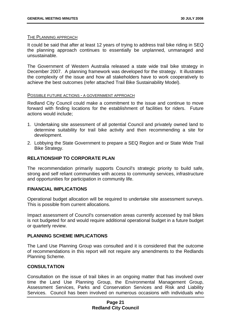#### THE PLANNING APPROACH

It could be said that after at least 12 years of trying to address trail bike riding in SEQ the planning approach continues to essentially be unplanned, unmanaged and unsustainable.

The Government of Western Australia released a state wide trail bike strategy in December 2007. A planning framework was developed for the strategy. It illustrates the complexity of the issue and how all stakeholders have to work cooperatively to achieve the best outcomes (refer attached Trail Bike Sustainability Model).

#### POSSIBLE FUTURE ACTIONS - A GOVERNMENT APPROACH

Redland City Council could make a commitment to the issue and continue to move forward with finding locations for the establishment of facilities for riders. Future actions would include;

- 1. Undertaking site assessment of all potential Council and privately owned land to determine suitability for trail bike activity and then recommending a site for development.
- 2. Lobbying the State Government to prepare a SEQ Region and or State Wide Trail Bike Strategy.

#### **RELATIONSHIP TO CORPORATE PLAN**

The recommendation primarily supports Council's strategic priority to build safe, strong and self reliant communities with access to community services, infrastructure and opportunities for participation in community life.

#### **FINANCIAL IMPLICATIONS**

Operational budget allocation will be required to undertake site assessment surveys. This is possible from current allocations.

Impact assessment of Council's conservation areas currently accessed by trail bikes is not budgeted for and would require additional operational budget in a future budget or quarterly review.

#### **PLANNING SCHEME IMPLICATIONS**

The Land Use Planning Group was consulted and it is considered that the outcome of recommendations in this report will not require any amendments to the Redlands Planning Scheme.

#### **CONSULTATION**

Consultation on the issue of trail bikes in an ongoing matter that has involved over time the Land Use Planning Group, the Environmental Management Group, Assessment Services, Parks and Conservation Services and Risk and Liability Services. Council has been involved on numerous occasions with individuals who

#### **Page 21 Redland City Council**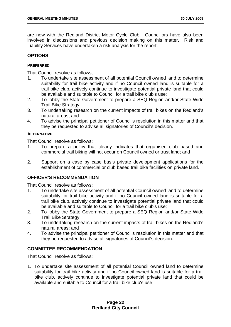are now with the Redland District Motor Cycle Club. Councillors have also been involved in discussions and previous decision making on this matter. Risk and Liability Services have undertaken a risk analysis for the report.

#### **OPTIONS**

#### **PREFERRED**

That Council resolve as follows;

- 1. To undertake site assessment of all potential Council owned land to determine suitability for trail bike activity and if no Council owned land is suitable for a trail bike club, actively continue to investigate potential private land that could be available and suitable to Council for a trail bike club's use;
- 2. To lobby the State Government to prepare a SEQ Region and/or State Wide Trail Bike Strategy;
- 3. To undertaking research on the current impacts of trail bikes on the Redland's natural areas; and
- 4. To advise the principal petitioner of Council's resolution in this matter and that they be requested to advise all signatories of Council's decision.

#### **ALTERNATIVE**

That Council resolve as follows;

- 1. To prepare a policy that clearly indicates that organised club based and commercial trail biking will not occur on Council owned or trust land; and
- 2. Support on a case by case basis private development applications for the establishment of commercial or club based trail bike facilities on private land.

#### **OFFICER'S RECOMMENDATION**

That Council resolve as follows;

- 1. To undertake site assessment of all potential Council owned land to determine suitability for trail bike activity and if no Council owned land is suitable for a trail bike club, actively continue to investigate potential private land that could be available and suitable to Council for a trail bike club's use;
- 2. To lobby the State Government to prepare a SEQ Region and/or State Wide Trail Bike Strategy;
- 3. To undertaking research on the current impacts of trail bikes on the Redland's natural areas; and
- 4. To advise the principal petitioner of Council's resolution in this matter and that they be requested to advise all signatories of Council's decision.

#### **COMMITTEE RECOMMENDATION**

That Council resolve as follows:

1. To undertake site assessment of all potential Council owned land to determine suitability for trail bike activity and if no Council owned land is suitable for a trail bike club, actively continue to investigate potential private land that could be available and suitable to Council for a trail bike club's use;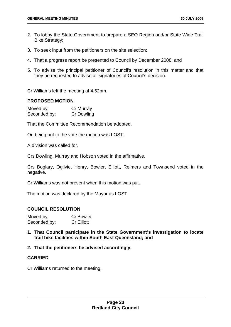- 2. To lobby the State Government to prepare a SEQ Region and/or State Wide Trail Bike Strategy;
- 3. To seek input from the petitioners on the site selection;
- 4. That a progress report be presented to Council by December 2008; and
- 5. To advise the principal petitioner of Council's resolution in this matter and that they be requested to advise all signatories of Council's decision.

Cr Williams left the meeting at 4.52pm.

#### **PROPOSED MOTION**

Moved by: Cr Murray Seconded by: Cr Dowling

That the Committee Recommendation be adopted.

On being put to the vote the motion was LOST.

A division was called for.

Crs Dowling, Murray and Hobson voted in the affirmative.

Crs Boglary, Ogilvie, Henry, Bowler, Elliott, Reimers and Townsend voted in the negative.

Cr Williams was not present when this motion was put.

The motion was declared by the Mayor as LOST.

#### **COUNCIL RESOLUTION**

| Moved by:    | <b>Cr Bowler</b>  |
|--------------|-------------------|
| Seconded by: | <b>Cr Elliott</b> |

- **1. That Council participate in the State Government's investigation to locate trail bike facilities within South East Queensland; and**
- **2. That the petitioners be advised accordingly.**

#### **CARRIED**

Cr Williams returned to the meeting.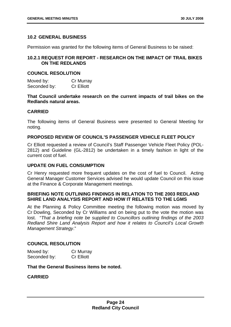#### <span id="page-28-0"></span>**10.2 GENERAL BUSINESS**

Permission was granted for the following items of General Business to be raised:

#### **10.2.1 REQUEST FOR REPORT - RESEARCH ON THE IMPACT OF TRAIL BIKES ON THE REDLANDS**

#### **COUNCIL RESOLUTION**

| Moved by:    | Cr Murray         |
|--------------|-------------------|
| Seconded by: | <b>Cr Elliott</b> |

**That Council undertake research on the current impacts of trail bikes on the Redlands natural areas.** 

#### **CARRIED**

The following items of General Business were presented to General Meeting for noting.

#### **PROPOSED REVIEW OF COUNCIL'S PASSENGER VEHICLE FLEET POLICY**

Cr Elliott requested a review of Council's Staff Passenger Vehicle Fleet Policy (POL-2812) and Guideline (GL-2812) be undertaken in a timely fashion in light of the current cost of fuel.

#### **UPDATE ON FUEL CONSUMPTION**

Cr Henry requested more frequent updates on the cost of fuel to Council. Acting General Manager Customer Services advised he would update Council on this issue at the Finance & Corporate Management meetings.

#### **BRIEFING NOTE OUTLINING FINDINGS IN RELATION TO THE 2003 REDLAND SHIRE LAND ANALYSIS REPORT AND HOW IT RELATES TO THE LGMS**

At the Planning & Policy Committee meeting the following motion was moved by Cr Dowling, Seconded by Cr Williams and on being put to the vote the motion was lost. "*That a briefing note be supplied to Councillors outlining findings of the 2003 Redland Shire Land Analysis Report and how it relates to Council's Local Growth Management Strategy*."

#### **COUNCIL RESOLUTION**

| Moved by:    | Cr Murray         |
|--------------|-------------------|
| Seconded by: | <b>Cr Elliott</b> |

#### **That the General Business items be noted.**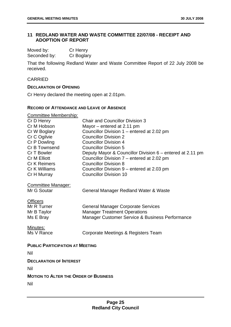#### <span id="page-29-0"></span>**11 REDLAND WATER AND WASTE COMMITTEE 22/07/08 - RECEIPT AND ADOPTION OF REPORT**

Moved by: Cr Henry Seconded by: Cr Boglary

That the following Redland Water and Waste Committee Report of 22 July 2008 be received.

#### CARRIED

#### **DECLARATION OF OPENING**

Cr Henry declared the meeting open at 2.01pm.

#### **RECORD OF ATTENDANCE AND LEAVE OF ABSENCE**

| <b>Committee Membership:</b>                 |                                                           |  |
|----------------------------------------------|-----------------------------------------------------------|--|
| Cr D Henry                                   | <b>Chair and Councillor Division 3</b>                    |  |
| Cr M Hobson                                  | Mayor – entered at 2.11 pm                                |  |
| Cr W Boglary                                 | Councillor Division 1 - entered at 2.02 pm                |  |
| Cr C Ogilvie                                 | <b>Councillor Division 2</b>                              |  |
| Cr P Dowling                                 | <b>Councillor Division 4</b>                              |  |
| Cr B Townsend                                | <b>Councillor Division 5</b>                              |  |
| Cr T Bowler                                  | Deputy Mayor & Councillor Division 6 - entered at 2.11 pm |  |
| <b>Cr M Elliott</b>                          | Councillor Division 7 – entered at 2.02 pm                |  |
| Cr K Reimers                                 | <b>Councillor Division 8</b>                              |  |
| Cr K Williams                                | Councillor Division 9 – entered at 2.03 pm                |  |
| Cr H Murray                                  | <b>Councillor Division 10</b>                             |  |
|                                              |                                                           |  |
| <b>Committee Manager:</b>                    |                                                           |  |
| Mr G Soutar                                  | General Manager Redland Water & Waste                     |  |
|                                              |                                                           |  |
| <b>Officers</b>                              |                                                           |  |
| Mr R Turner                                  | <b>General Manager Corporate Services</b>                 |  |
| Mr B Taylor                                  | <b>Manager Treatment Operations</b>                       |  |
| Ms E Bray                                    | Manager Customer Service & Business Performance           |  |
|                                              |                                                           |  |
| Minutes:                                     |                                                           |  |
| Ms V Rance                                   | Corporate Meetings & Registers Team                       |  |
|                                              |                                                           |  |
| <b>PUBLIC PARTICIPATION AT MEETING</b>       |                                                           |  |
| Nil                                          |                                                           |  |
| <b>DECLARATION OF INTEREST</b>               |                                                           |  |
| Nil                                          |                                                           |  |
| <b>MOTION TO ALTER THE ORDER OF BUSINESS</b> |                                                           |  |
| Nil                                          |                                                           |  |
|                                              |                                                           |  |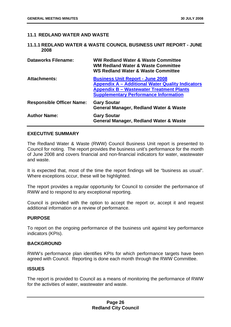#### <span id="page-30-0"></span>**11.1 REDLAND WATER AND WASTE**

#### **11.1.1 REDLAND WATER & WASTE COUNCIL BUSINESS UNIT REPORT - JUNE 2008**

| <b>Dataworks Filename:</b>       | <b>WW Redland Water &amp; Waste Committee</b><br><b>WM Redland Water &amp; Waste Committee</b><br><b>WS Redland Water &amp; Waste Committee</b>                                                       |
|----------------------------------|-------------------------------------------------------------------------------------------------------------------------------------------------------------------------------------------------------|
| <b>Attachments:</b>              | <b>Business Unit Report - June 2008</b><br><b>Appendix A - Additional Water Quality Indicators</b><br><b>Appendix B - Wastewater Treatment Plants</b><br><b>Supplementary Performance Information</b> |
| <b>Responsible Officer Name:</b> | <b>Gary Soutar</b><br><b>General Manager, Redland Water &amp; Waste</b>                                                                                                                               |
| <b>Author Name:</b>              | <b>Gary Soutar</b><br><b>General Manager, Redland Water &amp; Waste</b>                                                                                                                               |

#### **EXECUTIVE SUMMARY**

The Redland Water & Waste (RWW) Council Business Unit report is presented to Council for noting. The report provides the business unit's performance for the month of June 2008 and covers financial and non-financial indicators for water, wastewater and waste.

It is expected that, most of the time the report findings will be "business as usual". Where exceptions occur, these will be highlighted.

The report provides a regular opportunity for Council to consider the performance of RWW and to respond to any exceptional reporting.

Council is provided with the option to accept the report or, accept it and request additional information or a review of performance.

#### **PURPOSE**

To report on the ongoing performance of the business unit against key performance indicators (KPIs).

#### **BACKGROUND**

RWW's performance plan identifies KPIs for which performance targets have been agreed with Council. Reporting is done each month through the RWW Committee.

#### **ISSUES**

The report is provided to Council as a means of monitoring the performance of RWW for the activities of water, wastewater and waste.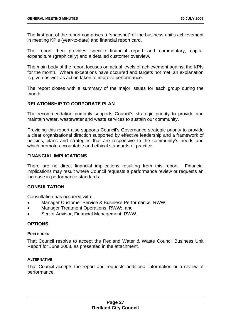The first part of the report comprises a "snapshot" of the business unit's achievement in meeting KPIs (year-to-date) and financial report card.

The report then provides specific financial report and commentary, capital expenditure (graphically) and a detailed customer overview.

The main body of the report focuses on actual levels of achievement against the KPIs for the month. Where exceptions have occurred and targets not met, an explanation is given as well as action taken to improve performance.

The report closes with a summary of the major issues for each group during the month.

#### **RELATIONSHIP TO CORPORATE PLAN**

The recommendation primarily supports Council's strategic priority to provide and maintain water, wastewater and waste services to sustain our community.

Providing this report also supports Council's Governance strategic priority to provide a clear organisational direction supported by effective leadership and a framework of policies, plans and strategies that are responsive to the community's needs and which promote accountable and ethical standards of practice.

#### **FINANCIAL IMPLICATIONS**

There are no direct financial implications resulting from this report. Financial implications may result where Council requests a performance review or requests an increase in performance standards.

#### **CONSULTATION**

Consultation has occurred with:

- Manager Customer Service & Business Performance, RWW;
- Manager Treatment Operations, RWW; and
- Senior Advisor, Financial Management, RWW.

#### **OPTIONS**

#### **PREFERRED**

That Council resolve to accept the Redland Water & Waste Council Business Unit Report for June 2008, as presented in the attachment.

#### **ALTERNATIVE**

That Council accepts the report and requests additional information or a review of performance.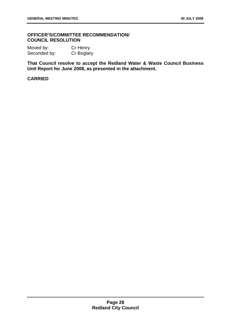#### **OFFICER'S/COMMITTEE RECOMMENDATION/ COUNCIL RESOLUTION**

Moved by: Cr Henry Seconded by: Cr Boglary

**That Council resolve to accept the Redland Water & Waste Council Business Unit Report for June 2008, as presented in the attachment.**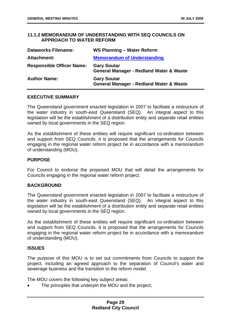#### <span id="page-33-0"></span>**11.1.2 MEMORANDUM OF UNDERSTANDING WITH SEQ COUNCILS ON APPROACH TO WATER REFORM**

| <b>Dataworks Filename:</b>       | WS Planning - Water Reform                                               |
|----------------------------------|--------------------------------------------------------------------------|
| Attachment:                      | <b>Memorandum of Understanding</b>                                       |
| <b>Responsible Officer Name:</b> | <b>Gary Soutar</b><br><b>General Manager - Redland Water &amp; Waste</b> |
| <b>Author Name:</b>              | <b>Gary Soutar</b><br><b>General Manager - Redland Water &amp; Waste</b> |

#### **EXECUTIVE SUMMARY**

The Queensland government enacted legislation in 2007 to facilitate a restructure of the water industry in south-east Queensland (SEQ). An integral aspect to this legislation will be the establishment of a distribution entity and separate retail entities owned by local governments in the SEQ region.

As the establishment of these entities will require significant co-ordination between and support from SEQ Councils, it is proposed that the arrangements for Councils engaging in the regional water reform project be in accordance with a memorandum of understanding (MOU).

#### **PURPOSE**

For Council to endorse the proposed MOU that will detail the arrangements for Councils engaging in the regional water reform project.

#### **BACKGROUND**

The Queensland government enacted legislation in 2007 to facilitate a restructure of the water industry in south-east Queensland (SEQ). An integral aspect to this legislation will be the establishment of a distribution entity and separate retail entities owned by local governments in the SEQ region.

As the establishment of these entities will require significant co-ordination between and support from SEQ Councils, it is proposed that the arrangements for Councils engaging in the regional water reform project be in accordance with a memorandum of understanding (MOU).

#### **ISSUES**

The purpose of this MOU is to set out commitments from Councils to support the project, including an agreed approach to the separation of Council's water and sewerage business and the transition to the reform model.

The MOU covers the following key subject areas:

The principles that underpin the MOU and the project: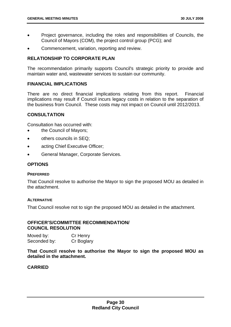- Project governance, including the roles and responsibilities of Councils, the Council of Mayors (COM), the project control group (PCG); and
- Commencement, variation, reporting and review.

#### **RELATIONSHIP TO CORPORATE PLAN**

The recommendation primarily supports Council's strategic priority to provide and maintain water and, wastewater services to sustain our community.

#### **FINANCIAL IMPLICATIONS**

There are no direct financial implications relating from this report. Financial implications may result if Council incurs legacy costs in relation to the separation of the business from Council. These costs may not impact on Council until 2012/2013.

#### **CONSULTATION**

Consultation has occurred with:

- the Council of Mayors:
- others councils in SEQ:
- acting Chief Executive Officer;
- General Manager, Corporate Services.

#### **OPTIONS**

#### **PREFERRED**

That Council resolve to authorise the Mayor to sign the proposed MOU as detailed in the attachment.

#### **ALTERNATIVE**

That Council resolve not to sign the proposed MOU as detailed in the attachment.

#### **OFFICER'S/COMMITTEE RECOMMENDATION/ COUNCIL RESOLUTION**

Moved by: Cr Henry Seconded by: Cr Boglary

**That Council resolve to authorise the Mayor to sign the proposed MOU as detailed in the attachment.**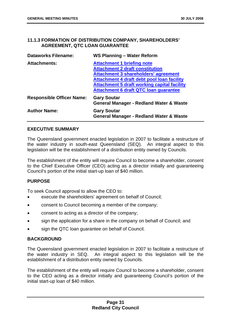#### <span id="page-35-0"></span>**11.1.3 FORMATION OF DISTRIBUTION COMPANY, SHAREHOLDERS' AGREEMENT, QTC LOAN GUARANTEE**

| <b>Dataworks Filename:</b>       | WS Planning - Water Reform                         |
|----------------------------------|----------------------------------------------------|
| <b>Attachments:</b>              | <b>Attachment 1 briefing note</b>                  |
|                                  | <b>Attachment 2 draft constitution</b>             |
|                                  | <b>Attachment 3 shareholders' agreement</b>        |
|                                  | Attachment 4 draft debt pool loan facility         |
|                                  | <b>Attachment 5 draft working capital facility</b> |
|                                  | <b>Attachment 6 draft QTC loan guarantee</b>       |
| <b>Responsible Officer Name:</b> | <b>Gary Soutar</b>                                 |
|                                  | <b>General Manager - Redland Water &amp; Waste</b> |
| <b>Author Name:</b>              | <b>Gary Soutar</b>                                 |
|                                  | <b>General Manager - Redland Water &amp; Waste</b> |

#### **EXECUTIVE SUMMARY**

The Queensland government enacted legislation in 2007 to facilitate a restructure of the water industry in south-east Queensland (SEQ). An integral aspect to this legislation will be the establishment of a distribution entity owned by Councils.

The establishment of the entity will require Council to become a shareholder, consent to the Chief Executive Officer (CEO) acting as a director initially and guaranteeing Council's portion of the initial start-up loan of \$40 million.

#### **PURPOSE**

To seek Council approval to allow the CEO to:

- execute the shareholders' agreement on behalf of Council;
- consent to Council becoming a member of the company;
- consent to acting as a director of the company;
- sign the application for a share in the company on behalf of Council; and
- sign the QTC loan guarantee on behalf of Council.

#### **BACKGROUND**

The Queensland government enacted legislation in 2007 to facilitate a restructure of the water industry in SEQ. An integral aspect to this legislation will be the establishment of a distribution entity owned by Councils.

The establishment of the entity will require Council to become a shareholder, consent to the CEO acting as a director initially and guaranteeing Council's portion of the initial start-up loan of \$40 million.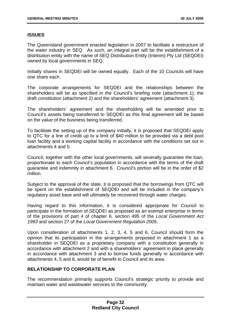# **ISSUES**

The Queensland government enacted legislation in 2007 to facilitate a restructure of the water industry in SEQ. As such, an integral part will be the establishment of a distribution entity with the name of SEQ Distribution Entity (Interim) Pty Ltd (SEQDEI) owned by local governments in SEQ.

Initially shares in SEQDEI will be owned equally. Each of the 10 Councils will have one share each.

The corporate arrangements for SEQDEI and the relationships between the shareholders will be as specified in the Council's briefing note (attachment 1); the draft constitution (attachment 2) and the shareholders' agreement (attachment 3).

The shareholders' agreement and the shareholding will be amended prior to Council's assets being transferred to SEQDEI as this final agreement will be based on the value of the business being transferred.

To facilitate the setting up of the company initially, it is proposed that SEQDEI apply to QTC for a line of credit up to a limit of \$40 million to be provided via a debt pool loan facility and a working capital facility in accordance with the conditions set out in attachments 4 and 5.

Council, together with the other local governments, will severally guarantee the loan, proportionate to each Council's population in accordance with the terms of the draft guarantee and indemnity in attachment 6. Council's portion will be in the order of \$2 million.

Subject to the approval of the state, it is proposed that the borrowings from QTC will be spent on the establishment of SEQDEI and will be included in the company's regulatory asset base and will ultimately be recovered through water charges.

Having regard to this information, it is considered appropriate for Council to participate in the formation of SEQDEI as proposed as an exempt enterprise in terms of the provisions of part 4 of chapter 6, section 495 of the *Local Government Act 1993* and section 27 of the *Local Government Regulation 2005*.

Upon consideration of attachments 1, 2, 3, 4, 5 and 6, Council should form the opinion that its participation in the arrangements proposed in attachment 1 as a shareholder in SEQDEI as a proprietary company with a constitution generally in accordance with attachment 2 and with a shareholders' agreement in place generally in accordance with attachment 3 and to borrow funds generally in accordance with attachments 4, 5 and 6, would be of benefit to Council and its area.

# **RELATIONSHIP TO CORPORATE PLAN**

The recommendation primarily supports Council's strategic priority to provide and maintain water and wastewater services to the community.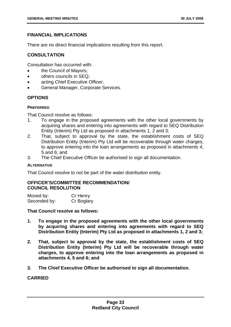# **FINANCIAL IMPLICATIONS**

There are no direct financial implications resulting from this report.

# **CONSULTATION**

Consultation has occurred with:

- the Council of Mayors;
- others councils in SEQ;
- acting Chief Executive Officer;
- General Manager, Corporate Services.

# **OPTIONS**

# **PREFERRED**

That Council resolve as follows:

- 1. To engage in the proposed agreements with the other local governments by acquiring shares and entering into agreements with regard to SEQ Distribution Entity (Interim) Pty Ltd as proposed in attachments 1, 2 and 3;
- 2. That, subject to approval by the state, the establishment costs of SEQ Distribution Entity (Interim) Pty Ltd will be recoverable through water charges, to approve entering into the loan arrangements as proposed in attachments 4, 5 and 6; and
- 3. The Chief Executive Officer be authorised to sign all documentation.

### **ALTERNATIVE**

That Council resolve to not be part of the water distribution entity.

# **OFFICER'S/COMMITTEE RECOMMENDATION/ COUNCIL RESOLUTION**

| Moved by:    | Cr Henry   |
|--------------|------------|
| Seconded by: | Cr Boglary |

**That Council resolve as follows:** 

- **1. To engage in the proposed agreements with the other local governments by acquiring shares and entering into agreements with regard to SEQ Distribution Entity (Interim) Pty Ltd as proposed in attachments 1, 2 and 3;**
- **2. That, subject to approval by the state, the establishment costs of SEQ Distribution Entity (Interim) Pty Ltd will be recoverable through water charges, to approve entering into the loan arrangements as proposed in attachments 4, 5 and 6; and**
- **3. The Chief Executive Officer be authorised to sign all documentation.**

# **CARRIED**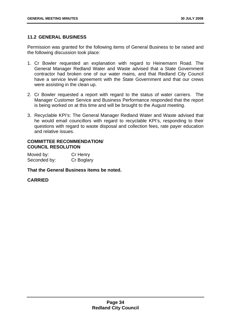# **11.2 GENERAL BUSINESS**

Permission was granted for the following items of General Business to be raised and the following discussion took place:

- 1. Cr Bowler requested an explanation with regard to Heinemann Road. The General Manager Redland Water and Waste advised that a State Government contractor had broken one of our water mains, and that Redland City Council have a service level agreement with the State Government and that our crews were assisting in the clean up.
- 2. Cr Bowler requested a report with regard to the status of water carriers. The Manager Customer Service and Business Performance responded that the report is being worked on at this time and will be brought to the August meeting.
- 3. Recyclable KPI's: The General Manager Redland Water and Waste advised that he would email councillors with regard to recyclable KPI's, responding to their questions with regard to waste disposal and collection fees, rate payer education and relative issues.

### **COMMITTEE RECOMMENDATION/ COUNCIL RESOLUTION**

| Moved by:    | Cr Henry   |
|--------------|------------|
| Seconded by: | Cr Boglary |

# **That the General Business items be noted.**

### **CARRIED**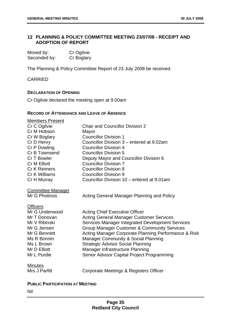# **12 PLANNING & POLICY COMMITTEE MEETING 23/07/08 - RECEIPT AND ADOPTION OF REPORT**

| Moved by:    | Cr Ogilvie |
|--------------|------------|
| Seconded by: | Cr Boglary |

The Planning & Policy Committee Report of 23 July 2008 be received.

CARRIED

# **DECLARATION OF OPENING**

Cr Ogilvie declared the meeting open at 9.00am

# **RECORD OF ATTENDANCE AND LEAVE OF ABSENCE**

| <b>Members Present</b>   |                                                        |
|--------------------------|--------------------------------------------------------|
| Cr C Ogilvie             | <b>Chair and Councillor Division 2</b>                 |
| Cr M Hobson              | Mayor                                                  |
| Cr W Boglary             | <b>Councillor Division 1</b>                           |
| Cr D Henry               | Councillor Division 3 – entered at 9.02am              |
| Cr P Dowling             | <b>Councillor Division 4</b>                           |
| Cr B Townsend            | <b>Councillor Division 5</b>                           |
| Cr T Bowler              | Deputy Mayor and Councillor Division 6                 |
| <b>Cr M Elliott</b>      | <b>Councillor Division 7</b>                           |
| Cr K Reimers             | <b>Councillor Division 8</b>                           |
| Cr K Williams            | <b>Councillor Division 9</b>                           |
| Cr H Murray              | Councillor Division 10 – entered at 9.01am             |
| <b>Committee Manager</b> |                                                        |
| Mr G Photinos            | Acting General Manager Planning and Policy             |
| <b>Officers</b>          |                                                        |
| Mr G Underwood           | <b>Acting Chief Executive Officer</b>                  |
| Mr T Donovan             | <b>Acting General Manager Customer Services</b>        |
| Mr V Ribinski            | Services Manager Integrated Development Services       |
| Mr G Jensen              | <b>Group Manager Customer &amp; Community Services</b> |
| Mr G Bennett             | Acting Manager Corporate Planning Performance & Risk   |
| Ms R Bonnin              | <b>Manager Community &amp; Social Planning</b>         |
| Ms L Brown               | <b>Strategic Advisor Social Planning</b>               |
| Mr D Elliott             | Manager Infrastructure Planning                        |
| Mr L Purdie              | Senior Advisor Capital Project Programming             |
| <b>Minutes</b>           |                                                        |
| Mrs J Parfitt            | Corporate Meetings & Registers Officer                 |
|                          |                                                        |

# **PUBLIC PARTICIPATION AT MEETING**

Nil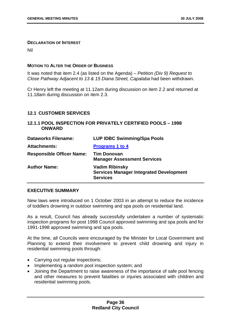#### **DECLARATION OF INTEREST**

Nil

### **MOTION TO ALTER THE ORDER OF BUSINESS**

It was noted that item 2.4 (as listed on the Agenda) – *Petition (Div 9) Request to Close Pathway Adjacent to 13 & 15 Diana Street, Capalaba* had been withdrawn.

Cr Henry left the meeting at 11.12am during discussion on item 2.2 and returned at 11.18am during discussion on item 2.3.

# **12.1 CUSTOMER SERVICES**

# **12.1.1 POOL INSPECTION FOR PRIVATELY CERTIFIED POOLS – 1998 ONWARD**

| <b>Dataworks Filename:</b>       | <b>LUP IDBC Swimming/Spa Pools</b>                                                         |
|----------------------------------|--------------------------------------------------------------------------------------------|
| <b>Attachments:</b>              | <b>Programs 1 to 4</b>                                                                     |
| <b>Responsible Officer Name:</b> | <b>Tim Donovan</b><br><b>Manager Assessment Services</b>                                   |
| <b>Author Name:</b>              | <b>Vadim Ribinsky</b><br><b>Services Manager Integrated Development</b><br><b>Services</b> |

### **EXECUTIVE SUMMARY**

New laws were introduced on 1 October 2003 in an attempt to reduce the incidence of toddlers drowning in outdoor swimming and spa pools on residential land.

As a result, Council has already successfully undertaken a number of systematic inspection programs for post 1998 Council approved swimming and spa pools and for 1991-1998 approved swimming and spa pools.

At the time, all Councils were encouraged by the Minister for Local Government and Planning to extend their involvement to prevent child drowning and injury in residential swimming pools through:

- Carrying out regular inspections;
- Implementing a random pool inspection system; and
- Joining the Department to raise awareness of the importance of safe pool fencing and other measures to prevent fatalities or injuries associated with children and residential swimming pools.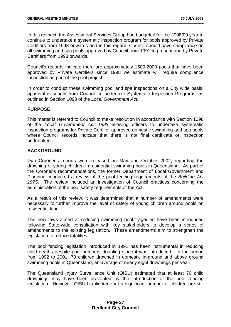In this respect, the Assessment Services Group had budgeted for the 2008/09 year to continue to undertake a systematic inspection program for pools approved by Private Certifiers from 1998 onwards and in this regard, Council should have compliance on all swimming and spa pools approved by Council from 1991 to present and by Private Certifiers from 1998 onwards.

Council's records indicate there are approximately 1500-2000 pools that have been approved by Private Certifiers since 1998 we estimate will require compliance inspection as part of the pool project.

In order to conduct these swimming pool and spa inspections on a City wide basis, approval is sought from Council, to undertake Systematic Inspection Programs, as outlined in Section 1098 of the *Local Government Act.* 

# **PURPOSE**

This matter is referred to Council to make resolution in accordance with Section 1098 of the *Local Government Act 1993* allowing officers to undertake systematic inspection programs for Private Certifier approved domestic swimming and spa pools where Council records indicate that there is not final certificate or inspection undertaken.

# **BACKGROUND**

Two Coroner's reports were released, in May and October 2002, regarding the drowning of young children in residential swimming pools in Queensland. As part of the Coroner's recommendations, the former Department of Local Government and Planning conducted a review of the pool fencing requirements of the *Building Act 1975*. The review included an investigation of Council practices concerning the administration of the pool safety requirements of the Act.

As a result of this review, it was determined that a number of amendments were necessary to further improve the level of safety of young children around pools on residential land.

The new laws aimed at reducing swimming pool tragedies have been introduced following State-wide consultation with key stakeholders to develop a series of amendments to the existing legislation. These amendments aim to strengthen the legislation to reduce fatalities.

The pool fencing legislation introduced in 1991 has been instrumental in reducing child deaths despite pool numbers doubling since it was introduced. In the period from 1992 to 2001, 73 children drowned in domestic in-ground and above ground swimming pools in Queensland, an average of nearly eight drownings per year.

The Queensland Injury Surveillance Unit (QISU) estimated that at least 70 child drownings may have been prevented by the introduction of the pool fencing legislation. However, QISU highlighted that a significant number of children are still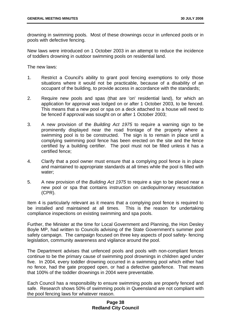drowning in swimming pools. Most of these drownings occur in unfenced pools or in pools with defective fencing.

New laws were introduced on 1 October 2003 in an attempt to reduce the incidence of toddlers drowning in outdoor swimming pools on residential land.

The new laws:

- 1. Restrict a Council's ability to grant pool fencing exemptions to only those situations where it would not be practicable, because of a disability of an occupant of the building, to provide access in accordance with the standards;
- 2. Require new pools and spas (that are 'on' residential land), for which an application for approval was lodged on or after 1 October 2003, to be fenced. This means that a new pool or spa on a deck attached to a house will need to be fenced if approval was sought on or after 1 October 2003;
- 3. A new provision of the *Building Act 1975* to require a warning sign to be prominently displayed near the road frontage of the property where a swimming pool is to be constructed. The sign is to remain in place until a complying swimming pool fence has been erected on the site and the fence certified by a building certifier. The pool must not be filled unless it has a certified fence;
- 4. Clarify that a pool owner must ensure that a complying pool fence is in place and maintained to appropriate standards at all times while the pool is filled with water;
- 5. A new provision of the *Building Act 1975* to require a sign to be placed near a new pool or spa that contains instruction on cardiopulmonary resuscitation (CPR).

Item 4 is particularly relevant as it means that a complying pool fence is required to be installed and maintained at all times. This is the reason for undertaking compliance inspections on existing swimming and spa pools.

Further, the Minister at the time for Local Government and Planning, the Hon Desley Boyle MP, had written to Councils advising of the State Government's summer pool safety campaign. The campaign focused on three key aspects of pool safety- fencing legislation, community awareness and vigilance around the pool.

The Department advises that unfenced pools and pools with non-compliant fences continue to be the primary cause of swimming pool drownings in children aged under five. In 2004, every toddler drowning occurred in a swimming pool which either had no fence, had the gate propped open, or had a defective gate/fence. That means that 100% of the toddler drownings in 2004 were preventable.

Each Council has a responsibility to ensure swimming pools are properly fenced and safe. Research shows 50% of swimming pools in Queensland are not compliant with the pool fencing laws for whatever reason.

# **Page 38 Redland City Council**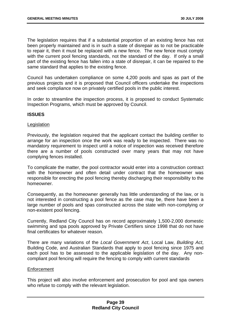The legislation requires that if a substantial proportion of an existing fence has not been properly maintained and is in such a state of disrepair as to not be practicable to repair it, then it must be replaced with a new fence. The new fence must comply with the current pool fencing standards, not the standard of the day. If only a small part of the existing fence has fallen into a state of disrepair, it can be repaired to the same standard that applies to the existing fence.

Council has undertaken compliance on some 4,200 pools and spas as part of the previous projects and it is proposed that Council officers undertake the inspections and seek compliance now on privately certified pools in the public interest.

In order to streamline the inspection process, it is proposed to conduct Systematic Inspection Programs, which must be approved by Council.

#### **ISSUES**

#### **Legislation**

Previously, the legislation required that the applicant contact the building certifier to arrange for an inspection once the work was ready to be inspected. There was no mandatory requirement to inspect until a notice of inspection was received therefore there are a number of pools constructed over many years that may not have complying fences installed.

To complicate the matter, the pool contractor would enter into a construction contract with the homeowner and often detail under contract that the homeowner was responsible for erecting the pool fencing thereby discharging their responsibility to the homeowner.

Consequently, as the homeowner generally has little understanding of the law, or is not interested in constructing a pool fence as the case may be, there have been a large number of pools and spas constructed across the state with non-complying or non-existent pool fencing.

Currently, Redland City Council has on record approximately 1,500-2,000 domestic swimming and spa pools approved by Private Certifiers since 1998 that do not have final certificates for whatever reason.

There are many variations of the *Local Government Act*, Local Law, *Building Act*, Building Code, and Australian Standards that apply to pool fencing since 1975 and each pool has to be assessed to the applicable legislation of the day. Any noncompliant pool fencing will require the fencing to comply with current standards

### **Enforcement**

This project will also involve enforcement and prosecution for pool and spa owners who refuse to comply with the relevant legislation.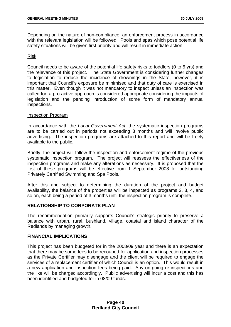Depending on the nature of non-compliance, an enforcement process in accordance with the relevant legislation will be followed. Pools and spas which pose potential life safety situations will be given first priority and will result in immediate action.

### Risk

Council needs to be aware of the potential life safety risks to toddlers (0 to 5 yrs) and the relevance of this project. The State Government is considering further changes to legislation to reduce the incidence of drownings in the State, however, it is important that Council's exposure be minimised and that duty of care is exercised in this matter. Even though it was not mandatory to inspect unless an inspection was called for, a pro-active approach is considered appropriate considering the impacts of legislation and the pending introduction of some form of mandatory annual inspections.

#### Inspection Program

In accordance with the *Local Government Act*, the systematic inspection programs are to be carried out in periods not exceeding 3 months and will involve public advertising. The inspection programs are attached to this report and will be freely available to the public.

Briefly, the project will follow the inspection and enforcement regime of the previous systematic inspection program. The project will reassess the effectiveness of the inspection programs and make any alterations as necessary. It is proposed that the first of these programs will be effective from 1 September 2008 for outstanding Privately Certified Swimming and Spa Pools.

After this and subject to determining the duration of the project and budget availability, the balance of the properties will be inspected as programs 2, 3, 4, and so on, each being a period of 3 months until the inspection program is complete.

### **RELATIONSHIP TO CORPORATE PLAN**

The recommendation primarily supports Council's strategic priority to preserve a balance with urban, rural, bushland, village, coastal and island character of the Redlands by managing growth.

# **FINANCIAL IMPLICATIONS**

This project has been budgeted for in the 2008/09 year and there is an expectation that there may be some fees to be recouped for application and inspection processes as the Private Certifier may disengage and the client will be required to engage the services of a replacement certifier of which Council is an option. This would result in a new application and inspection fees being paid. Any on-going re-inspections and the like will be charged accordingly. Public advertising will incur a cost and this has been identified and budgeted for in 08/09 funds.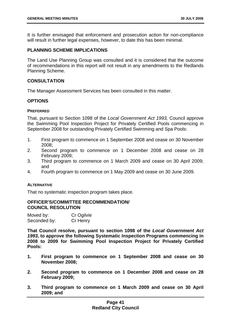It is further envisaged that enforcement and prosecution action for non-compliance will result in further legal expenses, however, to date this has been minimal.

### **PLANNING SCHEME IMPLICATIONS**

The Land Use Planning Group was consulted and it is considered that the outcome of recommendations in this report will not result in any amendments to the Redlands Planning Scheme.

## **CONSULTATION**

The Manager Assessment Services has been consulted in this matter.

## **OPTIONS**

#### **PREFERRED**

That, pursuant to Section 1098 of the *Local Government Act 1993,* Council approve the Swimming Pool Inspection Project for Privately Certified Pools commencing in September 2008 for outstanding Privately Certified Swimming and Spa Pools:

- 1. First program to commence on 1 September 2008 and cease on 30 November 2008;
- 2. Second program to commence on 1 December 2008 and cease on 28 February 2009;
- 3. Third program to commence on 1 March 2009 and cease on 30 April 2009; and
- 4. Fourth program to commence on 1 May 2009 and cease on 30 June 2009.

### **ALTERNATIVE**

That no systematic inspection program takes place.

#### **OFFICER'S/COMMITTEE RECOMMENDATION/ COUNCIL RESOLUTION**

| Moved by:    | Cr Ogilvie |
|--------------|------------|
| Seconded by: | Cr Henry   |

**That Council resolve, pursuant to section 1098 of the** *Local Government Act 1993***, to approve the following Systematic Inspection Programs commencing in 2008 to 2009 for Swimming Pool Inspection Project for Privately Certified Pools:** 

- **1. First program to commence on 1 September 2008 and cease on 30 November 2008;**
- **2. Second program to commence on 1 December 2008 and cease on 28 February 2009;**
- **3. Third program to commence on 1 March 2009 and cease on 30 April 2009; and**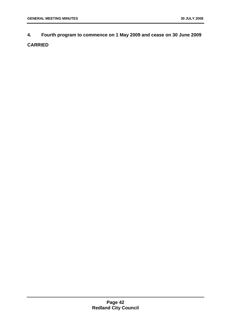**4. Fourth program to commence on 1 May 2009 and cease on 30 June 2009 CARRIED**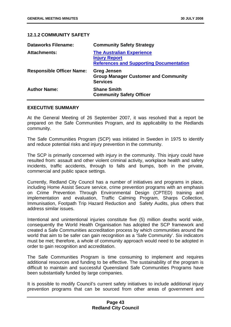# **12.1.2 COMMUNITY SAFETY**

| <b>Dataworks Filename:</b>       | <b>Community Safety Strategy</b>                                                                           |
|----------------------------------|------------------------------------------------------------------------------------------------------------|
| <b>Attachments:</b>              | <b>The Australian Experience</b><br><b>Injury Report</b><br><b>References and Supporting Documentation</b> |
| <b>Responsible Officer Name:</b> | <b>Greg Jensen</b><br><b>Group Manager Customer and Community</b><br><b>Services</b>                       |
| <b>Author Name:</b>              | <b>Shane Smith</b><br><b>Community Safety Officer</b>                                                      |

### **EXECUTIVE SUMMARY**

At the General Meeting of 26 September 2007, it was resolved that a report be prepared on the Safe Communities Program, and its applicability to the Redlands community.

The Safe Communities Program (SCP) was initiated in Sweden in 1975 to identify and reduce potential risks and injury prevention in the community.

The SCP is primarily concerned with injury in the community. This injury could have resulted from: assault and other violent criminal activity, workplace health and safety incidents, traffic accidents, through to falls and bumps, both in the private, commercial and public space settings.

Currently, Redland City Council has a number of initiatives and programs in place, including Home Assist Secure service, crime prevention programs with an emphasis on Crime Prevention Through Environmental Design (CPTED) training and implementation and evaluation, Traffic Calming Program, Sharps Collection, Immunisation, Footpath Trip Hazard Reduction and Safety Audits, plus others that address similar issues.

Intentional and unintentional injuries constitute five (5) million deaths world wide. consequently the World Health Organisation has adopted the SCP framework and created a Safe Communities accreditation process by which communities around the world that aim to be safer can gain recognition as a 'Safe Community'. Six indicators must be met; therefore, a whole of community approach would need to be adopted in order to gain recognition and accreditation.

The Safe Communities Program is time consuming to implement and requires additional resources and funding to be effective. The sustainability of the program is difficult to maintain and successful Queensland Safe Communities Programs have been substantially funded by large companies.

It is possible to modify Council's current safety initiatives to include additional injury prevention programs that can be sourced from other areas of government and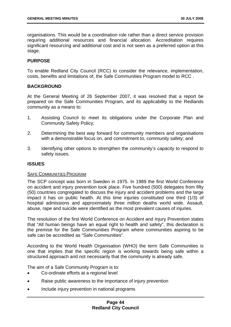organisations. This would be a coordination role rather than a direct service provision requiring additional resources and financial allocation. Accreditation requires significant resourcing and additional cost and is not seen as a preferred option at this stage.

# **PURPOSE**

To enable Redland City Council (RCC) to consider the relevance, implementation, costs, benefits and limitations of, the Safe Communities Program model to RCC .

# **BACKGROUND**

At the General Meeting of 26 September 2007, it was resolved that a report be prepared on the Safe Communities Program, and its applicability to the Redlands community as a means to:

- 1. Assisting Council to meet its obligations under the Corporate Plan and Community Safety Policy;
- 2. Determining the best way forward for community members and organisations with a demonstrable focus on, and commitment to, community safety; and
- 3. Identifying other options to strengthen the community's capacity to respond to safety issues.

### **ISSUES**

### SAFE COMMUNITIES PROGRAM

The SCP concept was born in Sweden in 1975. In 1989 the first World Conference on accident and injury prevention took place. Five hundred (500) delegates from fifty (50) countries congregated to discuss the injury and accident problems and the large impact it has on public health. At this time injuries constituted one third (1/3) of hospital admissions and approximately three million deaths world wide. Assault, abuse, rape and suicide were identified as the most prevalent causes of injuries.

The resolution of the first World Conference on Accident and Injury Prevention states that "All human beings have an equal right to health and safety", this declaration is the premise for the Safe Communities Program where communities aspiring to be safe can be accredited as "Safe Communities".

According to the World Health Organisation (WHO) the term Safe Communities is one that implies that the specific region is working towards being safe within a structured approach and not necessarily that the community is already safe.

The aim of a Safe Community Program is to:

- Co-ordinate efforts at a regional level
- Raise public awareness to the importance of injury prevention
- Include injury prevention in national programs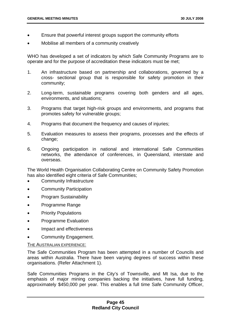- Ensure that powerful interest groups support the community efforts
- Mobilise all members of a community creatively

WHO has developed a set of indicators by which Safe Community Programs are to operate and for the purpose of accreditation these indicators must be met;

- 1. An infrastructure based on partnership and collaborations, governed by a cross- sectional group that is responsible for safety promotion in their community;
- 2. Long-term, sustainable programs covering both genders and all ages, environments, and situations;
- 3. Programs that target high-risk groups and environments, and programs that promotes safety for vulnerable groups;
- 4. Programs that document the frequency and causes of injuries;
- 5. Evaluation measures to assess their programs, processes and the effects of change:
- 6. Ongoing participation in national and international Safe Communities networks, the attendance of conferences, in Queensland, interstate and overseas.

The World Health Organisation Collaborating Centre on Community Safety Promotion has also identified eight criteria of Safe Communities:

- Community Infrastructure
- Community Participation
- Program Sustainability
- Programme Range
- Priority Populations
- Programme Evaluation
- Impact and effectiveness
- Community Engagement.

### THE AUSTRALIAN EXPERIENCE:

The Safe Communities Program has been attempted in a number of Councils and areas within Australia. There have been varying degrees of success within these organisations. (Refer Attachment 1).

Safe Communities Programs in the City's of Townsville, and Mt Isa, due to the emphasis of major mining companies backing the initiatives, have full funding, approximately \$450,000 per year. This enables a full time Safe Community Officer,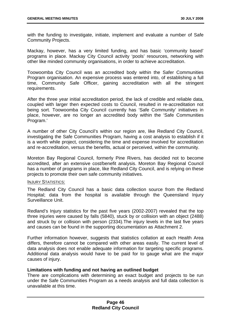with the funding to investigate, initiate, implement and evaluate a number of Safe Community Projects.

Mackay, however, has a very limited funding, and has basic 'community based' programs in place. Mackay City Council activity 'pools' resources, networking with other like minded community organisations, in order to achieve accreditation.

Toowoomba City Council was an accredited body within the Safer Communities Program organisation. An expensive process was entered into, of establishing a full time, Community Safe Officer, gaining accreditation with all the stringent requirements.

After the three year initial accreditation period, the lack of credible and reliable data, coupled with larger then expected costs to Council, resulted in re-accreditation not being sort. Toowoomba City Council currently has 'Safe Community' initiatives in place, however, are no longer an accredited body within the 'Safe Communities Program.'

A number of other City Council's within our region are, like Redland City Council, investigating the Safe Communities Program, having a cost analysis to establish if it is a worth while project, considering the time and expense involved for accreditation and re-accreditation, versus the benefits, actual or perceived, within the community.

Moreton Bay Regional Council, formerly Pine Rivers, has decided not to become accredited, after an extensive cost/benefit analysis. Moreton Bay Regional Council has a number of programs in place, like Redland City Council, and is relying on these projects to promote their own safe community initiatives.

### INJURY STATISTICS:

The Redland City Council has a basic data collection source from the Redland Hospital; data from the hospital is available through the Queensland Injury Surveillance Unit.

Redland's Injury statistics for the past five years (2002-2007) revealed that the top three injuries were caused by falls (5840), stuck by or collision with an object (2488) and struck by or collision with person (2334).The injury levels in the last five years and causes can be found in the supporting documentation as Attachment 2.

Further information however, suggests that statistics collation at each Health Area differs, therefore cannot be compared with other areas easily. The current level of data analysis does not enable adequate information for targeting specific programs. Additional data analysis would have to be paid for to gauge what are the major causes of injury.

### **Limitations with funding and not having an outlined budget**

There are complications with determining an exact budget and projects to be run under the Safe Communities Program as a needs analysis and full data collection is unavailable at this time.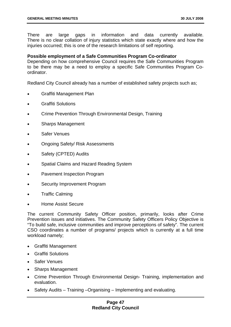There are large gaps in information and data currently available. There is no clear collation of injury statistics which state exactly where and how the iniuries occurred; this is one of the research limitations of self reporting.

### **Possible employment of a Safe Communities Program Co-ordinator**

Depending on how comprehensive Council requires the Safe Communities Program to be there may be a need to employ a specific Safe Communities Program Coordinator.

Redland City Council already has a number of established safety projects such as;

- Graffiti Management Plan
- Graffiti Solutions
- Crime Prevention Through Environmental Design, Training
- Sharps Management
- Safer Venues
- Ongoing Safety/ Risk Assessments
- Safety (CPTED) Audits
- Spatial Claims and Hazard Reading System
- Pavement Inspection Program
- Security Improvement Program
- Traffic Calming
- Home Assist Secure

The current Community Safety Officer position, primarily, looks after Crime Prevention issues and initiatives. The Community Safety Officers Policy Objective is "To build safe, inclusive communities and improve perceptions of safety". The current CSO coordinates a number of programs/ projects which is currently at a full time workload namely;

- Graffiti Management
- Graffiti Solutions
- Safer Venues
- Sharps Management
- Crime Prevention Through Environmental Design- Training, implementation and evaluation.
- Safety Audits Training Organising Implementing and evaluating.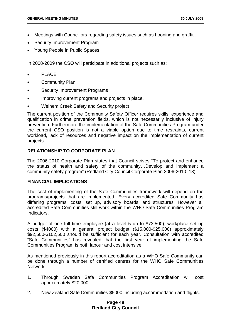- Meetings with Councillors regarding safety issues such as hooning and graffiti.
- **Security Improvement Program**
- Young People in Public Spaces

In 2008-2009 the CSO will participate in additional projects such as;

- **PLACE**
- Community Plan
- Security Improvement Programs
- Improving current programs and projects in place.
- Weinem Creek Safety and Security project

The current position of the Community Safety Officer requires skills, experience and qualification in crime prevention fields, which is not necessarily inclusive of injury prevention. Furthermore the implementation of the Safe Communities Program under the current CSO position is not a viable option due to time restraints, current workload, lack of resources and negative impact on the implementation of current projects.

# **RELATIONSHIP TO CORPORATE PLAN**

The 2006-2010 Corporate Plan states that Council strives "To protect and enhance the status of health and safety of the community…Develop and implement a community safety program" (Redland City Council Corporate Plan 2006-2010: 18).

### **FINANCIAL IMPLICATIONS**

The cost of implementing of the Safe Communities framework will depend on the programs/projects that are implemented. Every accredited Safe Community has differing programs, costs, set up, advisory boards, and structures. However all accredited Safe Communities still work within the WHO Safe Communities Program Indicators.

A budget of one full time employee (at a level 5 up to \$73,500), workplace set up costs (\$4000) with a general project budget (\$15,000-\$25,000) approximately \$92,500-\$102,500 should be sufficient for each year. Consultation with accredited "Safe Communities" has revealed that the first year of implementing the Safe Communities Program is both labour and cost intensive.

As mentioned previously in this report accreditation as a WHO Safe Community can be done through a number of certified centres for the WHO Safe Communities Network;

- 1. Through Sweden Safe Communities Program Accreditation will cost approximately \$20,000
- 2. New Zealand Safe Communities \$5000 including accommodation and flights.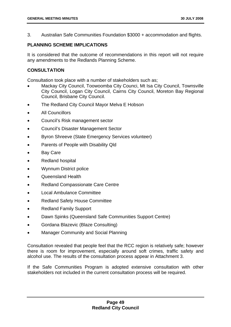3. Australian Safe Communities Foundation \$3000 + accommodation and flights.

# **PLANNING SCHEME IMPLICATIONS**

It is considered that the outcome of recommendations in this report will not require any amendments to the Redlands Planning Scheme.

# **CONSULTATION**

Consultation took place with a number of stakeholders such as;

- Mackay City Council, Toowoomba City Counci, Mt Isa City Council, Townsville City Council, Logan City Council, Cairns City Council, Moreton Bay Regional Council, Brisbane City Council.
- The Redland City Council Mayor Melva E Hobson
- All Councillors
- Council's Risk management sector
- Council's Disaster Management Sector
- Byron Shreeve (State Emergency Services volunteer)
- Parents of People with Disability Qld
- **Bay Care**
- Redland hospital
- Wynnum District police
- Queensland Health
- Redland Compassionate Care Centre
- Local Ambulance Committee
- Redland Safety House Committee
- Redland Family Support
- Dawn Spinks (Queensland Safe Communities Support Centre)
- Gordana Blazevic (Blaze Consulting)
- Manager Community and Social Planning

Consultation revealed that people feel that the RCC region is relatively safe; however there is room for improvement, especially around soft crimes, traffic safety and alcohol use. The results of the consultation process appear in Attachment 3.

If the Safe Communities Program is adopted extensive consultation with other stakeholders not included in the current consultation process will be required.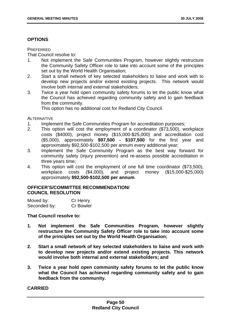# **OPTIONS**

### **PREFERRED**

That Council resolve to:

- 1. Not implement the Safe Communities Program, however slightly restructure the Community Safety Officer role to take into account some of the principles set out by the World Health Organisation;
- 2. Start a small network of key selected stakeholders to liaise and work with to develop new projects and/or extend existing projects. This network would involve both internal and external stakeholders;
- 3. Twice a year hold open community safety forums to let the public know what the Council has achieved regarding community safety and to gain feedback from the community.

This option has no additional cost for Redland City Council.

ALTERNATIVE

- 1. Implement the Safe Communities Program for accreditation purposes;
- 2. This option will cost the employment of a coordinator (\$73,500), workplace costs (\$4000), project money (\$15,000-\$25,000) and accreditation cost (\$5,000), approximately **\$97,500 - \$107,500** for the first year and approximately \$92,500-\$102,500 per annum every additional year;
- 3. Implement the Safe Community Program as the best way forward for community safety (injury prevention) and re-assess possible accreditation in three years time;
- 4. This option will cost the employment of one full time coordinator (\$73,500), workplace costs (\$4,000), and project money (\$15,000-\$25,000) approximately **\$92,500-\$102,500 per annum**.

# **OFFICER'S/COMMITTEE RECOMMENDATION/ COUNCIL RESOLUTION**

| Moved by:    | Cr Henry         |
|--------------|------------------|
| Seconded by: | <b>Cr Bowler</b> |

# **That Council resolve to:**

- **1. Not implement the Safe Communities Program, however slightly restructure the Community Safety Officer role to take into account some of the principles set out by the World Health Organisation;**
- **2. Start a small network of key selected stakeholders to liaise and work with to develop new projects and/or extend existing projects. This network would involve both internal and external stakeholders; and**
- **3. Twice a year hold open community safety forums to let the public know what the Council has achieved regarding community safety and to gain feedback from the community.**

### **CARRIED**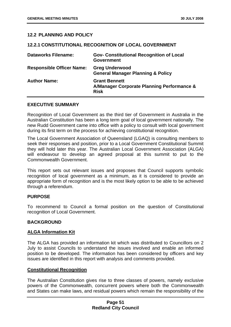# **12.2 PLANNING AND POLICY**

#### **12.2.1 CONSTITUTIONAL RECOGNITION OF LOCAL GOVERNMENT**

| <b>Dataworks Filename:</b>       | <b>Gov- Constitutional Recognition of Local</b><br><b>Government</b>              |
|----------------------------------|-----------------------------------------------------------------------------------|
| <b>Responsible Officer Name:</b> | <b>Greg Underwood</b><br><b>General Manager Planning &amp; Policy</b>             |
| <b>Author Name:</b>              | <b>Grant Bennett</b><br>A/Manager Corporate Planning Performance &<br><b>Risk</b> |

### **EXECUTIVE SUMMARY**

Recognition of Local Government as the third tier of Government in Australia in the Australian Constitution has been a long term goal of local government nationally. The new Rudd Government came into office with a policy to consult with local government during its first term on the process for achieving constitutional recognition.

The Local Government Association of Queensland (LGAQ) is consulting members to seek their responses and position, prior to a Local Government Constitutional Summit they will hold later this year. The Australian Local Government Association (ALGA) will endeavour to develop an agreed proposal at this summit to put to the Commonwealth Government.

This report sets out relevant issues and proposes that Council supports symbolic recognition of local government as a minimum, as it is considered to provide an appropriate form of recognition and is the most likely option to be able to be achieved through a referendum.

### **PURPOSE**

To recommend to Council a formal position on the question of Constitutional recognition of Local Government.

#### **BACKGROUND**

#### **ALGA Information Kit**

The ALGA has provided an information kit which was distributed to Councillors on 2 July to assist Councils to understand the issues involved and enable an informed position to be developed. The information has been considered by officers and key issues are identified in this report with analysis and comments provided.

#### **Constitutional Recognition**

The Australian Constitution gives rise to three classes of powers, namely exclusive powers of the Commonwealth, concurrent powers where both the Commonwealth and States can make laws, and residual powers which remain the responsibility of the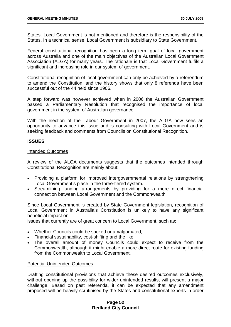States. Local Government is not mentioned and therefore is the responsibility of the States. In a technical sense, Local Government is subsidiary to State Government.

Federal constitutional recognition has been a long term goal of local government across Australia and one of the main objectives of the Australian Local Government Association (ALGA) for many years. The rationale is that Local Government fulfils a significant and increasing role in our system of government.

Constitutional recognition of local government can only be achieved by a referendum to amend the Constitution, and the history shows that only 8 referenda have been successful out of the 44 held since 1906.

A step forward was however achieved when in 2006 the Australian Government passed a Parliamentary Resolution that recognised the importance of local government in the system of Australian governance.

With the election of the Labour Government in 2007, the ALGA now sees an opportunity to advance this issue and is consulting with Local Government and is seeking feedback and comments from Councils on Constitutional Recognition.

### **ISSUES**

#### Intended Outcomes

A review of the ALGA documents suggests that the outcomes intended through Constitutional Recognition are mainly about:

- Providing a platform for improved intergovernmental relations by strengthening Local Government's place in the three-tiered system.
- Streamlining funding arrangements by providing for a more direct financial connection between Local Government and the Commonwealth.

Since Local Government is created by State Government legislation, recognition of Local Government in Australia's Constitution is unlikely to have any significant beneficial impact on

issues that currently are of great concern to Local Government, such as:

- Whether Councils could be sacked or amalgamated;
- Financial sustainability, cost-shifting and the like;
- The overall amount of money Councils could expect to receive from the Commonwealth, although it might enable a more direct route for existing funding from the Commonwealth to Local Government.

### Potential Unintended Outcomes

Drafting constitutional provisions that achieve these desired outcomes exclusively, without opening up the possibility for wider unintended results, will present a major challenge. Based on past referenda, it can be expected that any amendment proposed will be heavily scrutinised by the States and constitutional experts in order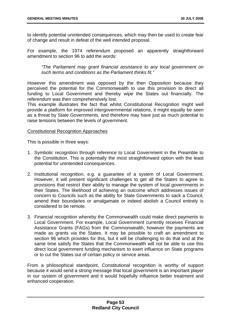to identify potential unintended consequences, which may then be used to create fear of change and result in defeat of the well intended proposal.

For example, the 1974 referendum proposed an apparently straightforward amendment to section 96 to add the words:

*"The Parliament may grant financial assistance to any local government on such terms and conditions as the Parliament thinks fit."* 

However this amendment was opposed by the then Opposition because they perceived the potential for the Commonwealth to use this provision to direct all funding to Local Government and thereby wipe the States out financially. The referendum was then comprehensively lost.

This example illustrates the fact that whilst Constitutional Recognition might well provide a platform for improved intergovernmental relations, it might equally be seen as a threat by State Governments, and therefore may have just as much potential to raise tensions between the levels of government.

### Constitutional Recognition Approaches

This is possible in three ways:

- 1. Symbolic recognition through reference to Local Government in the Preamble to the Constitution. This is potentially the most straightforward option with the least potential for unintended consequences.
- 2. Institutional recognition, e.g. a guarantee of a system of Local Government. However, it will present significant challenges to get all the States to agree to provisions that restrict their ability to manage the system of local governments in their States. The likelihood of achieving an outcome which addresses issues of concern to Councils such as the ability for State Governments to sack a Council, amend their boundaries or amalgamate or indeed abolish a Council entirely is considered to be remote.
- 3. Financial recognition whereby the Commonwealth could make direct payments to Local Government. For example, Local Government currently receives Financial Assistance Grants (FAGs) from the Commonwealth, however the payments are made as grants via the States. It may be possible to craft an amendment to section 96 which provides for this, but it will be challenging to do that and at the same time satisfy the States that the Commonwealth will not be able to use this direct local government funding mechanism to exert influence on State programs or to cut the States out of certain policy or service areas.

From a philosophical standpoint, Constitutional recognition is worthy of support because it would send a strong message that local government is an important player in our system of government and it would hopefully influence better treatment and enhanced cooperation.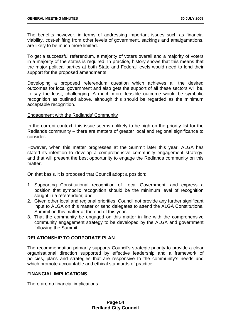The benefits however, in terms of addressing important issues such as financial viability, cost-shifting from other levels of government, sackings and amalgamations, are likely to be much more limited.

To get a successful referendum, a majority of voters overall and a majority of voters in a majority of the states is required. In practice, history shows that this means that the major political parties at both State and Federal levels would need to lend their support for the proposed amendments.

Developing a proposed referendum question which achieves all the desired outcomes for local government and also gets the support of all these sectors will be, to say the least, challenging. A much more feasible outcome would be symbolic recognition as outlined above, although this should be regarded as the minimum acceptable recognition.

### Engagement with the Redlands' Community

In the current context, this issue seems unlikely to be high on the priority list for the Redlands community – there are matters of greater local and regional significance to consider.

However, when this matter progresses at the Summit later this year, ALGA has stated its intention to develop a comprehensive community engagement strategy, and that will present the best opportunity to engage the Redlands community on this matter.

On that basis, it is proposed that Council adopt a position:

- 1. Supporting Constitutional recognition of Local Government, and express a position that symbolic recognition should be the minimum level of recognition sought in a referendum; and
- 2. Given other local and regional priorities, Council not provide any further significant input to ALGA on this matter or send delegates to attend the ALGA Constitutional Summit on this matter at the end of this year.
- 3. That the community be engaged on this matter in line with the comprehensive community engagement strategy to be developed by the ALGA and government following the Summit.

# **RELATIONSHIP TO CORPORATE PLAN**

The recommendation primarily supports Council's strategic priority to provide a clear organisational direction supported by effective leadership and a framework of policies, plans and strategies that are responsive to the community's needs and which promote accountable and ethical standards of practice.

# **FINANCIAL IMPLICATIONS**

There are no financial implications.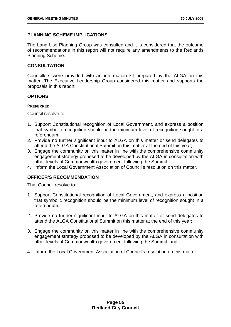# **PLANNING SCHEME IMPLICATIONS**

The Land Use Planning Group was consulted and it is considered that the outcome of recommendations in this report will not require any amendments to the Redlands Planning Scheme.

# **CONSULTATION**

Councillors were provided with an information kit prepared by the ALGA on this matter. The Executive Leadership Group considered this matter and supports the proposals in this report.

# **OPTIONS**

### **PREFERRED**

Council resolve to:

- 1. Support Constitutional recognition of Local Government, and express a position that symbolic recognition should be the minimum level of recognition sought in a referendum;
- 2. Provide no further significant input to ALGA on this matter or send delegates to attend the ALGA Constitutional Summit on this matter at the end of this year;
- 3. Engage the community on this matter in line with the comprehensive community engagement strategy proposed to be developed by the ALGA in consultation with other levels of Commonwealth government following the Summit.
- 4. Inform the Local Government Association of Council's resolution on this matter.

# **OFFICER'S RECOMMENDATION**

That Council resolve to:

- 1. Support Constitutional recognition of Local Government, and express a position that symbolic recognition should be the minimum level of recognition sought in a referendum;
- 2. Provide no further significant input to ALGA on this matter or send delegates to attend the ALGA Constitutional Summit on this matter at the end of this year;
- 3. Engage the community on this matter in line with the comprehensive community engagement strategy proposed to be developed by the ALGA in consultation with other levels of Commonwealth government following the Summit; and
- 4. Inform the Local Government Association of Council's resolution on this matter.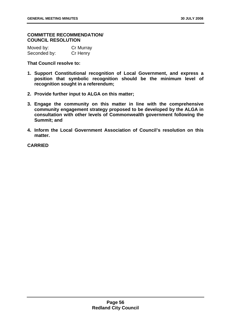### **COMMITTEE RECOMMENDATION/ COUNCIL RESOLUTION**

| Moved by:    | Cr Murray |
|--------------|-----------|
| Seconded by: | Cr Henry  |

**That Council resolve to:** 

- **1. Support Constitutional recognition of Local Government, and express a position that symbolic recognition should be the minimum level of recognition sought in a referendum;**
- **2. Provide further input to ALGA on this matter;**
- **3. Engage the community on this matter in line with the comprehensive community engagement strategy proposed to be developed by the ALGA in consultation with other levels of Commonwealth government following the Summit; and**
- **4. Inform the Local Government Association of Council's resolution on this matter.**

**CARRIED**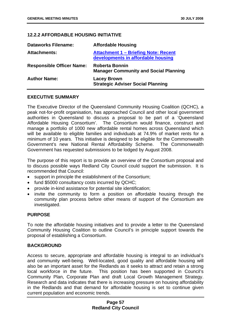# **12.2.2 AFFORDABLE HOUSING INITIATIVE**

| <b>Dataworks Filename:</b>       | <b>Affordable Housing</b>                                                         |
|----------------------------------|-----------------------------------------------------------------------------------|
| <b>Attachments:</b>              | <b>Attachment 1 - Briefing Note: Recent</b><br>developments in affordable housing |
| <b>Responsible Officer Name:</b> | <b>Roberta Bonnin</b><br><b>Manager Community and Social Planning</b>             |
| <b>Author Name:</b>              | <b>Lacey Brown</b><br><b>Strategic Adviser Social Planning</b>                    |

#### **EXECUTIVE SUMMARY**

The Executive Director of the Queensland Community Housing Coalition (QCHC), a peak not-for-profit organisation, has approached Council and other local government authorities in Queensland to discuss a proposal to be part of a 'Queensland Affordable Housing Consortium'. The Consortium would finance, construct and manage a portfolio of 1000 new affordable rental homes across Queensland which will be available to eligible families and individuals at 74.9% of market rents for a minimum of 10 years. This initiative is designed to be eligible for the Commonwealth Government's new National Rental Affordability Scheme. The Commonwealth Government has requested submissions to be lodged by August 2008.

The purpose of this report is to provide an overview of the Consortium proposal and to discuss possible ways Redland City Council could support the submission. It is recommended that Council:

- support in principle the establishment of the Consortium;
- fund \$5000 consultancy costs incurred by QCHC;
- provide in-kind assistance for potential site identification;
- invite the community to form a position on affordable housing through the community plan process before other means of support of the Consortium are investigated.

### **PURPOSE**

To note the affordable housing initiatives and to provide a letter to the Queensland Community Housing Coalition to outline Council's in principle support towards the proposal of establishing a Consortium.

### **BACKGROUND**

Access to secure, appropriate and affordable housing is integral to an individual's and community well-being. Well-located, good quality and affordable housing will also be an important asset for the Redlands as it seeks to attract and retain a strong local workforce in the future. This position has been supported in Council's Community Plan, Corporate Plan and draft Local Growth Management Strategy. Research and data indicates that there is increasing pressure on housing affordability in the Redlands and that demand for affordable housing is set to continue given current population and economic trends.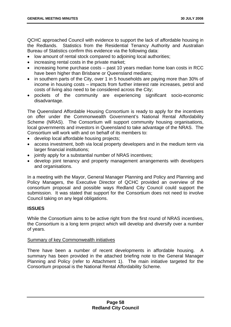QCHC approached Council with evidence to support the lack of affordable housing in the Redlands. Statistics from the Residential Tenancy Authority and Australian Bureau of Statistics confirm this evidence via the following data:

- low amount of rental stock compared to adjoining local authorities;
- increasing rental costs in the private market;
- increasing home purchase costs past 10 years median home loan costs in RCC have been higher than Brisbane or Queensland medians;
- in southern parts of the City, over 1 in 5 households are paying more than 30% of income in housing costs – impacts from further interest rate increases, petrol and costs of living also need to be considered across the City;
- pockets of the community are experiencing significant socio-economic disadvantage.

The Queensland Affordable Housing Consortium is ready to apply for the incentives on offer under the Commonwealth Government's National Rental Affordability Scheme (NRAS). The Consortium will support community housing organisations, local governments and investors in Queensland to take advantage of the NRAS. The Consortium will work with and on behalf of its members to:

- develop local affordable housing projects;
- access investment, both via local property developers and in the medium term via larger financial institutions;
- jointly apply for a substantial number of NRAS incentives;
- develop joint tenancy and property management arrangements with developers and organisations.

In a meeting with the Mayor, General Manager Planning and Policy and Planning and Policy Managers, the Executive Director of QCHC provided an overview of the consortium proposal and possible ways Redland City Council could support the submission. It was stated that support for the Consortium does not need to involve Council taking on any legal obligations.

# **ISSUES**

While the Consortium aims to be active right from the first round of NRAS incentives, the Consortium is a long term project which will develop and diversify over a number of years.

### Summary of key Commonwealth initiatives

There have been a number of recent developments in affordable housing. A summary has been provided in the attached briefing note to the General Manager Planning and Policy (refer to Attachment 1). The main initiative targeted for the Consortium proposal is the National Rental Affordability Scheme.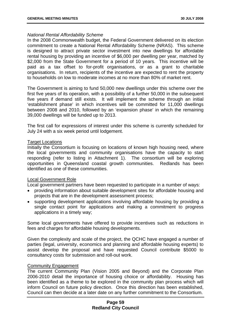#### *National Rental Affordability Scheme*

In the 2008 Commonwealth budget, the Federal Government delivered on its election commitment to create a National Rental Affordability Scheme (NRAS). This scheme is designed to attract private sector investment into new dwellings for affordable rental housing by providing an incentive of \$6,000 per dwelling per year, matched by \$2,000 from the State Government for a period of 10 years. This incentive will be paid as a tax offset to for-profit organisations, or as a grant to charitable organisations. In return, recipients of the incentive are expected to rent the property to households on low to moderate incomes at no more than 80% of market rent.

The Government is aiming to fund 50,000 new dwellings under this scheme over the first five years of its operation, with a possibility of a further 50,000 in the subsequent five years if demand still exists. It will implement the scheme through an initial 'establishment phase' in which incentives will be committed for 11,000 dwellings between 2008 and 2010, followed by an 'expansion phase' in which the remaining 39,000 dwellings will be funded up to 2013.

The first call for expressions of interest under this scheme is currently scheduled for July 24 with a six week period until lodgement.

#### Target Locations

Initially the Consortium is focusing on locations of known high housing need, where the local governments and community organisations have the capacity to start responding (refer to listing in Attachment 1). The consortium will be exploring opportunities in Queensland coastal growth communities. Redlands has been identified as one of these communities.

#### Local Government Role

Local government partners have been requested to participate in a number of ways:

- providing information about suitable development sites for affordable housing and projects that are in the development assessment process;
- supporting development applications involving affordable housing by providing a single contact point for applications and making a commitment to progress applications in a timely way;

Some local governments have offered to provide incentives such as reductions in fees and charges for affordable housing developments.

Given the complexity and scale of the project, the QCHC have engaged a number of parties (legal, university, economics and planning and affordable housing experts) to assist develop the proposal and have requested Council contribute \$5000 to consultancy costs for submission and roll-out work.

#### Community Engagement

The current Community Plan (Vision 2005 and Beyond) and the Corporate Plan 2006-2010 detail the importance of housing choice or affordability. Housing has been identified as a theme to be explored in the community plan process which will inform Council on future policy direction. Once this direction has been established, Council can then decide at a later date on any further commitment to the Consortium.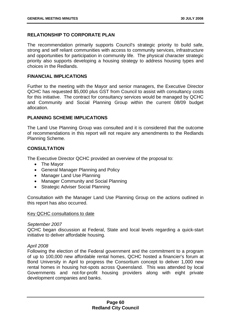# **RELATIONSHIP TO CORPORATE PLAN**

The recommendation primarily supports Council's strategic priority to build safe, strong and self reliant communities with access to community services, infrastructure and opportunities for participation in community life. The physical character strategic priority also supports developing a housing strategy to address housing types and choices in the Redlands.

#### **FINANCIAL IMPLICATIONS**

Further to the meeting with the Mayor and senior managers, the Executive Director QCHC has requested \$5,000 plus GST from Council to assist with consultancy costs for this initiative. The contract for consultancy services would be managed by QCHC and Community and Social Planning Group within the current 08/09 budget allocation.

# **PLANNING SCHEME IMPLICATIONS**

The Land Use Planning Group was consulted and it is considered that the outcome of recommendations in this report will not require any amendments to the Redlands Planning Scheme.

# **CONSULTATION**

The Executive Director QCHC provided an overview of the proposal to:

- The Mayor
- General Manager Planning and Policy
- Manager Land Use Planning
- Manager Community and Social Planning
- Strategic Adviser Social Planning

Consultation with the Manager Land Use Planning Group on the actions outlined in this report has also occurred.

#### Key QCHC consultations to date

#### *September 2007*

QCHC began discussion at Federal, State and local levels regarding a quick-start initiative to deliver affordable housing.

### *April 2008*

Following the election of the Federal government and the commitment to a program of up to 100,000 new affordable rental homes, QCHC hosted a financier's forum at Bond University in April to progress the Consortium concept to deliver 1,000 new rental homes in housing hot-spots across Queensland. This was attended by local Governments and not-for-profit housing providers along with eight private development companies and banks.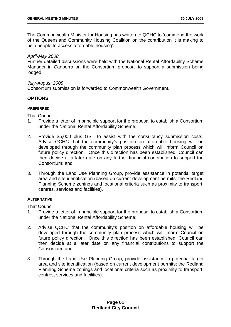The Commonwealth Minister for Housing has written to QCHC to 'commend the work of the Queensland Community Housing Coalition on the contribution it is making to help people to access affordable housing'.

# *April-May 2008*

Further detailed discussions were held with the National Rental Affordability Scheme Manager in Canberra on the Consortium proposal to support a submission being lodged.

### *July-August 2008*

Consortium submission is forwarded to Commonwealth Government.

# **OPTIONS**

# **PREFERRED**

That Council:

- 1. Provide a letter of in principle support for the proposal to establish a Consortium under the National Rental Affordability Scheme;
- 2. Provide \$5,000 plus GST to assist with the consultancy submission costs. Advise QCHC that the community's position on affordable housing will be developed through the community plan process which will inform Council on future policy direction. Once this direction has been established, Council can then decide at a later date on any further financial contribution to support the Consortium; and
- 3. Through the Land Use Planning Group, provide assistance in potential target area and site identification (based on current development permits; the Redland Planning Scheme zonings and locational criteria such as proximity to transport, centres, services and facilities).

### **ALTERNATIVE**

That Council:

- 1. Provide a letter of in principle support for the proposal to establish a Consortium under the National Rental Affordability Scheme;
- 2. Advise QCHC that the community's position on affordable housing will be developed through the community plan process which will inform Council on future policy direction. Once this direction has been established, Council can then decide at a later date on any financial contributions to support the Consortium; and
- 3. Through the Land Use Planning Group, provide assistance in potential target area and site identification (based on current development permits; the Redland Planning Scheme zonings and locational criteria such as proximity to transport, centres, services and facilities).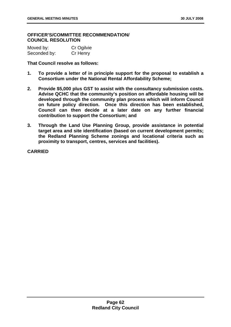### **OFFICER'S/COMMITTEE RECOMMENDATION/ COUNCIL RESOLUTION**

| Moved by:    | Cr Ogilvie |
|--------------|------------|
| Seconded by: | Cr Henry   |

**That Council resolve as follows:** 

- **1. To provide a letter of in principle support for the proposal to establish a Consortium under the National Rental Affordability Scheme;**
- **2. Provide \$5,000 plus GST to assist with the consultancy submission costs. Advise QCHC that the community's position on affordable housing will be developed through the community plan process which will inform Council on future policy direction. Once this direction has been established, Council can then decide at a later date on any further financial contribution to support the Consortium; and**
- **3. Through the Land Use Planning Group, provide assistance in potential target area and site identification (based on current development permits; the Redland Planning Scheme zonings and locational criteria such as proximity to transport, centres, services and facilities).**

**CARRIED**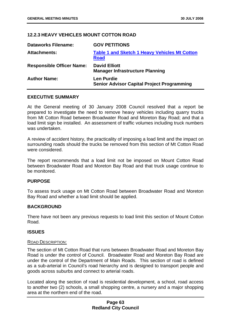# **12.2.3 HEAVY VEHICLES MOUNT COTTON ROAD**

| <b>Dataworks Filename:</b>       | <b>GOV PETITIONS</b>                                                   |
|----------------------------------|------------------------------------------------------------------------|
| <b>Attachments:</b>              | <b>Table 1 and Sketch 1 Heavy Vehicles Mt Cotton</b><br><b>Road</b>    |
| <b>Responsible Officer Name:</b> | <b>David Elliott</b><br><b>Manager Infrastructure Planning</b>         |
| <b>Author Name:</b>              | <b>Len Purdie</b><br><b>Senior Advisor Capital Project Programming</b> |

#### **EXECUTIVE SUMMARY**

At the General meeting of 30 January 2008 Council resolved that a report be prepared to investigate the need to remove heavy vehicles including quarry trucks from Mt Cotton Road between Broadwater Road and Moreton Bay Road; and that a load limit sign be installed. An assessment of traffic volumes including truck numbers was undertaken.

A review of accident history, the practicality of imposing a load limit and the impact on surrounding roads should the trucks be removed from this section of Mt Cotton Road were considered.

The report recommends that a load limit not be imposed on Mount Cotton Road between Broadwater Road and Moreton Bay Road and that truck usage continue to be monitored.

### **PURPOSE**

To assess truck usage on Mt Cotton Road between Broadwater Road and Moreton Bay Road and whether a load limit should be applied.

### **BACKGROUND**

There have not been any previous requests to load limit this section of Mount Cotton Road.

### **ISSUES**

#### ROAD DESCRIPTION:

The section of Mt Cotton Road that runs between Broadwater Road and Moreton Bay Road is under the control of Council. Broadwater Road and Moreton Bay Road are under the control of the Department of Main Roads. This section of road is defined as a sub-arterial in Council's road hierarchy and is designed to transport people and goods across suburbs and connect to arterial roads.

Located along the section of road is residential development, a school, road access to another two (2) schools, a small shopping centre, a nursery and a major shopping area at the northern end of the road.

# **Page 63 Redland City Council**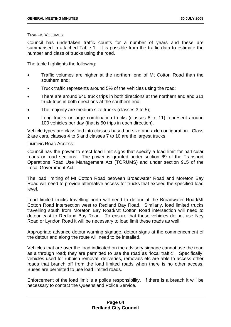#### TRAFFIC VOLUMES:

Council has undertaken traffic counts for a number of years and these are summarised in attached Table 1. It is possible from the traffic data to estimate the number and class of trucks using the road.

The table highlights the following:

- Traffic volumes are higher at the northern end of Mt Cotton Road than the southern end;
- Truck traffic represents around 5% of the vehicles using the road;
- There are around 640 truck trips in both directions at the northern end and 311 truck trips in both directions at the southern end;
- The majority are medium size trucks (classes 3 to 5):
- Long trucks or large combination trucks (classes 8 to 11) represent around 100 vehicles per day (that is 50 trips in each direction).

Vehicle types are classified into classes based on size and axle configuration. Class 2 are cars, classes 4 to 6 and classes 7 to 10 are the largest trucks.

#### LIMITING ROAD ACCESS:

Council has the power to erect load limit signs that specify a load limit for particular roads or road sections. The power is granted under section 69 of the Transport Operations Road Use Management Act (TORUMS) and under section 915 of the Local Government Act.

The load limiting of Mt Cotton Road between Broadwater Road and Moreton Bay Road will need to provide alternative access for trucks that exceed the specified load level.

Load limited trucks travelling north will need to detour at the Broadwater Road/Mt Cotton Road intersection west to Redland Bay Road. Similarly, load limited trucks travelling south from Moreton Bay Road/Mt Cotton Road intersection will need to detour east to Redland Bay Road. To ensure that these vehicles do not use Ney Road or Lyndon Road it will be necessary to load limit these roads as well.

Appropriate advance detour warning signage, detour signs at the commencement of the detour and along the route will need to be installed.

Vehicles that are over the load indicated on the advisory signage cannot use the road as a through road; they are permitted to use the road as "local traffic". Specifically, vehicles used for rubbish removal, deliveries, removals etc are able to access other roads that branch off from the load limited roads when there is no other access. Buses are permitted to use load limited roads.

Enforcement of the load limit is a police responsibility. If there is a breach it will be necessary to contact the Queensland Police Service.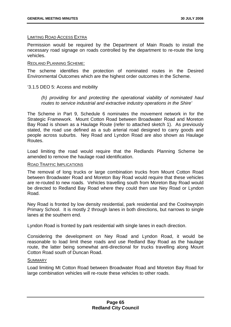### LIMITING ROAD ACCESS EXTRA

Permission would be required by the Department of Main Roads to install the necessary road signage on roads controlled by the department to re-route the long vehicles.

### REDLAND PLANNING SCHEME:

The scheme identifies the protection of nominated routes in the Desired Environmental Outcomes which are the highest order outcomes in the Scheme.

# '3.1.5 DEO 5: Access and mobility

*(h) providing for and protecting the operational viability of nominated haul routes to service industrial and extractive industry operations in the Shire'* 

The Scheme in Part 9, Schedule 6 nominates the movement network in for the Strategic Framework. Mount Cotton Road between Broadwater Road and Moreton Bay Road is shown as a Haulage Route (refer to attached sketch 1). As previously stated, the road use defined as a sub arterial road designed to carry goods and people across suburbs. Ney Road and Lyndon Road are also shown as Haulage Routes.

Load limiting the road would require that the Redlands Planning Scheme be amended to remove the haulage road identification.

### ROAD TRAFFIC IMPLICATIONS

The removal of long trucks or large combination trucks from Mount Cotton Road between Broadwater Road and Moreton Bay Road would require that these vehicles are re-routed to new roads. Vehicles travelling south from Moreton Bay Road would be directed to Redland Bay Road where they could then use Ney Road or Lyndon Road.

Ney Road is fronted by low density residential, park residential and the Coolnwynpin Primary School. It is mostly 2 through lanes in both directions, but narrows to single lanes at the southern end.

Lyndon Road is fronted by park residential with single lanes in each direction.

Considering the development on Ney Road and Lyndon Road, it would be reasonable to load limit these roads and use Redland Bay Road as the haulage route, the latter being somewhat anti-directional for trucks travelling along Mount Cotton Road south of Duncan Road.

### **SUMMARY**

Load limiting Mt Cotton Road between Broadwater Road and Moreton Bay Road for large combination vehicles will re-route these vehicles to other roads.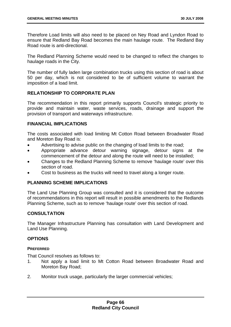Therefore Load limits will also need to be placed on Ney Road and Lyndon Road to ensure that Redland Bay Road becomes the main haulage route. The Redland Bay Road route is anti-directional.

The Redland Planning Scheme would need to be changed to reflect the changes to haulage roads in the City.

The number of fully laden large combination trucks using this section of road is about 50 per day, which is not considered to be of sufficient volume to warrant the imposition of a load limit.

# **RELATIONSHIP TO CORPORATE PLAN**

The recommendation in this report primarily supports Council's strategic priority to provide and maintain water, waste services, roads, drainage and support the provision of transport and waterways infrastructure.

# **FINANCIAL IMPLICATIONS**

The costs associated with load limiting Mt Cotton Road between Broadwater Road and Moreton Bay Road is:

- Advertising to advise public on the changing of load limits to the road;
- Appropriate advance detour warning signage, detour signs at the commencement of the detour and along the route will need to be installed;
- Changes to the Redland Planning Scheme to remove 'haulage route' over this section of road.
- Cost to business as the trucks will need to travel along a longer route.

# **PLANNING SCHEME IMPLICATIONS**

The Land Use Planning Group was consulted and it is considered that the outcome of recommendations in this report will result in possible amendments to the Redlands Planning Scheme, such as to remove 'haulage route' over this section of road.

# **CONSULTATION**

The Manager Infrastructure Planning has consultation with Land Development and Land Use Planning.

### **OPTIONS**

### **PREFERRED**

That Council resolves as follows to:

- 1. Not apply a load limit to Mt Cotton Road between Broadwater Road and Moreton Bay Road;
- 2. Monitor truck usage, particularly the larger commercial vehicles;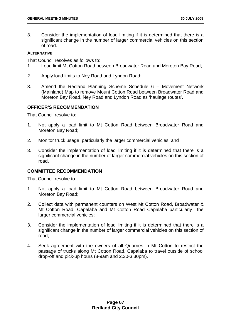3. Consider the implementation of load limiting if it is determined that there is a significant change in the number of larger commercial vehicles on this section of road.

### **ALTERNATIVE**

That Council resolves as follows to:

- 1. Load limit Mt Cotton Road between Broadwater Road and Moreton Bay Road;
- 2. Apply load limits to Ney Road and Lyndon Road;
- 3. Amend the Redland Planning Scheme Schedule 6 Movement Network (Mainland) Map to remove Mount Cotton Road between Broadwater Road and Moreton Bay Road, Ney Road and Lyndon Road as 'haulage routes'.

# **OFFICER'S RECOMMENDATION**

That Council resolve to:

- 1. Not apply a load limit to Mt Cotton Road between Broadwater Road and Moreton Bay Road;
- 2. Monitor truck usage, particularly the larger commercial vehicles; and
- 3. Consider the implementation of load limiting if it is determined that there is a significant change in the number of larger commercial vehicles on this section of road.

# **COMMITTEE RECOMMENDATION**

That Council resolve to:

- 1. Not apply a load limit to Mt Cotton Road between Broadwater Road and Moreton Bay Road;
- 2. Collect data with permanent counters on West Mt Cotton Road, Broadwater & Mt Cotton Road, Capalaba and Mt Cotton Road Capalaba particularly the larger commercial vehicles;
- 3. Consider the implementation of load limiting if it is determined that there is a significant change in the number of larger commercial vehicles on this section of road;
- 4. Seek agreement with the owners of all Quarries in Mt Cotton to restrict the passage of trucks along Mt Cotton Road, Capalaba to travel outside of school drop-off and pick-up hours (8-9am and 2.30-3.30pm).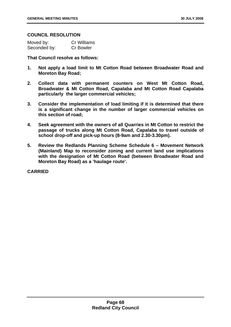### **COUNCIL RESOLUTION**

| Moved by:    | <b>Cr Williams</b> |
|--------------|--------------------|
| Seconded by: | <b>Cr Bowler</b>   |

**That Council resolve as follows:** 

- **1. Not apply a load limit to Mt Cotton Road between Broadwater Road and Moreton Bay Road;**
- **2. Collect data with permanent counters on West Mt Cotton Road, Broadwater & Mt Cotton Road, Capalaba and Mt Cotton Road Capalaba particularly the larger commercial vehicles;**
- **3. Consider the implementation of load limiting if it is determined that there is a significant change in the number of larger commercial vehicles on this section of road;**
- **4. Seek agreement with the owners of all Quarries in Mt Cotton to restrict the passage of trucks along Mt Cotton Road, Capalaba to travel outside of school drop-off and pick-up hours (8-9am and 2.30-3.30pm).**
- **5. Review the Redlands Planning Scheme Schedule 6 Movement Network (Mainland) Map to reconsider zoning and current land use implications with the designation of Mt Cotton Road (between Broadwater Road and Moreton Bay Road) as a 'haulage route'.**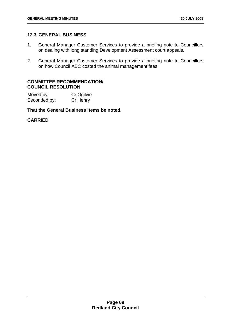# **12.3 GENERAL BUSINESS**

- 1. General Manager Customer Services to provide a briefing note to Councillors on dealing with long standing Development Assessment court appeals.
- 2. General Manager Customer Services to provide a briefing note to Councillors on how Council ABC costed the animal management fees.

# **COMMITTEE RECOMMENDATION/ COUNCIL RESOLUTION**

Moved by: Cr Ogilvie Seconded by: Cr Henry

# **That the General Business items be noted.**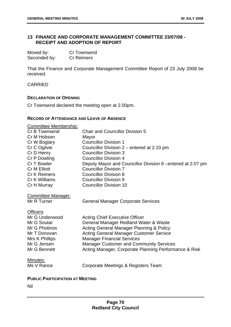# **13 FINANCE AND CORPORATE MANAGEMENT COMMITTEE 23/07/08 - RECEIPT AND ADOPTION OF REPORT**

| Moved by:    | <b>Cr Townsend</b> |
|--------------|--------------------|
| Seconded by: | <b>Cr Reimers</b>  |

That the Finance and Corporate Management Committee Report of 23 July 2008 be received.

CARRIED

#### **DECLARATION OF OPENING**

Cr Townsend declared the meeting open at 2.00pm.

#### **RECORD OF ATTENDANCE AND LEAVE OF ABSENCE**

| <b>Committee Membership:</b>             |                                                             |
|------------------------------------------|-------------------------------------------------------------|
| Cr B Townsend                            | <b>Chair and Councillor Division 5</b>                      |
| Cr M Hobson                              | Mayor                                                       |
| Cr W Boglary                             | <b>Councillor Division 1</b>                                |
| Cr C Ogilvie                             | Councillor Division 2 – entered at 2.10 pm                  |
| Cr D Henry                               | <b>Councillor Division 3</b>                                |
| Cr P Dowling                             | <b>Councillor Division 4</b>                                |
| Cr T Bowler                              | Deputy Mayor and Councillor Division 6 – entered at 2.07 pm |
| <b>Cr M Elliott</b>                      | <b>Councillor Division 7</b>                                |
| Cr K Reimers                             | <b>Councillor Division 8</b>                                |
| Cr K Williams                            | <b>Councillor Division 9</b>                                |
| Cr H Murray                              | <b>Councillor Division 10</b>                               |
| <b>Committee Manager:</b><br>Mr R Turner | <b>General Manager Corporate Services</b>                   |
| <b>Officers</b>                          |                                                             |
| Mr G Underwood                           | <b>Acting Chief Executive Officer</b>                       |
| Mr G Soutar                              | General Manager Redland Water & Waste                       |
| Mr G Photinos                            | Acting General Manager Planning & Policy                    |
| Mr T Donovan                             | <b>Acting General Manager Customer Service</b>              |
| Mrs K Phillips                           | <b>Manager Financial Services</b>                           |
| Mr G Jensen                              | <b>Manager Customer and Community Services</b>              |
| Mr G Bennett                             | Acting Manager, Corporate Planning Performance & Risk       |
| Minutes:                                 |                                                             |
| Ms V Rance                               | Corporate Meetings & Registers Team                         |
|                                          |                                                             |
| <b>DUBLIA DARTIORATION AT MEETING</b>    |                                                             |

#### **PUBLIC PARTICIPATION AT MEETING**

Nil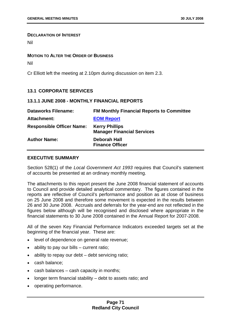#### **DECLARATION OF INTEREST**

Nil

#### **MOTION TO ALTER THE ORDER OF BUSINESS**

Nil

Cr Elliott left the meeting at 2.10pm during discussion on item 2.3.

# **13.1 CORPORATE SERVICES**

# **13.1.1 JUNE 2008 - MONTHLY FINANCIAL REPORTS**

| <b>Dataworks Filename:</b>       | <b>FM Monthly Financial Reports to Committee</b>           |
|----------------------------------|------------------------------------------------------------|
| <b>Attachment:</b>               | <b>EOM Report</b>                                          |
| <b>Responsible Officer Name:</b> | <b>Kerry Phillips</b><br><b>Manager Financial Services</b> |
| <b>Author Name:</b>              | <b>Deborah Hall</b><br><b>Finance Officer</b>              |

## **EXECUTIVE SUMMARY**

Section 528(1) of the *Local Government Act 1993* requires that Council's statement of accounts be presented at an ordinary monthly meeting.

The attachments to this report present the June 2008 financial statement of accounts to Council and provide detailed analytical commentary. The figures contained in the reports are reflective of Council's performance and position as at close of business on 25 June 2008 and therefore some movement is expected in the results between 26 and 30 June 2008. Accruals and deferrals for the year-end are not reflected in the figures below although will be recognised and disclosed where appropriate in the financial statements to 30 June 2008 contained in the Annual Report for 2007-2008.

All of the seven Key Financial Performance Indicators exceeded targets set at the beginning of the financial year. These are:

- level of dependence on general rate revenue;
- ability to pay our bills current ratio;
- ability to repay our debt debt servicing ratio;
- cash balance;
- cash balances cash capacity in months;
- longer term financial stability debt to assets ratio; and
- operating performance.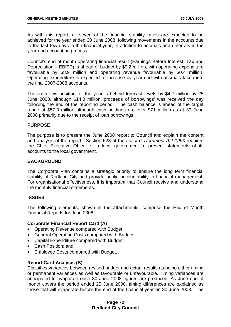As with this report, all seven of the financial stability ratios are expected to be achieved for the year ended 30 June 2008, following movements in the accounts due to the last few days in the financial year, in addition to accruals and deferrals in the year-end accounting process.

Council's end of month operating financial result (Earnings Before Interest, Tax and Depreciation – EBITD) is ahead of budget by \$9.2 million, with operating expenditure favourable by \$8.9 million and operating revenue favourable by \$0.4 million. Operating expenditure is expected to increase by year-end with accruals taken into the final 2007-2008 accounts.

The cash flow position for the year is behind forecast levels by \$4.7 million by 25 June 2008, although \$14.0 million 'proceeds of borrowings' was received the day following the end of the reporting period. The cash balance is ahead of the target range at \$57.3 million although cash holdings are over \$71 million as at 30 June 2008 primarily due to the receipt of loan borrowings.

### **PURPOSE**

The purpose is to present the June 2008 report to Council and explain the content and analysis of the report. Section 528 of the *Local Government Act 1993* requires the Chief Executive Officer of a local government to present statements of its accounts to the local government.

### **BACKGROUND**

The Corporate Plan contains a strategic priority to ensure the long term financial viability of Redland City and provide public accountability in financial management. For organisational effectiveness, it is important that Council receive and understand the monthly financial statements.

### **ISSUES**

The following elements, shown in the attachments, comprise the End of Month Financial Reports for June 2008:

# **Corporate Financial Report Card (A)**

- Operating Revenue compared with Budget;
- General Operating Costs compared with Budget;
- Capital Expenditure compared with Budget;
- Cash Position; and
- Employee Costs compared with Budget.

### **Report Card Analysis (B)**

Classifies variances between revised budget and actual results as being either timing or permanent variances as well as favourable or unfavourable. Timing variances are anticipated to evaporate once 30 June 2008 figures are produced. As June end of month covers the period ended 25 June 2008, timing differences are explained as those that will evaporate before the end of the financial year on 30 June 2008. The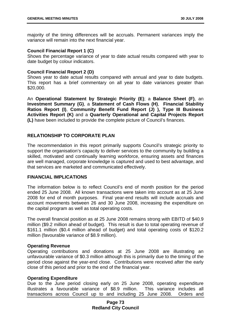majority of the timing differences will be accruals. Permanent variances imply the variance will remain into the next financial year.

### **Council Financial Report 1 (C)**

Shows the percentage variance of year to date actual results compared with year to date budget by colour indicators.

### **Council Financial Report 2 (D)**

Shows year to date actual results compared with annual and year to date budgets. This report has a brief commentary on all year to date variances greater than \$20,000.

An **Operational Statement by Strategic Priority (E)**; a **Balance Sheet (F)**, an **Investment Summary (G)**, a **Statement of Cash Flows (H)**, **Financial Stability Ratios Report (I)**, **Community Benefit Fund Report (J) ), Type III Business Activities Report (K)** and a **Quarterly Operational and Capital Projects Report (L)** have been included to provide the complete picture of Council's finances.

### **RELATIONSHIP TO CORPORATE PLAN**

The recommendation in this report primarily supports Council's strategic priority to support the organisation's capacity to deliver services to the community by building a skilled, motivated and continually learning workforce, ensuring assets and finances are well managed, corporate knowledge is captured and used to best advantage, and that services are marketed and communicated effectively.

### **FINANCIAL IMPLICATIONS**

The information below is to reflect Council's end of month position for the period ended 25 June 2008. All known transactions were taken into account as at 25 June 2008 for end of month purposes. Final year-end results will include accruals and account movements between 26 and 30 June 2008, increasing the expenditure on the capital program as well as total operating costs.

The overall financial position as at 25 June 2008 remains strong with EBITD of \$40.9 million (\$9.2 million ahead of budget). This result is due to total operating revenue of \$161.1 million (\$0.4 million ahead of budget) and total operating costs of \$120.2 million (favourable variance of \$8.9 million).

### **Operating Revenue**

Operating contributions and donations at 25 June 2008 are illustrating an unfavourable variance of \$0.3 million although this is primarily due to the timing of the period close against the year-end close. Contributions were received after the early close of this period and prior to the end of the financial year.

### **Operating Expenditure**

Due to the June period closing early on 25 June 2008, operating expenditure illustrates a favourable variance of \$8.9 million. This variance includes all transactions across Council up to and including 25 June 2008. Orders and

## **Page 73 Redland City Council**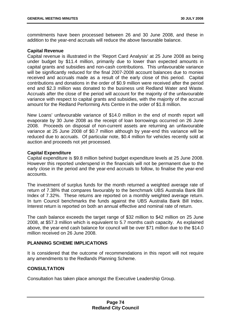commitments have been processed between 26 and 30 June 2008, and these in addition to the year-end accruals will reduce the above favourable balance.

### **Capital Revenue**

Capital revenue is illustrated in the 'Report Card Analysis' at 25 June 2008 as being under budget by \$11.4 million, primarily due to lower than expected amounts in capital grants and subsidies and non-cash contributions. This unfavourable variance will be significantly reduced for the final 2007-2008 account balances due to monies received and accruals made as a result of the early close of this period. Capital contributions and donations in the order of \$0.9 million were received after the period end and \$2.3 million was donated to the business unit Redland Water and Waste. Accruals after the close of the period will account for the majority of the unfavourable variance with respect to capital grants and subsidies, with the majority of the accrual amount for the Redland Performing Arts Centre in the order of \$1.8 million.

New Loans' unfavourable variance of \$14.0 million in the end of month report will evaporate by 30 June 2008 as the receipt of loan borrowings occurred on 26 June 2008. Proceeds on disposal of non-current assets are returning an unfavourable variance at 25 June 2008 of \$0.7 million although by year-end this variance will be reduced due to accruals. Of particular note, \$0.4 million for vehicles recently sold at auction and proceeds not yet processed.

# **Capital Expenditure**

Capital expenditure is \$9.8 million behind budget expenditure levels at 25 June 2008. However this reported underspend in the financials will not be permanent due to the early close in the period and the year-end accruals to follow, to finalise the year-end accounts.

The investment of surplus funds for the month returned a weighted average rate of return of 7.38% that compares favourably to the benchmark UBS Australia Bank Bill Index of 7.32%. These returns are reported on a monthly weighted average return. In turn Council benchmarks the funds against the UBS Australia Bank Bill Index. Interest return is reported on both an annual effective and nominal rate of return.

The cash balance exceeds the target range of \$32 million to \$42 million on 25 June 2008, at \$57.3 million which is equivalent to 5.7 months cash capacity. As explained above, the year-end cash balance for council will be over \$71 million due to the \$14.0 million received on 26 June 2008.

# **PLANNING SCHEME IMPLICATIONS**

It is considered that the outcome of recommendations in this report will not require any amendments to the Redlands Planning Scheme.

# **CONSULTATION**

Consultation has taken place amongst the Executive Leadership Group.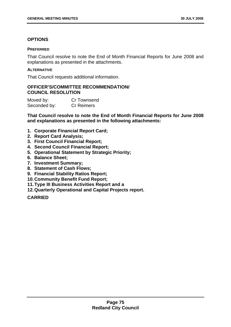# **OPTIONS**

## **PREFERRED**

That Council resolve to note the End of Month Financial Reports for June 2008 and explanations as presented in the attachments.

# **ALTERNATIVE**

That Council requests additional information.

# **OFFICER'S/COMMITTEE RECOMMENDATION/ COUNCIL RESOLUTION**

| Moved by:    | Cr Townsend       |
|--------------|-------------------|
| Seconded by: | <b>Cr Reimers</b> |

**That Council resolve to note the End of Month Financial Reports for June 2008 and explanations as presented in the following attachments:** 

- **1. Corporate Financial Report Card;**
- **2. Report Card Analysis;**
- **3. First Council Financial Report;**
- **4. Second Council Financial Report;**
- **5. Operational Statement by Strategic Priority;**
- **6. Balance Sheet;**
- **7. Investment Summary;**
- **8. Statement of Cash Flows;**
- **9. Financial Stability Ratios Report;**
- **10. Community Benefit Fund Report;**
- **11. Type III Business Activities Report and a**
- **12. Quarterly Operational and Capital Projects report.**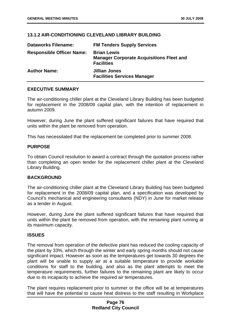# **13.1.2 AIR-CONDITIONING CLEVELAND LIBRARY BUILDING**

| <b>Dataworks Filename:</b>       | <b>FM Tenders Supply Services</b>                                                          |
|----------------------------------|--------------------------------------------------------------------------------------------|
| <b>Responsible Officer Name:</b> | <b>Brian Lewis</b><br><b>Manager Corporate Acquisitions Fleet and</b><br><b>Facilities</b> |
| <b>Author Name:</b>              | Jillian Jones<br><b>Facilities Services Manager</b>                                        |

### **EXECUTIVE SUMMARY**

The air-conditioning chiller plant at the Cleveland Library Building has been budgeted for replacement in the 2008/09 capital plan, with the intention of replacement in autumn 2009.

However, during June the plant suffered significant failures that have required that units within the plant be removed from operation.

This has necessitated that the replacement be completed prior to summer 2008.

# **PURPOSE**

To obtain Council resolution to award a contract through the quotation process rather than completing an open tender for the replacement chiller plant at the Cleveland Library Building.

### **BACKGROUND**

The air-conditioning chiller plant at the Cleveland Library Building has been budgeted for replacement in the 2008/09 capital plan, and a specification was developed by Council's mechanical and engineering consultants (NDY) in June for market release as a tender in August.

However, during June the plant suffered significant failures that have required that units within the plant be removed from operation, with the remaining plant running at its maximum capacity.

### **ISSUES**

The removal from operation of the defective plant has reduced the cooling capacity of the plant by 33%, which through the winter and early spring months should not cause significant impact. However as soon as the temperatures get towards 30 degrees the plant will be unable to supply air at a suitable temperature to provide workable conditions for staff to the building, and also as the plant attempts to meet the temperature requirements, further failures to the remaining plant are likely to occur due to its incapacity to achieve the required air temperatures.

The plant requires replacement prior to summer or the office will be at temperatures that will have the potential to cause heat distress to the staff resulting in Workplace

# **Page 76 Redland City Council**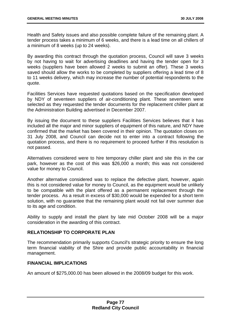Health and Safety issues and also possible complete failure of the remaining plant. A tender process takes a minimum of 6 weeks, and there is a lead time on all chillers of a minimum of 8 weeks (up to 24 weeks).

By awarding this contract through the quotation process, Council will save 3 weeks by not having to wait for advertising deadlines and having the tender open for 3 weeks (suppliers have been allowed 2 weeks to submit an offer). These 3 weeks saved should allow the works to be completed by suppliers offering a lead time of 8 to 11 weeks delivery, which may increase the number of potential respondents to the quote.

Facilities Services have requested quotations based on the specification developed by NDY of seventeen suppliers of air-conditioning plant. These seventeen were selected as they requested the tender documents for the replacement chiller plant at the Administration Building advertised in December 2007.

By issuing the document to these suppliers Facilities Services believes that it has included all the major and minor suppliers of equipment of this nature, and NDY have confirmed that the market has been covered in their opinion. The quotation closes on 31 July 2008, and Council can decide not to enter into a contract following the quotation process, and there is no requirement to proceed further if this resolution is not passed.

Alternatives considered were to hire temporary chiller plant and site this in the car park, however as the cost of this was \$26,000 a month; this was not considered value for money to Council.

Another alternative considered was to replace the defective plant, however, again this is not considered value for money to Council, as the equipment would be unlikely to be compatible with the plant offered as a permanent replacement through the tender process. As a result in excess of \$30,000 would be expended for a short term solution, with no guarantee that the remaining plant would not fail over summer due to its age and condition.

Ability to supply and install the plant by late mid October 2008 will be a major consideration in the awarding of this contract.

# **RELATIONSHIP TO CORPORATE PLAN**

The recommendation primarily supports Council's strategic priority to ensure the long term financial viability of the Shire and provide public accountability in financial management.

# **FINANCIAL IMPLICATIONS**

An amount of \$275,000.00 has been allowed in the 2008/09 budget for this work.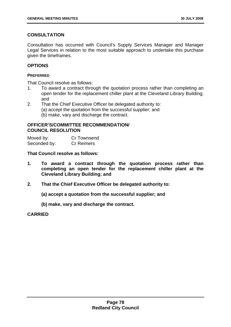# **CONSULTATION**

Consultation has occurred with Council's Supply Services Manager and Manager Legal Services in relation to the most suitable approach to undertake this purchase given the timeframes.

# **OPTIONS**

#### **PREFERRED**

That Council resolve as follows:

- 1. To award a contract through the quotation process rather than completing an open tender for the replacement chiller plant at the Cleveland Library Building; and
- 2. That the Chief Executive Officer be delegated authority to:
	- (a) accept the quotation from the successful supplier; and
	- (b) make, vary and discharge the contract.

## **OFFICER'S/COMMITTEE RECOMMENDATION/ COUNCIL RESOLUTION**

Moved by: Cr Townsend Seconded by: Cr Reimers

**That Council resolve as follows:** 

- **1. To award a contract through the quotation process rather than completing an open tender for the replacement chiller plant at the Cleveland Library Building; and**
- **2. That the Chief Executive Officer be delegated authority to:** 
	- **(a) accept a quotation from the successful supplier; and**
	- **(b) make, vary and discharge the contract.**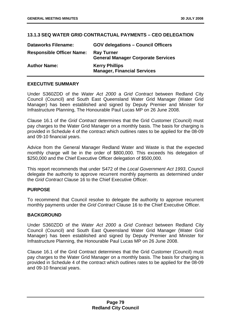# **13.1.3 SEQ WATER GRID CONTRACTUAL PAYMENTS – CEO DELEGATION**

| <b>Dataworks Filename:</b>       | <b>GOV delegations - Council Officers</b>                      |
|----------------------------------|----------------------------------------------------------------|
| <b>Responsible Officer Name:</b> | <b>Ray Turner</b><br><b>General Manager Corporate Services</b> |
| <b>Author Name:</b>              | <b>Kerry Phillips</b><br><b>Manager, Financial Services</b>    |

## **EXECUTIVE SUMMARY**

Under S360ZDD of the *Water Act 2000* a *Grid Contract* between Redland City Council (Council) and South East Queensland Water Grid Manager (Water Grid Manager) has been established and signed by Deputy Premier and Minister for Infrastructure Planning, The Honourable Paul Lucas MP on 26 June 2008.

Clause 16.1 of the *Grid Contract* determines that the Grid Customer (Council) must pay charges to the Water Grid Manager on a monthly basis. The basis for charging is provided in Schedule 4 of the contract which outlines rates to be applied for the 08-09 and 09-10 financial years.

Advice from the General Manager Redland Water and Waste is that the expected monthly charge will be in the order of \$800,000. This exceeds his delegation of \$250,000 and the Chief Executive Officer delegation of \$500,000.

This report recommends that under S472 of the *Local Government Act 1993*, Council delegate the authority to approve recurrent monthly payments as determined under the *Grid Contract* Clause 16 to the Chief Executive Officer.

## **PURPOSE**

To recommend that Council resolve to delegate the authority to approve recurrent monthly payments under the *Grid Contract* Clause 16 to the Chief Executive Officer.

### **BACKGROUND**

Under S360ZDD of the *Water Act 2000* a *Grid Contract* between Redland City Council (Council) and South East Queensland Water Grid Manager (Water Grid Manager) has been established and signed by Deputy Premier and Minister for Infrastructure Planning, the Honourable Paul Lucas MP on 26 June 2008.

Clause 16.1 of the Grid Contract determines that the Grid Customer (Council) must pay charges to the Water Grid Manager on a monthly basis. The basis for charging is provided in Schedule 4 of the contract which outlines rates to be applied for the 08-09 and 09-10 financial years.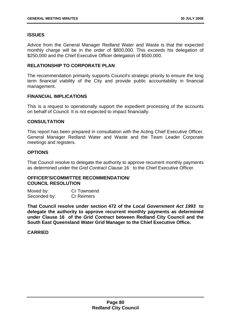# **ISSUES**

Advice from the General Manager Redland Water and Waste is that the expected monthly charge will be in the order of \$800,000. This exceeds his delegation of \$250,000 and the Chief Executive Officer delegation of \$500,000.

# **RELATIONSHIP TO CORPORATE PLAN**

The recommendation primarily supports Council's strategic priority to ensure the long term financial viability of the City and provide public accountability in financial management.

### **FINANCIAL IMPLICATIONS**

This is a request to operationally support the expedient processing of the accounts on behalf of Council. It is not expected to impact financially.

# **CONSULTATION**

This report has been prepared in consultation with the Acting Chief Executive Officer, General Manager Redland Water and Waste and the Team Leader Corporate meetings and registers.

# **OPTIONS**

That Council resolve to delegate the authority to approve recurrent monthly payments as determined under the *Grid Contract* Clause 16 to the Chief Executive Officer.

### **OFFICER'S/COMMITTEE RECOMMENDATION/ COUNCIL RESOLUTION**

| Moved by:    | Cr Townsend       |
|--------------|-------------------|
| Seconded by: | <b>Cr Reimers</b> |

**That Council resolve under section 472 of the** *Local Government Act 1993* **to delegate the authority to approve recurrent monthly payments as determined under Clause 16 of the** *Grid Contract* **between Redland City Council and the South East Queensland Water Grid Manager to the Chief Executive Office.**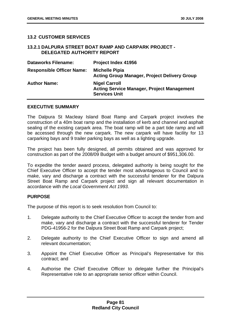# **13.2 CUSTOMER SERVICES**

### **13.2.1 DALPURA STREET BOAT RAMP AND CARPARK PROJECT - DELEGATED AUTHORITY REPORT**

| <b>Dataworks Filename:</b>       | Project Index 41956                                                                               |
|----------------------------------|---------------------------------------------------------------------------------------------------|
| <b>Responsible Officer Name:</b> | <b>Michelle Pipia</b><br><b>Acting Group Manager, Project Delivery Group</b>                      |
| <b>Author Name:</b>              | <b>Nigel Carroll</b><br><b>Acting Service Manager, Project Management</b><br><b>Services Unit</b> |

#### **EXECUTIVE SUMMARY**

The Dalpura St Macleay Island Boat Ramp and Carpark project involves the construction of a 40m boat ramp and the installation of kerb and channel and asphalt sealing of the existing carpark area. The boat ramp will be a part tide ramp and will be accessed through the new carpark. The new carpark will have facility for 13 carparking bays and 9 trailer parking bays as well as a lighting upgrade.

The project has been fully designed, all permits obtained and was approved for construction as part of the 2008/09 Budget with a budget amount of \$951,306.00.

To expedite the tender award process, delegated authority is being sought for the Chief Executive Officer to accept the tender most advantageous to Council and to make, vary and discharge a contract with the successful tenderer for the Dalpura Street Boat Ramp and Carpark project and sign all relevant documentation in accordance with *the Local Government Act 1993*.

### **PURPOSE**

The purpose of this report is to seek resolution from Council to:

- 1. Delegate authority to the Chief Executive Officer to accept the tender from and make, vary and discharge a contract with the successful tenderer for Tender PDG-41956-2 for the Dalpura Street Boat Ramp and Carpark project;
- 2. Delegate authority to the Chief Executive Officer to sign and amend all relevant documentation;
- 3. Appoint the Chief Executive Officer as Principal's Representative for this contract; and
- 4. Authorise the Chief Executive Officer to delegate further the Principal's Representative role to an appropriate senior officer within Council.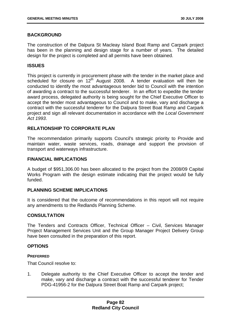# **BACKGROUND**

The construction of the Dalpura St Macleay Island Boat Ramp and Carpark project has been in the planning and design stage for a number of years. The detailed design for the project is completed and all permits have been obtained.

## **ISSUES**

This project is currently in procurement phase with the tender in the market place and scheduled for closure on 12<sup>th</sup> August 2008. A tender evaluation will then be conducted to identify the most advantageous tender bid to Council with the intention of awarding a contract to the successful tenderer. In an effort to expedite the tender award process, delegated authority is being sought for the Chief Executive Officer to accept the tender most advantageous to Council and to make, vary and discharge a contract with the successful tenderer for the Dalpura Street Boat Ramp and Carpark project and sign all relevant documentation in accordance with the *Local Government Act 1993*.

# **RELATIONSHIP TO CORPORATE PLAN**

The recommendation primarily supports Council's strategic priority to Provide and maintain water, waste services, roads, drainage and support the provision of transport and waterways infrastructure.

## **FINANCIAL IMPLICATIONS**

A budget of \$951,306.00 has been allocated to the project from the 2008/09 Capital Works Program with the design estimate indicating that the project would be fully funded.

### **PLANNING SCHEME IMPLICATIONS**

It is considered that the outcome of recommendations in this report will not require any amendments to the Redlands Planning Scheme.

### **CONSULTATION**

The Tenders and Contracts Officer, Technical Officer – Civil, Services Manager Project Management Services Unit and the Group Manager Project Delivery Group have been consulted in the preparation of this report.

### **OPTIONS**

### **PREFERRED**

That Council resolve to:

1. Delegate authority to the Chief Executive Officer to accept the tender and make, vary and discharge a contract with the successful tenderer for Tender PDG-41956-2 for the Dalpura Street Boat Ramp and Carpark project;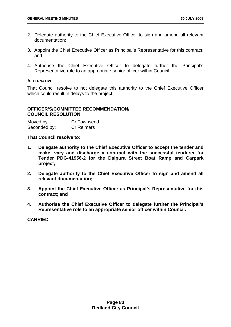- 2. Delegate authority to the Chief Executive Officer to sign and amend all relevant documentation;
- 3. Appoint the Chief Executive Officer as Principal's Representative for this contract; and
- 4. Authorise the Chief Executive Officer to delegate further the Principal's Representative role to an appropriate senior officer within Council.

#### **ALTERNATIVE**

That Council resolve to not delegate this authority to the Chief Executive Officer which could result in delays to the project.

# **OFFICER'S/COMMITTEE RECOMMENDATION/ COUNCIL RESOLUTION**

| Moved by:    | Cr Townsend       |
|--------------|-------------------|
| Seconded by: | <b>Cr Reimers</b> |

**That Council resolve to:** 

- **1. Delegate authority to the Chief Executive Officer to accept the tender and make, vary and discharge a contract with the successful tenderer for Tender PDG-41956-2 for the Dalpura Street Boat Ramp and Carpark project;**
- **2. Delegate authority to the Chief Executive Officer to sign and amend all relevant documentation;**
- **3. Appoint the Chief Executive Officer as Principal's Representative for this contract; and**
- **4. Authorise the Chief Executive Officer to delegate further the Principal's Representative role to an appropriate senior officer within Council.**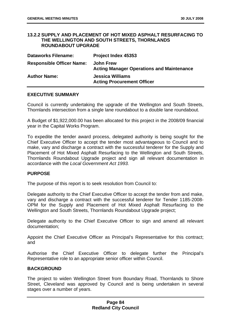#### **13.2.2 SUPPLY AND PLACEMENT OF HOT MIXED ASPHALT RESURFACING TO THE WELLINGTON AND SOUTH STREETS, THORNLANDS ROUNDABOUT UPGRADE**

| <b>Dataworks Filename:</b>       | <b>Project Index 45353</b>                                           |
|----------------------------------|----------------------------------------------------------------------|
| <b>Responsible Officer Name:</b> | <b>John Frew</b><br><b>Acting Manager Operations and Maintenance</b> |
| <b>Author Name:</b>              | <b>Jessica Williams</b><br><b>Acting Procurement Officer</b>         |

### **EXECUTIVE SUMMARY**

Council is currently undertaking the upgrade of the Wellington and South Streets, Thornlands intersection from a single lane roundabout to a double lane roundabout.

A Budget of \$1,922,000.00 has been allocated for this project in the 2008/09 financial year in the Capital Works Program.

To expedite the tender award process, delegated authority is being sought for the Chief Executive Officer to accept the tender most advantageous to Council and to make, vary and discharge a contract with the successful tenderer for the Supply and Placement of Hot Mixed Asphalt Resurfacing to the Wellington and South Streets, Thornlands Roundabout Upgrade project and sign all relevant documentation in accordance with the *Local Government Act 1993.* 

### **PURPOSE**

The purpose of this report is to seek resolution from Council to:

Delegate authority to the Chief Executive Officer to accept the tender from and make, vary and discharge a contract with the successful tenderer for Tender 1185-2008- OPM for the Supply and Placement of Hot Mixed Asphalt Resurfacing to the Wellington and South Streets, Thornlands Roundabout Upgrade project;

Delegate authority to the Chief Executive Officer to sign and amend all relevant documentation;

Appoint the Chief Executive Officer as Principal's Representative for this contract; and

Authorise the Chief Executive Officer to delegate further the Principal's Representative role to an appropriate senior officer within Council.

### **BACKGROUND**

The project to widen Wellington Street from Boundary Road, Thornlands to Shore Street, Cleveland was approved by Council and is being undertaken in several stages over a number of years.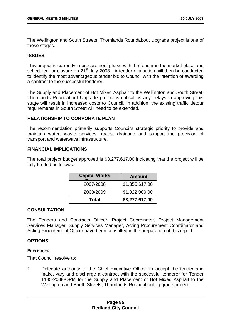The Wellington and South Streets, Thornlands Roundabout Upgrade project is one of these stages.

# **ISSUES**

This project is currently in procurement phase with the tender in the market place and scheduled for closure on 21<sup>st</sup> July 2008. A tender evaluation will then be conducted to identify the most advantageous tender bid to Council with the intention of awarding a contract to the successful tenderer.

The Supply and Placement of Hot Mixed Asphalt to the Wellington and South Street, Thornlands Roundabout Upgrade project is critical as any delays in approving this stage will result in increased costs to Council. In addition, the existing traffic detour requirements in South Street will need to be extended.

# **RELATIONSHIP TO CORPORATE PLAN**

The recommendation primarily supports Council's strategic priority to provide and maintain water, waste services, roads, drainage and support the provision of transport and waterways infrastructure.

### **FINANCIAL IMPLICATIONS**

The total project budget approved is \$3,277,617.00 indicating that the project will be fully funded as follows:

| <b>Capital Works</b> | <b>Amount</b>  |
|----------------------|----------------|
| 2007/2008            | \$1,355,617.00 |
| 2008/2009            | \$1,922,000.00 |
| Total                | \$3,277,617.00 |

### **CONSULTATION**

The Tenders and Contracts Officer, Project Coordinator, Project Management Services Manager, Supply Services Manager, Acting Procurement Coordinator and Acting Procurement Officer have been consulted in the preparation of this report.

# **OPTIONS**

#### **PREFERRED**

That Council resolve to:

1. Delegate authority to the Chief Executive Officer to accept the tender and make, vary and discharge a contract with the successful tenderer for Tender 1185-2008-OPM for the Supply and Placement of Hot Mixed Asphalt to the Wellington and South Streets, Thornlands Roundabout Upgrade project;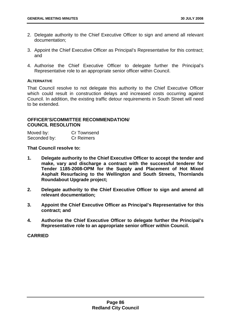- 2. Delegate authority to the Chief Executive Officer to sign and amend all relevant documentation;
- 3. Appoint the Chief Executive Officer as Principal's Representative for this contract; and
- 4. Authorise the Chief Executive Officer to delegate further the Principal's Representative role to an appropriate senior officer within Council.

#### **ALTERNATIVE**

That Council resolve to not delegate this authority to the Chief Executive Officer which could result in construction delays and increased costs occurring against Council. In addition, the existing traffic detour requirements in South Street will need to be extended.

## **OFFICER'S/COMMITTEE RECOMMENDATION/ COUNCIL RESOLUTION**

| Moved by:    | Cr Townsend       |
|--------------|-------------------|
| Seconded by: | <b>Cr Reimers</b> |

**That Council resolve to:** 

- **1. Delegate authority to the Chief Executive Officer to accept the tender and make, vary and discharge a contract with the successful tenderer for Tender 1185-2008-OPM for the Supply and Placement of Hot Mixed Asphalt Resurfacing to the Wellington and South Streets, Thornlands Roundabout Upgrade project;**
- **2. Delegate authority to the Chief Executive Officer to sign and amend all relevant documentation;**
- **3. Appoint the Chief Executive Officer as Principal's Representative for this contract; and**
- **4. Authorise the Chief Executive Officer to delegate further the Principal's Representative role to an appropriate senior officer within Council.**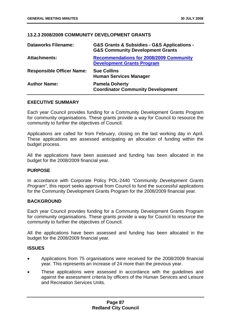# **13.2.3 2008/2009 COMMUNITY DEVELOPMENT GRANTS**

| <b>Dataworks Filename:</b>       | <b>G&amp;S Grants &amp; Subsidies - G&amp;S Applications -</b><br><b>G&amp;S Community Development Grants</b> |
|----------------------------------|---------------------------------------------------------------------------------------------------------------|
| <b>Attachments:</b>              | <b>Recommendations for 2008/2009 Community</b><br><b>Development Grants Program</b>                           |
| <b>Responsible Officer Name:</b> | <b>Sue Collins</b><br><b>Human Services Manager</b>                                                           |
| <b>Author Name:</b>              | <b>Pamela Doherty</b><br><b>Coordinator Community Development</b>                                             |

### **EXECUTIVE SUMMARY**

Each year Council provides funding for a Community Development Grants Program for community organisations. These grants provide a way for Council to resource the community to further the objectives of Council.

Applications are called for from February, closing on the last working day in April. These applications are assessed anticipating an allocation of funding within the budget process.

All the applications have been assessed and funding has been allocated in the budget for the 2008/2009 financial year.

### **PURPOSE**

In accordance with Corporate Policy POL-2440 *"Community Development Grants Program"*, this report seeks approval from Council to fund the successful applications for the Community Development Grants Program for the 2008/2009 financial year.

### **BACKGROUND**

Each year Council provides funding for a Community Development Grants Program for community organisations. These grants provide a way for Council to resource the community to further the objectives of Council.

All the applications have been assessed and funding has been allocated in the budget for the 2008/2009 financial year.

### **ISSUES**

- Applications from 75 organisations were received for the 2008/2009 financial year. This represents an increase of 24 more than the previous year.
- These applications were assessed in accordance with the guidelines and against the assessment criteria by officers of the Human Services and Leisure and Recreation Services Units.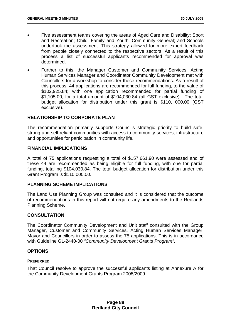- Five assessment teams covering the areas of Aged Care and Disability; Sport and Recreation; Child, Family and Youth; Community General; and Schools undertook the assessment. This strategy allowed for more expert feedback from people closely connected to the respective sectors. As a result of this process a list of successful applicants recommended for approval was determined.
- Further to this, the Manager Customer and Community Services, Acting Human Services Manager and Coordinator Community Development met with Councillors for a workshop to consider these recommendations. As a result of this process, 44 applications are recommended for full funding, to the value of \$102,925.84; with one application recommended for partial funding of \$1,105.00; for a total amount of \$104,030.84 (all GST exclusive). The total budget allocation for distribution under this grant is \$110, 000.00 (GST exclusive).

# **RELATIONSHIP TO CORPORATE PLAN**

The recommendation primarily supports Council's strategic priority to build safe, strong and self reliant communities with access to community services, infrastructure and opportunities for participation in community life.

### **FINANCIAL IMPLICATIONS**

A total of 75 applications requesting a total of \$157,661.90 were assessed and of these 44 are recommended as being eligible for full funding, with one for partial funding, totalling \$104,030.84. The total budget allocation for distribution under this Grant Program is \$110,000.00.

### **PLANNING SCHEME IMPLICATIONS**

The Land Use Planning Group was consulted and it is considered that the outcome of recommendations in this report will not require any amendments to the Redlands Planning Scheme.

# **CONSULTATION**

The Coordinator Community Development and Unit staff consulted with the Group Manager, Customer and Community Services, Acting Human Services Manager, Mayor and Councillors in order to assess the 75 applications. This is in accordance with Guideline GL-2440-00 *"Community Development Grants Program"*.

### **OPTIONS**

### **PREFERRED**

That Council resolve to approve the successful applicants listing at Annexure A for the Community Development Grants Program 2008/2009.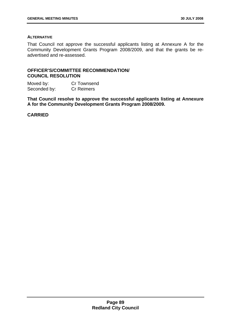#### **ALTERNATIVE**

That Council not approve the successful applicants listing at Annexure A for the Community Development Grants Program 2008/2009, and that the grants be readvertised and re-assessed.

# **OFFICER'S/COMMITTEE RECOMMENDATION/ COUNCIL RESOLUTION**

Moved by: Cr Townsend Seconded by: Cr Reimers

**That Council resolve to approve the successful applicants listing at Annexure A for the Community Development Grants Program 2008/2009.**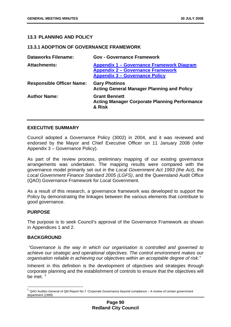# **13.3 PLANNING AND POLICY**

#### **13.3.1 ADOPTION OF GOVERNANCE FRAMEWORK**

| <b>Dataworks Filename:</b>       | <b>Gov - Governance Framework</b>                                                                                              |
|----------------------------------|--------------------------------------------------------------------------------------------------------------------------------|
| <b>Attachments:</b>              | Appendix 1 – Governance Framework Diagram<br><b>Appendix 2 - Governance Framework</b><br><b>Appendix 3 - Governance Policy</b> |
| <b>Responsible Officer Name:</b> | <b>Gary Photinos</b><br><b>Acting General Manager Planning and Policy</b>                                                      |
| <b>Author Name:</b>              | <b>Grant Bennett</b><br><b>Acting Manager Corporate Planning Performance</b><br>& Risk                                         |

### **EXECUTIVE SUMMARY**

Council adopted a Governance Policy (3002) in 2004, and it was reviewed and endorsed by the Mayor and Chief Executive Officer on 11 January 2008 (refer Appendix 3 – Governance Policy).

As part of the review process, preliminary mapping of our existing governance arrangements was undertaken. The mapping results were compared with the governance model primarily set out in the *Local Government Act 1993 (the Act)*, the *Local Government Finance Standard 2005 (LGFS)*, and the Queensland Audit Office (QAO) Governance Framework for Local Government.

As a result of this research, a governance framework was developed to support the Policy by demonstrating the linkages between the various elements that contribute to good governance.

### **PURPOSE**

 $\overline{a}$ 

The purpose is to seek Council's approval of the Governance Framework as shown in Appendices 1 and 2.

### **BACKGROUND**

 *"Governance is the way in which our organisation is controlled and governed to achieve our strategic and operational objectives. The control environment makes our organisation reliable in achieving our objectives within an acceptable degree of risk."* 

Inherent in this definition is the development of objectives and strategies through corporate planning and the establishment of controls to ensure that the objectives will be met  $<sup>1</sup>$  $<sup>1</sup>$  $<sup>1</sup>$ </sup>

<span id="page-94-0"></span> $1$  QAO Auditor-General of Qld Report No.7 'Corporate Governance beyond compliance – A review of certain government department (1999)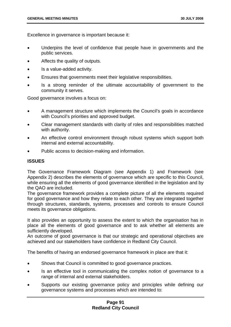Excellence in governance is important because it:

- Underpins the level of confidence that people have in governments and the public services.
- Affects the quality of outputs.
- Is a value-added activity.
- Ensures that governments meet their legislative responsibilities.
- Is a strong reminder of the ultimate accountability of government to the community it serves.

Good governance involves a focus on:

- A management structure which implements the Council's goals in accordance with Council's priorities and approved budget.
- Clear management standards with clarity of roles and responsibilities matched with authority.
- An effective control environment through robust systems which support both internal and external accountability.
- Public access to decision-making and information.

# **ISSUES**

The Governance Framework Diagram (see Appendix 1) and Framework (see Appendix 2) describes the elements of governance which are specific to this Council, while ensuring all the elements of good governance identified in the legislation and by the QAO are included.

The governance framework provides a complete picture of all the elements required for good governance and how they relate to each other. They are integrated together through structures, standards, systems, processes and controls to ensure Council meets its governance obligations.

It also provides an opportunity to assess the extent to which the organisation has in place all the elements of good governance and to ask whether all elements are sufficiently developed.

An outcome of good governance is that our strategic and operational objectives are achieved and our stakeholders have confidence in Redland City Council.

The benefits of having an endorsed governance framework in place are that it:

- Shows that Council is committed to good governance practices.
- Is an effective tool in communicating the complex notion of governance to a range of internal and external stakeholders.
- Supports our existing governance policy and principles while defining our governance systems and processes which are intended to: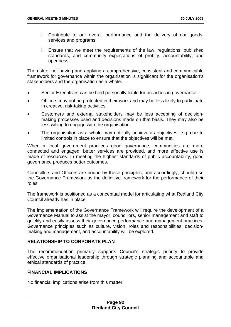- i. Contribute to our overall performance and the delivery of our goods, services and programs.
- ii. Ensure that we meet the requirements of the law, regulations, published standards, and community expectations of probity, accountability, and openness.

The risk of not having and applying a comprehensive, consistent and communicable framework for governance within the organisation is significant for the organisation's stakeholders and the organisation as a whole.

- Senior Executives can be held personally liable for breaches in governance.
- Officers may not be protected in their work and may be less likely to participate in creative, risk-taking activities.
- Customers and external stakeholders may be less accepting of decisionmaking processes used and decisions made on that basis. They may also be less willing to engage with the organisation.
- The organisation as a whole may not fully achieve its objectives, e.g. due to limited controls in place to ensure that the objectives will be met.

When a local government practices good governance, communities are more connected and engaged, better services are provided, and more effective use is made of resources. In meeting the highest standards of public accountability, good governance produces better outcomes.

Councillors and Officers are bound by these principles, and accordingly, should use the Governance Framework as the definitive framework for the performance of their roles.

The framework is positioned as a conceptual model for articulating what Redland City Council already has in place.

The implementation of the Governance Framework will require the development of a Governance Manual to assist the mayor, councillors, senior management and staff to quickly and easily assess their governance performance and management practices. Governance principles such as culture, vision, roles and responsibilities, decisionmaking and management, and accountability will be explored.

# **RELATIONSHIP TO CORPORATE PLAN**

The recommendation primarily supports Council's strategic priority to provide effective organisational leadership through strategic planning and accountable and ethical standards of practice.

## **FINANCIAL IMPLICATIONS**

No financial implications arise from this matter.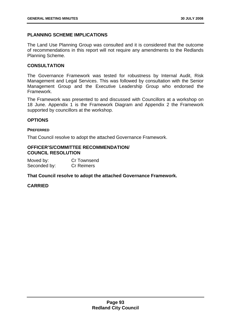# **PLANNING SCHEME IMPLICATIONS**

The Land Use Planning Group was consulted and it is considered that the outcome of recommendations in this report will not require any amendments to the Redlands Planning Scheme.

# **CONSULTATION**

The Governance Framework was tested for robustness by Internal Audit, Risk Management and Legal Services. This was followed by consultation with the Senior Management Group and the Executive Leadership Group who endorsed the Framework.

The Framework was presented to and discussed with Councillors at a workshop on 18 June. Appendix 1 is the Framework Diagram and Appendix 2 the Framework supported by councillors at the workshop.

# **OPTIONS**

#### **PREFERRED**

That Council resolve to adopt the attached Governance Framework.

#### **OFFICER'S/COMMITTEE RECOMMENDATION/ COUNCIL RESOLUTION**

Moved by: Cr Townsend Seconded by: Cr Reimers

### **That Council resolve to adopt the attached Governance Framework.**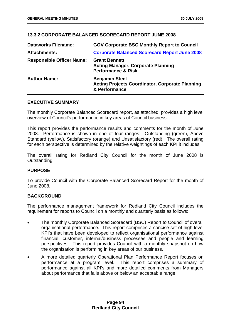# **13.3.2 CORPORATE BALANCED SCORECARD REPORT JUNE 2008**

| <b>Dataworks Filename:</b>       | <b>GOV Corporate BSC Monthly Report to Council</b>                                                 |
|----------------------------------|----------------------------------------------------------------------------------------------------|
| <b>Attachments:</b>              | <b>Corporate Balanced Scorecard Report June 2008</b>                                               |
| <b>Responsible Officer Name:</b> | <b>Grant Bennett</b><br><b>Acting Manager, Corporate Planning</b><br><b>Performance &amp; Risk</b> |
| <b>Author Name:</b>              | <b>Benjamin Steel</b><br><b>Acting Projects Coordinator, Corporate Planning</b><br>& Performance   |

# **EXECUTIVE SUMMARY**

The monthly Corporate Balanced Scorecard report, as attached, provides a high level overview of Council's performance in key areas of Council business.

This report provides the performance results and comments for the month of June 2008. Performance is shown in one of four ranges: Outstanding (green), Above Standard (yellow), Satisfactory (orange) and Unsatisfactory (red). The overall rating for each perspective is determined by the relative weightings of each KPI it includes.

The overall rating for Redland City Council for the month of June 2008 is Outstanding.

### **PURPOSE**

To provide Council with the Corporate Balanced Scorecard Report for the month of June 2008.

# **BACKGROUND**

The performance management framework for Redland City Council includes the requirement for reports to Council on a monthly and quarterly basis as follows:

- The monthly Corporate Balanced Scorecard (BSC) Report to Council of overall organisational performance. This report comprises a concise set of high level KPI's that have been developed to reflect organisational performance against financial, customer, internal/business processes and people and learning perspectives. This report provides Council with a monthly snapshot on how the organisation is performing in key areas of our business.
- A more detailed quarterly Operational Plan Performance Report focuses on performance at a program level. This report comprises a summary of performance against all KPI's and more detailed comments from Managers about performance that falls above or below an acceptable range.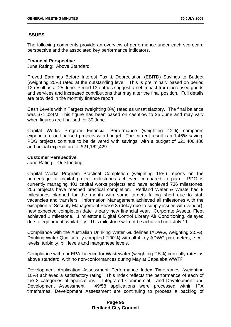# **ISSUES**

The following comments provide an overview of performance under each scorecard perspective and the associated key performance indicators,

#### **Financial Perspective**

June Rating: Above Standard

Proved Earnings Before Interest Tax & Depreciation (EBITD) Savings to Budget (weighting 20%) rated at the outstanding level. This is preliminary based on period 12 result as at 25 June. Period 13 entries suggest a net impact from increased goods and services and increased contributions that may alter the final position. Full details are provided in the monthly finance report.

Cash Levels within Targets (weighting 8%) rated as unsatisfactory. The final balance was \$71.024M. This figure has been based on cashflow to 25 June and may vary when figures are finalised for 30 June.

Capital Works Program Financial Performance (weighting 12%) compares expenditure on finalised projects with budget. The current result is a 1.46% saving. PDG projects continue to be delivered with savings, with a budget of \$21,406,486 and actual expenditure of \$21,162,429.

#### **Customer Perspective**

June Rating: Outstanding

Capital Works Program Practical Completion (weighting 15%) reports on the percentage of capital project milestones achieved compared to plan. PDG is currently managing 401 capital works projects and have achieved 736 milestones. 206 projects have reached practical completion. Redland Water & Waste had 9 milestones planned for the month with some targets falling short due to staff vacancies and transfers. Information Management achieved all milestones with the exception of Security Management Phase 3 (delay due to supply issues with vendor), new expected completion date is early new financial year. Corporate Assets, Fleet achieved 1 milestone. 1 milestone Digital Control Library Air Conditioning, delayed due to equipment availability. This milestone will not be achieved until July 11.

Compliance with the Australian Drinking Water Guidelines (ADWG, weighting 2.5%), Drinking Water Quality fully complied (100%) with all 4 key ADWG parameters, e-coli levels, turbidity, pH levels and manganese levels.

Compliance with our EPA Licence for Wastewater (weighting 2.5%) currently rates as above standard, with no non-conformances during May at Capalaba WWTP.

Development Application Assessment Performance Index Timeframes (weighting 10%) achieved a satisfactory rating. This index reflects the performance of each of the 3 categories of applications – Integrated Commercial, Land Development and Development Assessment. 49/58 applications were processed within IPA timeframes. Development Assessment are continuing to process a backlog of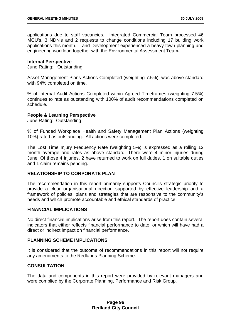applications due to staff vacancies. Integrated Commercial Team processed 46 MCU's, 3 NDN's and 2 requests to change conditions including 17 building work applications this month. Land Development experienced a heavy town planning and engineering workload together with the Environmental Assessment Team**.**

#### **Internal Perspective**

June Rating: Outstanding

Asset Management Plans Actions Completed (weighting 7.5%), was above standard with 94% completed on time.

% of Internal Audit Actions Completed within Agreed Timeframes (weighting 7.5%) continues to rate as outstanding with 100% of audit recommendations completed on schedule.

### **People & Learning Perspective**

June Rating: Outstanding

% of Funded Workplace Health and Safety Management Plan Actions (weighting 10%) rated as outstanding. All actions were completed.

The Lost Time Injury Frequency Rate (weighting 5%) is expressed as a rolling 12 month average and rates as above standard. There were 4 minor injuries during June. Of those 4 injuries, 2 have returned to work on full duties, 1 on suitable duties and 1 claim remains pending.

# **RELATIONSHIP TO CORPORATE PLAN**

The recommendation in this report primarily supports Council's strategic priority to provide a clear organisational direction supported by effective leadership and a framework of policies, plans and strategies that are responsive to the community's needs and which promote accountable and ethical standards of practice.

### **FINANCIAL IMPLICATIONS**

No direct financial implications arise from this report. The report does contain several indicators that either reflects financial performance to date, or which will have had a direct or indirect impact on financial performance.

# **PLANNING SCHEME IMPLICATIONS**

It is considered that the outcome of recommendations in this report will not require any amendments to the Redlands Planning Scheme.

# **CONSULTATION**

The data and components in this report were provided by relevant managers and were complied by the Corporate Planning, Performance and Risk Group.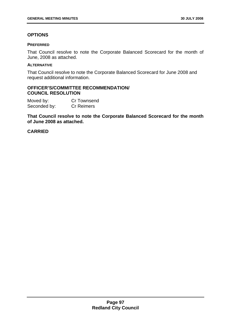# **OPTIONS**

#### **PREFERRED**

That Council resolve to note the Corporate Balanced Scorecard for the month of June, 2008 as attached.

#### **ALTERNATIVE**

That Council resolve to note the Corporate Balanced Scorecard for June 2008 and request additional information.

# **OFFICER'S/COMMITTEE RECOMMENDATION/ COUNCIL RESOLUTION**

Moved by: Cr Townsend Seconded by: Cr Reimers

**That Council resolve to note the Corporate Balanced Scorecard for the month of June 2008 as attached.**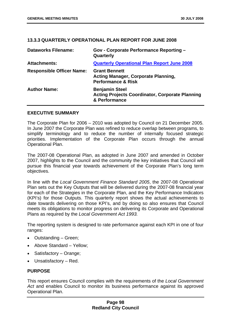### **13.3.3 QUARTERLY OPERATIONAL PLAN REPORT FOR JUNE 2008**

| <b>Dataworks Filename:</b>       | <b>Gov - Corporate Performance Reporting -</b><br>Quarterly                                         |
|----------------------------------|-----------------------------------------------------------------------------------------------------|
| <b>Attachments:</b>              | <b>Quarterly Operational Plan Report June 2008</b>                                                  |
| <b>Responsible Officer Name:</b> | <b>Grant Bennett</b><br><b>Acting Manager, Corporate Planning,</b><br><b>Performance &amp; Risk</b> |
| <b>Author Name:</b>              | <b>Benjamin Steel</b><br><b>Acting Projects Coordinator, Corporate Planning</b><br>& Performance    |

#### **EXECUTIVE SUMMARY**

The Corporate Plan for 2006 – 2010 was adopted by Council on 21 December 2005. In June 2007 the Corporate Plan was refined to reduce overlap between programs, to simplify terminology and to reduce the number of internally focused strategic priorities. Implementation of the Corporate Plan occurs through the annual Operational Plan.

The 2007-08 Operational Plan, as adopted in June 2007 and amended in October 2007, highlights to the Council and the community the key initiatives that Council will pursue this financial year towards achievement of the Corporate Plan's long term objectives.

In line with the *Local Government Finance Standard 2005*, the 2007-08 Operational Plan sets out the Key Outputs that will be delivered during the 2007-08 financial year for each of the Strategies in the Corporate Plan, and the Key Performance Indicators (KPI's) for those Outputs. This quarterly report shows the actual achievements to date towards delivering on those KPI's, and by doing so also ensures that Council meets its obligations to monitor progress on delivering its Corporate and Operational Plans as required by the *Local Government Act 1993.* 

The reporting system is designed to rate performance against each KPI in one of four ranges:

- Outstanding Green;
- Above Standard Yellow;
- Satisfactory Orange;
- Unsatisfactory Red.

### **PURPOSE**

This report ensures Council complies with the requirements of the *Local Government*  Act and enables Council to monitor its business performance against its approved Operational Plan.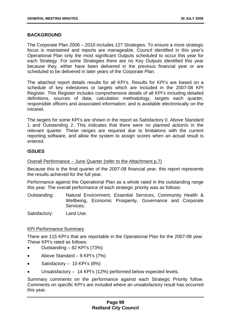# **BACKGROUND**

The Corporate Plan 2006 – 2010 includes 127 Strategies. To ensure a more strategic focus is maintained and reports are manageable, Council identified in this year's Operational Plan only the most significant Outputs scheduled to occur this year for each Strategy. For some Strategies there are no Key Outputs identified this year because they, either have been delivered in the previous financial year or are scheduled to be delivered in later years of the Corporate Plan.

The attached report details results for all KPI's. Results for KPI's are based on a schedule of key milestones or targets which are included in the 2007-08 KPI Register. This Register includes comprehensive details of all KPI's including detailed definitions, sources of data, calculation methodology, targets each quarter, responsible officers and associated information; and is available electronically on the Intranet.

The targets for some KPI's are shown in the report as Satisfactory 0, Above Standard 1 and Outstanding 2. This indicates that there were no planned action/s in the relevant quarter. These ranges are required due to limitations with the current reporting software, and allow the system to assign scores when an actual result is entered.

# **ISSUES**

### Overall Performance – June Quarter (refer to the Attachment p.7)

Because this is the final quarter of the 2007-08 financial year, this report represents the results achieved for the full year.

Performance against the Operational Plan as a whole rated in the outstanding range this year. The overall performance of each strategic priority was as follows:

Outstanding: Natural Environment, Essential Services, Community Health & Wellbeing, Economic Prosperity, Governance and Corporate Services.

Satisfactory: Land Use.

### KPI Performance Summary

There are 115 KPI's that are reportable in the Operational Plan for the 2007-08 year. These KPI's rated as follows:

- Outstanding 82 KPI's (73%)
- Above Standard 9 KPI's (7%)
- Satisfactory  $-10$  KPI's (8%)
- Unsatisfactory 14 KPI's (12%) performed below expected levels.

Summary comments on the performance against each Strategic Priority follow. Comments on specific KPI's are included where an unsatisfactory result has occurred this year.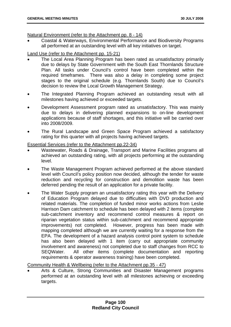# Natural Environment (refer to the Attachment pp. 8 - 14)

• Coastal & Waterways, Environmental Performance and Biodiversity Programs all performed at an outstanding level with all key initiatives on target.

# Land Use (refer to the Attachment pp. 15-21)

- The Local Area Planning Program has been rated as unsatisfactory primarily due to delays by State Government with the South East Thornlands Structure Plan. All tasks under Council's control have been completed within the required timeframes. There was also a delay in completing some project stages to the original schedule (e.g. Thornlands South) due to Council's decision to review the Local Growth Management Strategy.
- The Integrated Planning Program achieved an outstanding result with all milestones having achieved or exceeded targets.
- Development Assessment program rated as unsatisfactory. This was mainly due to delays in delivering planned expansions to on-line development applications because of staff shortages, and this initiative will be carried over into 2008/2009.
- The Rural Landscape and Green Space Program achieved a satisfactory rating for this quarter with all projects having achieved targets.

# Essential Services (refer to the Attachment pp.22-34)

- Wastewater, Roads & Drainage, Transport and Marine Facilities programs all achieved an outstanding rating, with all projects performing at the outstanding level.
- The Waste Management Program achieved performed at the above standard level with Council's policy position now decided, although the tender for waste reduction and recycling for construction and demolition waste has been deferred pending the result of an application for a private facility.
- The Water Supply program an unsatisfactory rating this year with the Delivery of Education Program delayed due to difficulties with DVD production and related materials. The completion of funded minor works actions from Leslie Harrison Dam catchment to schedule has been delayed with 2 items (complete sub-catchment inventory and recommend control measures & report on riparian vegetation status within sub-catchment and recommend appropriate improvements) not completed. However, progress has been made with mapping completed although we are currently waiting for a response from the EPA. The development of a hazard analysis control point system to schedule has also been delayed with 1 item (carry out appropriate community involvement and awareness) not completed due to staff changes from RCC to SEQWater. All other items (complete documentation and reporting requirements & operator awareness training) have been completed.

Community Health & Wellbeing (refer to the Attachment pp.35 - 47)

• Arts & Culture, Strong Communities and Disaster Management programs performed at an outstanding level with all milestones achieving or exceeding targets.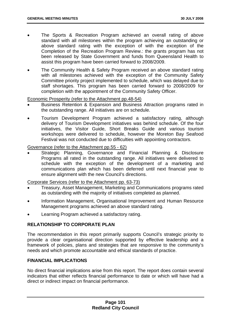- The Sports & Recreation Program achieved an overall rating of above standard with all milestones within the program achieving an outstanding or above standard rating with the exception of with the exception of the Completion of the Recreation Program Review.: the grants program has not been released by State Government and funds from Queensland Health to assist this program have been carried forward to 2008/2009.
- The Community Health & Safety Program received an above standard rating with all milestones achieved with the exception of the Community Safety Committee priority project implemented to schedule, which was delayed due to staff shortages. This program has been carried forward to 2008/2009 for completion with the appointment of the Community Safety Officer.

### Economic Prosperity (refer to the Attachment pp.48-54)

- Business Retention & Expansion and Business Attraction programs rated in the outstanding range. All initiatives are on schedule.
- Tourism Development Program achieved a satisfactory rating, although delivery of Tourism Development initiatives was behind schedule. Of the four initiatives, the Visitor Guide, Short Breaks Guide and various tourism workshops were delivered to schedule, however the Moreton Bay Seafood Festival was not conducted due to difficulties with appointing contractors.

# Governance (refer to the Attachment pp.55 - 62)

Strategic Planning, Governance and Financial Planning & Disclosure Programs all rated in the outstanding range. All initiatives were delivered to schedule with the exception of the development of a marketing and communications plan which has been deferred until next financial year to ensure alignment with the new Council's directions.

### Corporate Services (refer to the Attachment pp. 63-73)

- Treasury, Asset Management, Marketing and Communications programs rated as outstanding with the majority of initiatives completed as planned.
- Information Management, Organisational Improvement and Human Resource Management programs achieved an above standard rating.
- Learning Program achieved a satisfactory rating.

# **RELATIONSHIP TO CORPORATE PLAN**

The recommendation in this report primarily supports Council's strategic priority to provide a clear organisational direction supported by effective leadership and a framework of policies, plans and strategies that are responsive to the community's needs and which promote accountable and ethical standards of practice.

# **FINANCIAL IMPLICATIONS**

No direct financial implications arise from this report. The report does contain several indicators that either reflects financial performance to date or which will have had a direct or indirect impact on financial performance.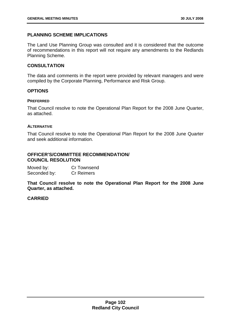# **PLANNING SCHEME IMPLICATIONS**

The Land Use Planning Group was consulted and it is considered that the outcome of recommendations in this report will not require any amendments to the Redlands Planning Scheme.

### **CONSULTATION**

The data and comments in the report were provided by relevant managers and were compiled by the Corporate Planning, Performance and Risk Group.

### **OPTIONS**

#### **PREFERRED**

That Council resolve to note the Operational Plan Report for the 2008 June Quarter, as attached.

#### **ALTERNATIVE**

That Council resolve to note the Operational Plan Report for the 2008 June Quarter and seek additional information.

## **OFFICER'S/COMMITTEE RECOMMENDATION/ COUNCIL RESOLUTION**

| Moved by:    | Cr Townsend       |
|--------------|-------------------|
| Seconded by: | <b>Cr Reimers</b> |

**That Council resolve to note the Operational Plan Report for the 2008 June Quarter, as attached.**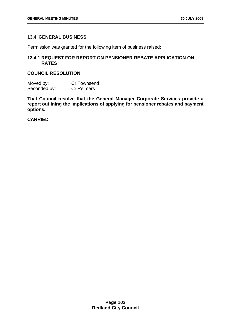# **13.4 GENERAL BUSINESS**

Permission was granted for the following item of business raised:

# **13.4.1 REQUEST FOR REPORT ON PENSIONER REBATE APPLICATION ON RATES**

# **COUNCIL RESOLUTION**

Moved by: Cr Townsend Seconded by: Cr Reimers

**That Council resolve that the General Manager Corporate Services provide a report outlining the implications of applying for pensioner rebates and payment options.**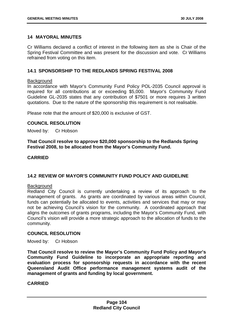## **14 MAYORAL MINUTES**

Cr Williams declared a conflict of interest in the following item as she is Chair of the Spring Festival Committee and was present for the discussion and vote. Cr Williams refrained from voting on this item.

## **14.1 SPONSORSHIP TO THE REDLANDS SPRING FESTIVAL 2008**

#### **Background**

In accordance with Mayor's Community Fund Policy POL-2035 Council approval is required for all contributions at or exceeding \$5,000. Mayor's Community Fund Guideline GL-2035 states that any contribution of \$7501 or more requires 3 written quotations. Due to the nature of the sponsorship this requirement is not realisable.

Please note that the amount of \$20,000 is exclusive of GST.

### **COUNCIL RESOLUTION**

Moved by: Cr Hobson

**That Council resolve to approve \$20,000 sponsorship to the Redlands Spring Festival 2008, to be allocated from the Mayor's Community Fund.** 

#### **CARRIED**

### **14.2 REVIEW OF MAYOR'S COMMUNITY FUND POLICY AND GUIDELINE**

#### **Background**

Redland City Council is currently undertaking a review of its approach to the management of grants. As grants are coordinated by various areas within Council, funds can potentially be allocated to events, activities and services that may or may not be achieving Council's vision for the community. A coordinated approach that aligns the outcomes of grants programs, including the Mayor's Community Fund, with Council's vision will provide a more strategic approach to the allocation of funds to the community.

### **COUNCIL RESOLUTION**

Moved by: Cr Hobson

**That Council resolve to review the Mayor's Community Fund Policy and Mayor's Community Fund Guideline to incorporate an appropriate reporting and evaluation process for sponsorship requests in accordance with the recent Queensland Audit Office performance management systems audit of the management of grants and funding by local government.**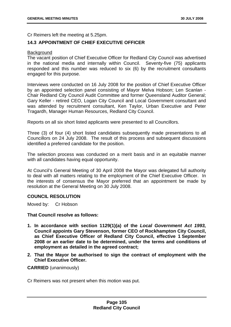Cr Reimers left the meeting at 5.25pm.

# **14.3 APPOINTMENT OF CHIEF EXECUTIVE OFFICER**

### **Background**

The vacant position of Chief Executive Officer for Redland City Council was advertised in the national media and internally within Council. Seventy-five (75) applicants responded and this number was reduced to six (6) by the recruitment consultants engaged for this purpose.

Interviews were conducted on 16 July 2008 for the position of Chief Executive Officer by an appointed selection panel consisting of Mayor Melva Hobson; Len Scanlan - Chair Redland City Council Audit Committee and former Queensland Auditor General; Gary Keller - retired CEO, Logan City Council and Local Government consultant and was attended by recruitment consultant, Ken Taylor, Urban Executive and Peter Tragardh, Manager Human Resources, Redland City Council.

Reports on all six short listed applicants were presented to all Councillors.

Three (3) of four (4) short listed candidates subsequently made presentations to all Councillors on 24 July 2008. The result of this process and subsequent discussions identified a preferred candidate for the position.

The selection process was conducted on a merit basis and in an equitable manner with all candidates having equal opportunity.

At Council's General Meeting of 30 April 2008 the Mayor was delegated full authority to deal with all matters relating to the employment of the Chief Executive Officer. In the interests of consensus the Mayor preferred that an appointment be made by resolution at the General Meeting on 30 July 2008.

### **COUNCIL RESOLUTION**

Moved by: Cr Hobson

### **That Council resolve as follows:**

- **1. In accordance with section 1129(1)(a) of the** *Local Government Act 1993,* **Council appoints Gary Stevenson, former CEO of Rockhampton City Council, as Chief Executive Officer of Redland City Council, effective 1 September 2008 or an earlier date to be determined, under the terms and conditions of employment as detailed in the agreed contract;**
- **2. That the Mayor be authorised to sign the contract of employment with the Chief Executive Officer.**

#### **CARRIED** (unanimously)

Cr Reimers was not present when this motion was put.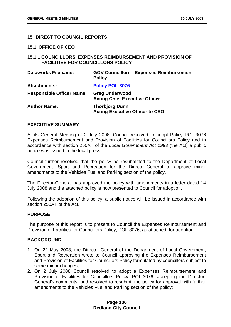### **15 DIRECT TO COUNCIL REPORTS**

#### **15.1 OFFICE OF CEO**

## **15.1.1 COUNCILLORS' EXPENSES REIMBURSEMENT AND PROVISION OF FACILITIES FOR COUNCILLORS POLICY**

| <b>Dataworks Filename:</b>       | <b>GOV Councillors - Expenses Reimbursement</b><br><b>Policy</b> |
|----------------------------------|------------------------------------------------------------------|
| <b>Attachments:</b>              | <b>Policy POL-3076</b>                                           |
| <b>Responsible Officer Name:</b> | <b>Greg Underwood</b><br><b>Acting Chief Executive Officer</b>   |
| <b>Author Name:</b>              | <b>Thorbjorg Dunn</b><br><b>Acting Executive Officer to CEO</b>  |

# **EXECUTIVE SUMMARY**

At its General Meeting of 2 July 2008, Council resolved to adopt Policy POL-3076 Expenses Reimbursement and Provision of Facilities for Councillors Policy and in accordance with section 250AT of the *Local Government Act 1993* (the Act) a public notice was issued in the local press.

Council further resolved that the policy be resubmitted to the Department of Local Government, Sport and Recreation for the Director-General to approve minor amendments to the Vehicles Fuel and Parking section of the policy.

The Director-General has approved the policy with amendments in a letter dated 14 July 2008 and the attached policy is now presented to Council for adoption.

Following the adoption of this policy, a public notice will be issued in accordance with section 250AT of the Act.

### **PURPOSE**

The purpose of this report is to present to Council the Expenses Reimbursement and Provision of Facilities for Councillors Policy, POL-3076, as attached, for adoption.

## **BACKGROUND**

- 1. On 22 May 2008, the Director-General of the Department of Local Government, Sport and Recreation wrote to Council approving the Expenses Reimbursement and Provision of Facilities for Councillors Policy formulated by councillors subject to some minor changes;
- 2. On 2 July 2008 Council resolved to adopt a Expenses Reimbursement and Provision of Facilities for Councillors Policy, POL-3076, accepting the Director-General's comments, and resolved to resubmit the policy for approval with further amendments to the Vehicles Fuel and Parking section of the policy;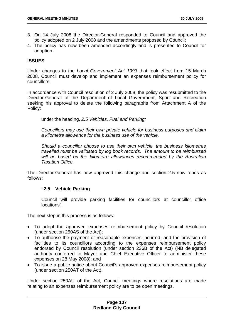- 3. On 14 July 2008 the Director-General responded to Council and approved the policy adopted on 2 July 2008 and the amendments proposed by Council;
- 4. The policy has now been amended accordingly and is presented to Council for adoption.

## **ISSUES**

Under changes to the *Local Government Act 1993* that took effect from 15 March 2008, Council must develop and implement an expenses reimbursement policy for councillors.

In accordance with Council resolution of 2 July 2008, the policy was resubmitted to the Director-General of the Department of Local Government, Sport and Recreation seeking his approval to delete the following paragraphs from Attachment A of the Policy:

under the heading, *2.5 Vehicles, Fuel and Parking:*

*Councillors may use their own private vehicle for business purposes and claim a kilometre allowance for the business use of the vehicle.* 

*Should a councillor choose to use their own vehicle, the business kilometres travelled must be validated by log book records. The amount to be reimbursed will be based on the kilometre allowances recommended by the Australian Taxation Office.*

The Director-General has now approved this change and section 2.5 now reads as follows:

### **"2.5 Vehicle Parking**

Council will provide parking facilities for councillors at councillor office locations".

The next step in this process is as follows:

- To adopt the approved expenses reimbursement policy by Council resolution (under section 250AS of the Act);
- To authorise the payment of reasonable expenses incurred, and the provision of facilities to its councillors according to the expenses reimbursement policy endorsed by Council resolution (under section 236B of the Act) (NB delegated authority conferred to Mayor and Chief Executive Officer to administer these expenses on 28 May 2008); and
- To issue a public notice about Council's approved expenses reimbursement policy (under section 250AT of the Act).

Under section 250AU of the Act, Council meetings where resolutions are made relating to an expenses reimbursement policy are to be open meetings.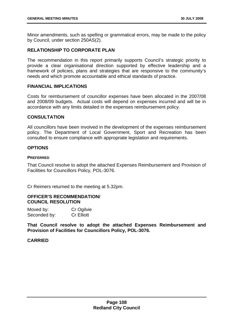Minor amendments, such as spelling or grammatical errors, may be made to the policy by Council, under section 250AS(2).

# **RELATIONSHIP TO CORPORATE PLAN**

The recommendation in this report primarily supports Council's strategic priority to provide a clear organisational direction supported by effective leadership and a framework of policies, plans and strategies that are responsive to the community's needs and which promote accountable and ethical standards of practice.

# **FINANCIAL IMPLICATIONS**

Costs for reimbursement of councillor expenses have been allocated in the 2007/08 and 2008/09 budgets. Actual costs will depend on expenses incurred and will be in accordance with any limits detailed in the expenses reimbursement policy.

## **CONSULTATION**

All councillors have been involved in the development of the expenses reimbursement policy. The Department of Local Government, Sport and Recreation has been consulted to ensure compliance with appropriate legislation and requirements.

# **OPTIONS**

### **PREFERRED**

That Council resolve to adopt the attached Expenses Reimbursement and Provision of Facilities for Councillors Policy, POL-3076.

Cr Reimers returned to the meeting at 5.32pm.

## **OFFICER'S RECOMMENDATION/ COUNCIL RESOLUTION**

| Moved by:    | Cr Ogilvie        |
|--------------|-------------------|
| Seconded by: | <b>Cr Elliott</b> |

**That Council resolve to adopt the attached Expenses Reimbursement and Provision of Facilities for Councillors Policy, POL-3076.**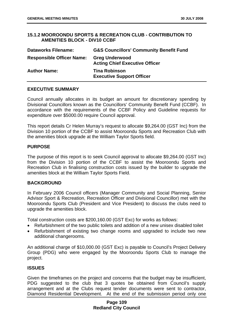## **15.1.2 MOOROONDU SPORTS & RECREATION CLUB - CONTRIBUTION TO AMENITIES BLOCK - DIV10 CCBF**

| <b>Dataworks Filename:</b>       | <b>G&amp;S Councillors' Community Benefit Fund</b>             |
|----------------------------------|----------------------------------------------------------------|
| <b>Responsible Officer Name:</b> | <b>Greg Underwood</b><br><b>Acting Chief Executive Officer</b> |
| <b>Author Name:</b>              | <b>Tina Robinson</b><br><b>Executive Support Officer</b>       |

### **EXECUTIVE SUMMARY**

Council annually allocates in its budget an amount for discretionary spending by Divisional Councillors known as the Councillors' Community Benefit Fund (CCBF). In accordance with the requirements of the CCBF Policy and Guideline requests for expenditure over \$5000.00 require Council approval.

This report details Cr Helen Murray's request to allocate \$9,264.00 (GST Inc) from the Division 10 portion of the CCBF to assist Mooroondu Sports and Recreation Club with the amenities block upgrade at the William Taylor Sports field.

## **PURPOSE**

The purpose of this report is to seek Council approval to allocate \$9,264.00 (GST Inc) from the Division 10 portion of the CCBF to assist the Mooroondu Sports and Recreation Club in finalising construction costs issued by the builder to upgrade the amenities block at the William Taylor Sports Field.

### **BACKGROUND**

In February 2006 Council officers (Manager Community and Social Planning, Senior Advisor Sport & Recreation, Recreation Officer and Divisional Councillor) met with the Mooroondu Sports Club (President and Vice President) to discuss the clubs need to upgrade the amenities block.

Total construction costs are \$200,160.00 (GST Exc) for works as follows:

- Refurbishment of the two public toilets and addition of a new unisex disabled toilet
- Refurbishment of existing two change rooms and upgraded to include two new additional changerooms.

An additional charge of \$10,000.00 (GST Exc) is payable to Council's Project Delivery Group (PDG) who were engaged by the Mooroondu Sports Club to manage the project.

### **ISSUES**

Given the timeframes on the project and concerns that the budget may be insufficient, PDG suggested to the club that 3 quotes be obtained from Council's supply arrangement and at the Clubs request tender documents were sent to contractor, Diamond Residential Development. At the end of the submission period only one

## **Page 109 Redland City Council**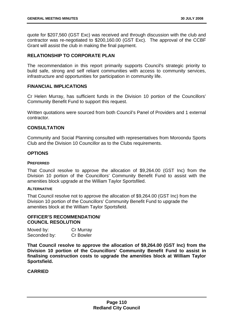quote for \$207,560 (GST Exc) was received and through discussion with the club and contractor was re-negotiated to \$200,160.00 (GST Exc). The approval of the CCBF Grant will assist the club in making the final payment.

## **RELATIONSHIP TO CORPORATE PLAN**

The recommendation in this report primarily supports Council's strategic priority to build safe, strong and self reliant communities with access to community services, infrastructure and opportunities for participation in community life.

### **FINANCIAL IMPLICATIONS**

Cr Helen Murray, has sufficient funds in the Division 10 portion of the Councillors' Community Benefit Fund to support this request.

Written quotations were sourced from both Council's Panel of Providers and 1 external contractor.

## **CONSULTATION**

Community and Social Planning consulted with representatives from Moroondu Sports Club and the Division 10 Councillor as to the Clubs requirements.

### **OPTIONS**

#### **PREFERRED**

That Council resolve to approve the allocation of \$9,264.00 (GST Inc) from the Division 10 portion of the Councillors' Community Benefit Fund to assist with the amenities block upgrade at the William Taylor Sportsfiled.

### **ALTERNATIVE**

That Council resolve not to approve the allocation of \$9,264.00 (GST Inc) from the Division 10 portion of the Councillors' Community Benefit Fund to upgrade the amenities block at the William Taylor Sportsfield.

### **OFFICER'S RECOMMENDATION/ COUNCIL RESOLUTION**

| Moved by:    | <b>Cr Murray</b> |
|--------------|------------------|
| Seconded by: | Cr Bowler        |

**That Council resolve to approve the allocation of \$9,264.00 (GST Inc) from the Division 10 portion of the Councillors' Community Benefit Fund to assist in finalising construction costs to upgrade the amenities block at William Taylor Sportsfield.**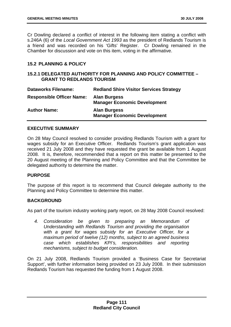Cr Dowling declared a conflict of interest in the following item stating a conflict with s.246A (6) of the *Local Government Act 1993* as the president of Redlands Tourism is a friend and was recorded on his 'Gifts' Register. Cr Dowling remained in the Chamber for discussion and vote on this item, voting in the affirmative.

# **15.2 PLANNING & POLICY**

## **15.2.1 DELEGATED AUTHORITY FOR PLANNING AND POLICY COMMITTEE – GRANT TO REDLANDS TOURISM**

| <b>Dataworks Filename:</b>       | <b>Redland Shire Visitor Services Strategy</b>             |
|----------------------------------|------------------------------------------------------------|
| <b>Responsible Officer Name:</b> | <b>Alan Burgess</b><br><b>Manager Economic Development</b> |
| <b>Author Name:</b>              | <b>Alan Burgess</b><br><b>Manager Economic Development</b> |

### **EXECUTIVE SUMMARY**

On 28 May Council resolved to consider providing Redlands Tourism with a grant for wages subsidy for an Executive Officer. Redlands Tourism's grant application was received 21 July 2008 and they have requested the grant be available from 1 August 2008. It is, therefore, recommended that a report on this matter be presented to the 20 August meeting of the Planning and Policy Committee and that the Committee be delegated authority to determine the matter.

### **PURPOSE**

The purpose of this report is to recommend that Council delegate authority to the Planning and Policy Committee to determine this matter.

### **BACKGROUND**

As part of the tourism industry working party report, on 28 May 2008 Council resolved:

*4. Consideration be given to preparing an Memorandum of Understanding with Redlands Tourism and providing the organisation with a grant for wages subsidy for an Executive Officer, for a maximum period of twelve (12) months, subject to an agreed business case which establishes KPI's, responsibilities and reporting mechanisms, subject to budget consideration.* 

On 21 July 2008, Redlands Tourism provided a 'Business Case for Secretariat Support', with further information being provided on 23 July 2008. In their submission Redlands Tourism has requested the funding from 1 August 2008.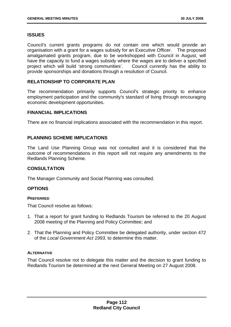# **ISSUES**

Council's current grants programs do not contain one which would provide an organisation with a grant for a wages subsidy for an Executive Officer. The proposed amalgamated grants program, due to be workshopped with Council in August, will have the capacity to fund a wages subsidy where the wages are to deliver a specified project which will build 'strong communities'. Council currently has the ability to provide sponsorships and donations through a resolution of Council.

## **RELATIONSHIP TO CORPORATE PLAN**

The recommendation primarily supports Council's strategic priority to enhance employment participation and the community's standard of living through encouraging economic development opportunities.

### **FINANCIAL IMPLICATIONS**

There are no financial implications associated with the recommendation in this report.

## **PLANNING SCHEME IMPLICATIONS**

The Land Use Planning Group was not consulted and it is considered that the outcome of recommendations in this report will not require any amendments to the Redlands Planning Scheme.

### **CONSULTATION**

The Manager Community and Social Planning was consulted.

### **OPTIONS**

#### **PREFERRED**

That Council resolve as follows:

- 1. That a report for grant funding to Redlands Tourism be referred to the 20 August 2008 meeting of the Planning and Policy Committee; and
- 2. That the Planning and Policy Committee be delegated authority, under section 472 of the *Local Government Act 1993*, to determine this matter.

#### **ALTERNATIVE**

That Council resolve not to delegate this matter and the decision to grant funding to Redlands Tourism be determined at the next General Meeting on 27 August 2008.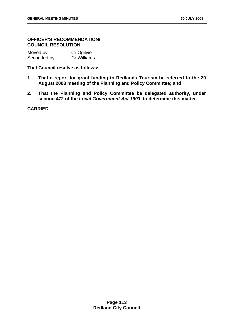## **OFFICER'S RECOMMENDATION/ COUNCIL RESOLUTION**

| Moved by:    | Cr Ogilvie  |
|--------------|-------------|
| Seconded by: | Cr Williams |

### **That Council resolve as follows:**

- **1. That a report for grant funding to Redlands Tourism be referred to the 20 August 2008 meeting of the Planning and Policy Committee; and**
- **2. That the Planning and Policy Committee be delegated authority, under section 472 of the** *Local Government Act 1993***, to determine this matter.**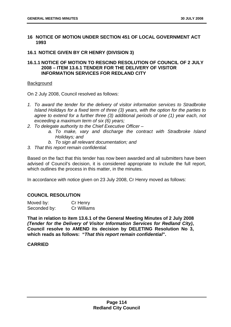### **16 NOTICE OF MOTION UNDER SECTION 451 OF LOCAL GOVERNMENT ACT 1993**

### **16.1 NOTICE GIVEN BY CR HENRY (DIVISION 3)**

## **16.1.1 NOTICE OF MOTION TO RESCIND RESOLUTION OF COUNCIL OF 2 JULY 2008 – ITEM 13.6.1 TENDER FOR THE DELIVERY OF VISITOR INFORMATION SERVICES FOR REDLAND CITY**

### **Background**

On 2 July 2008, Council resolved as follows:

- *1. To award the tender for the delivery of visitor information services to Stradbroke Island Holidays for a fixed term of three (3) years, with the option for the parties to agree to extend for a further three (3) additional periods of one (1) year each, not exceeding a maximum term of six (6) years;*
- *2. To delegate authority to the Chief Executive Officer* 
	- *a. To make, vary and discharge the contract with Stradbroke Island Holidays; and*
	- *b. To sign all relevant documentation; and*
- *3. That this report remain confidential.*

Based on the fact that this tender has now been awarded and all submitters have been advised of Council's decision, it is considered appropriate to include the full report, which outlines the process in this matter, in the minutes.

In accordance with notice given on 23 July 2008, Cr Henry moved as follows:

# **COUNCIL RESOLUTION**

| Moved by:    | Cr Henry           |
|--------------|--------------------|
| Seconded by: | <b>Cr Williams</b> |

**That in relation to item 13.6.1 of the General Meeting Minutes of 2 July 2008**  *(Tender for the Delivery of Visitor Information Services for Redland City)***, Council resolve to AMEND its decision by DELETING Resolution No 3, which reads as follows: "***That this report remain confidential***".**